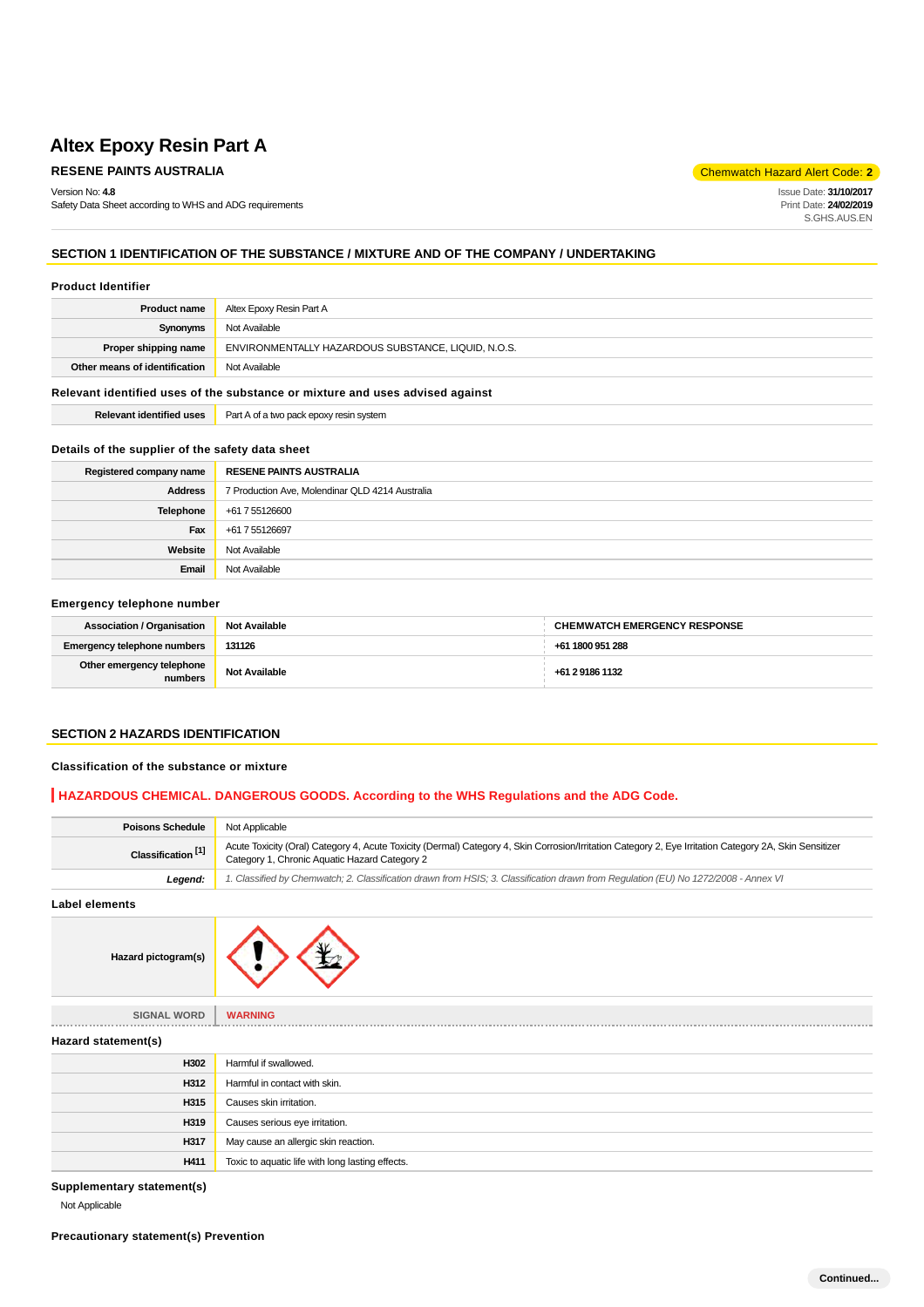Version No: **4.8**

Safety Data Sheet according to WHS and ADG requirements

**RESENE PAINTS AUSTRALIA** Chemwatch Hazard Alert Code: 2

Issue Date: **31/10/2017** Print Date: **24/02/2019** S.GHS.AUS.EN

# **SECTION 1 IDENTIFICATION OF THE SUBSTANCE / MIXTURE AND OF THE COMPANY / UNDERTAKING**

#### **Product Identifier**

| <b>Product name</b>                            | Altex Epoxy Resin Part A                            |  |
|------------------------------------------------|-----------------------------------------------------|--|
| Not Available<br>Synonyms                      |                                                     |  |
| Proper shipping name                           | ENVIRONMENTALLY HAZARDOUS SUBSTANCE, LIQUID, N.O.S. |  |
| Other means of identification<br>Not Available |                                                     |  |
|                                                |                                                     |  |

#### **Relevant identified uses of the substance or mixture and uses advised against**

| <b>Relevant identified uses</b> | Part A of a two pack epoxy resin system |
|---------------------------------|-----------------------------------------|
|---------------------------------|-----------------------------------------|

### **Details of the supplier of the safety data sheet**

| Registered company name | <b>RESENE PAINTS AUSTRALIA</b>                  |  |
|-------------------------|-------------------------------------------------|--|
| <b>Address</b>          | 7 Production Ave, Molendinar QLD 4214 Australia |  |
| Telephone               | +61 7 55126600                                  |  |
| Fax                     | +61 7 55126697                                  |  |
| Website                 | Not Available                                   |  |
| Email                   | Not Available                                   |  |

#### **Emergency telephone number**

| <b>Association / Organisation</b>    | <b>Not Available</b> | <b>CHEMWATCH EMERGENCY RESPONSE</b> |
|--------------------------------------|----------------------|-------------------------------------|
| <b>Emergency telephone numbers</b>   | 131126               | +61 1800 951 288                    |
| Other emergency telephone<br>numbers | <b>Not Available</b> | +61 2 9186 1132                     |

#### **SECTION 2 HAZARDS IDENTIFICATION**

**Classification of the substance or mixture**

#### **HAZARDOUS CHEMICAL. DANGEROUS GOODS. According to the WHS Regulations and the ADG Code.**

| <b>Poisons Schedule</b>       | Not Applicable                                                                                                                                                                                           |  |
|-------------------------------|----------------------------------------------------------------------------------------------------------------------------------------------------------------------------------------------------------|--|
| Classification <sup>[1]</sup> | Acute Toxicity (Oral) Category 4, Acute Toxicity (Dermal) Category 4, Skin Corrosion/Irritation Category 2, Eye Irritation Category 2A, Skin Sensitizer<br>Category 1, Chronic Aquatic Hazard Category 2 |  |
| Leaend:                       | 1. Classified by Chemwatch; 2. Classification drawn from HSIS; 3. Classification drawn from Requlation (EU) No 1272/2008 - Annex VI                                                                      |  |

**Label elements**



**SIGNAL WORD WARNING**

**Hazard statement(s)**

| <b>Hazard statement(s)</b> |                                                  |  |
|----------------------------|--------------------------------------------------|--|
| H302                       | Harmful if swallowed.                            |  |
| H312                       | Harmful in contact with skin.                    |  |
| H315                       | Causes skin irritation.                          |  |
| H319                       | Causes serious eye irritation.                   |  |
| H317                       | May cause an allergic skin reaction.             |  |
| H411                       | Toxic to aquatic life with long lasting effects. |  |

**Supplementary statement(s)**

Not Applicable

**Precautionary statement(s) Prevention**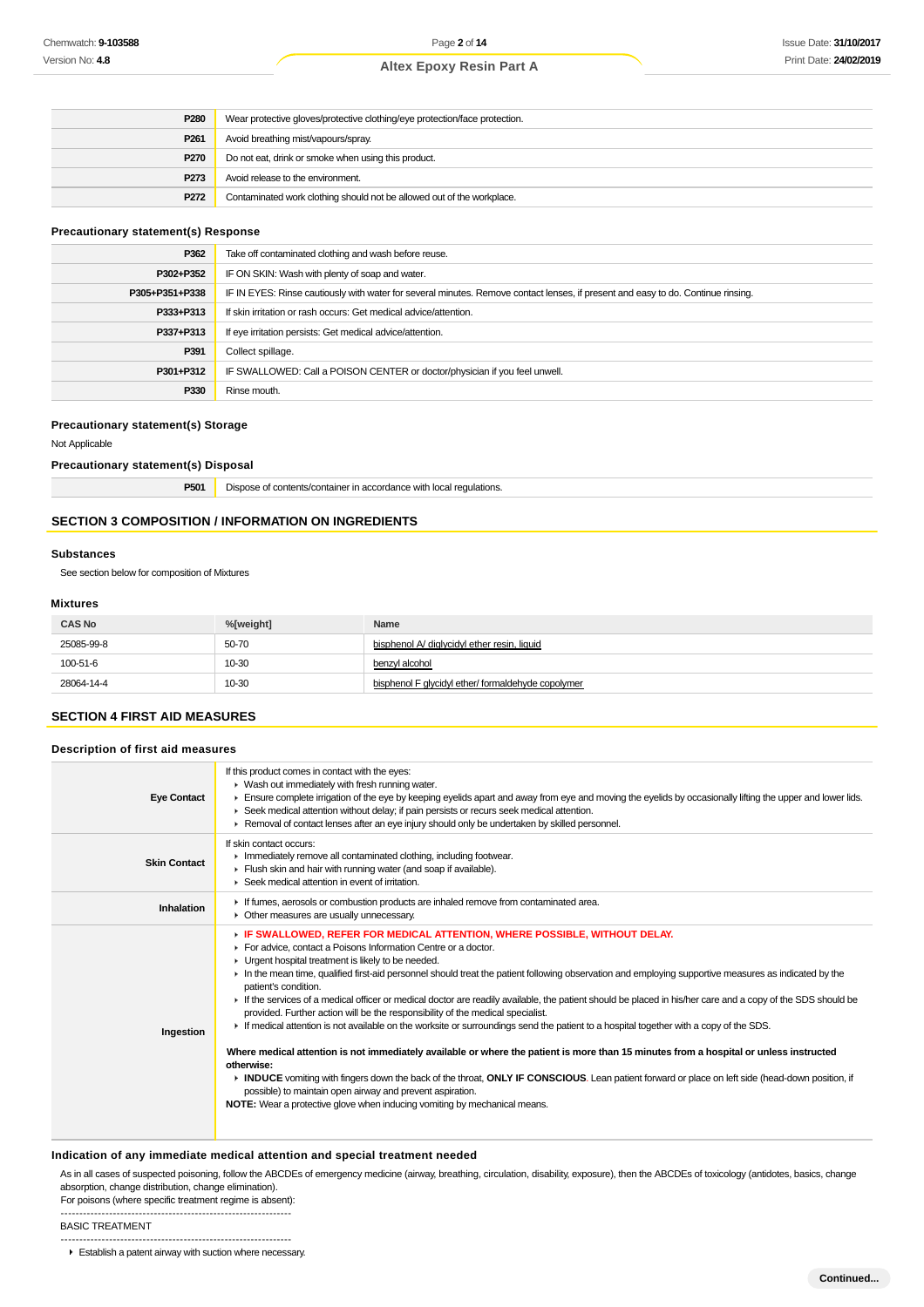| P <sub>280</sub> | Wear protective gloves/protective clothing/eye protection/face protection. |  |
|------------------|----------------------------------------------------------------------------|--|
| P <sub>261</sub> | Avoid breathing mist/vapours/spray.                                        |  |
| P <sub>270</sub> | Do not eat, drink or smoke when using this product.                        |  |
| P <sub>273</sub> | Avoid release to the environment.                                          |  |
| P <sub>272</sub> | Contaminated work clothing should not be allowed out of the workplace.     |  |

# **Precautionary statement(s) Response**

| P362           | Take off contaminated clothing and wash before reuse.                                                                            |  |
|----------------|----------------------------------------------------------------------------------------------------------------------------------|--|
| P302+P352      | IF ON SKIN: Wash with plenty of soap and water.                                                                                  |  |
| P305+P351+P338 | IF IN EYES: Rinse cautiously with water for several minutes. Remove contact lenses, if present and easy to do. Continue rinsing. |  |
| P333+P313      | If skin irritation or rash occurs: Get medical advice/attention.                                                                 |  |
| P337+P313      | If eye irritation persists: Get medical advice/attention.                                                                        |  |
| P391           | Collect spillage.                                                                                                                |  |
| P301+P312      | IF SWALLOWED: Call a POISON CENTER or doctor/physician if you feel unwell.                                                       |  |
| P330           | Rinse mouth.                                                                                                                     |  |

#### **Precautionary statement(s) Storage**

Not Applicable

#### **Precautionary statement(s) Disposal**

| P501 | Dispose of contents/container in accordance with local regulations. |
|------|---------------------------------------------------------------------|
|------|---------------------------------------------------------------------|

# **SECTION 3 COMPOSITION / INFORMATION ON INGREDIENTS**

#### **Substances**

See section below for composition of Mixtures

#### **Mixtures**

| <b>CAS No</b> | %[weight] | Name                                               |
|---------------|-----------|----------------------------------------------------|
| 25085-99-8    | 50-70     | bisphenol A/ diglycidyl ether resin, liquid        |
| 100-51-6      | 10-30     | benzyl alcohol                                     |
| 28064-14-4    | 10-30     | bisphenol F glycidyl ether/ formaldehyde copolymer |

## **SECTION 4 FIRST AID MEASURES**

| <b>Eye Contact</b>  | If this product comes in contact with the eyes:<br>▶ Wash out immediately with fresh running water.<br>Ensure complete irrigation of the eye by keeping eyelids apart and away from eye and moving the eyelids by occasionally lifting the upper and lower lids.<br>► Seek medical attention without delay; if pain persists or recurs seek medical attention.<br>► Removal of contact lenses after an eye injury should only be undertaken by skilled personnel.                                                                                                                                                                                                                                                                                                                                                                                                                                                                                                                                                                                                                                                                                                                                                                   |
|---------------------|-------------------------------------------------------------------------------------------------------------------------------------------------------------------------------------------------------------------------------------------------------------------------------------------------------------------------------------------------------------------------------------------------------------------------------------------------------------------------------------------------------------------------------------------------------------------------------------------------------------------------------------------------------------------------------------------------------------------------------------------------------------------------------------------------------------------------------------------------------------------------------------------------------------------------------------------------------------------------------------------------------------------------------------------------------------------------------------------------------------------------------------------------------------------------------------------------------------------------------------|
| <b>Skin Contact</b> | If skin contact occurs:<br>In mediately remove all contaminated clothing, including footwear.<br>Flush skin and hair with running water (and soap if available).<br>▶ Seek medical attention in event of irritation.                                                                                                                                                                                                                                                                                                                                                                                                                                                                                                                                                                                                                                                                                                                                                                                                                                                                                                                                                                                                                |
| Inhalation          | If fumes, aerosols or combustion products are inhaled remove from contaminated area.<br>• Other measures are usually unnecessary.                                                                                                                                                                                                                                                                                                                                                                                                                                                                                                                                                                                                                                                                                                                                                                                                                                                                                                                                                                                                                                                                                                   |
| Ingestion           | F IF SWALLOWED, REFER FOR MEDICAL ATTENTION, WHERE POSSIBLE, WITHOUT DELAY.<br>For advice, contact a Poisons Information Centre or a doctor.<br>• Urgent hospital treatment is likely to be needed.<br>In the mean time, qualified first-aid personnel should treat the patient following observation and employing supportive measures as indicated by the<br>patient's condition.<br>If the services of a medical officer or medical doctor are readily available, the patient should be placed in his/her care and a copy of the SDS should be<br>provided. Further action will be the responsibility of the medical specialist.<br>F If medical attention is not available on the worksite or surroundings send the patient to a hospital together with a copy of the SDS.<br>Where medical attention is not immediately available or where the patient is more than 15 minutes from a hospital or unless instructed<br>otherwise:<br>INDUCE vomiting with fingers down the back of the throat, ONLY IF CONSCIOUS. Lean patient forward or place on left side (head-down position, if<br>possible) to maintain open airway and prevent aspiration.<br>NOTE: Wear a protective glove when inducing vomiting by mechanical means. |

#### **Indication of any immediate medical attention and special treatment needed**

As in all cases of suspected poisoning, follow the ABCDEs of emergency medicine (airway, breathing, circulation, disability, exposure), then the ABCDEs of toxicology (antidotes, basics, change absorption, change distribution, change elimination).

For poisons (where specific treatment regime is absent): --------------------------------------------------------------

BASIC TREATMENT

-------------------------------------------------------------- Establish a patent airway with suction where necessary.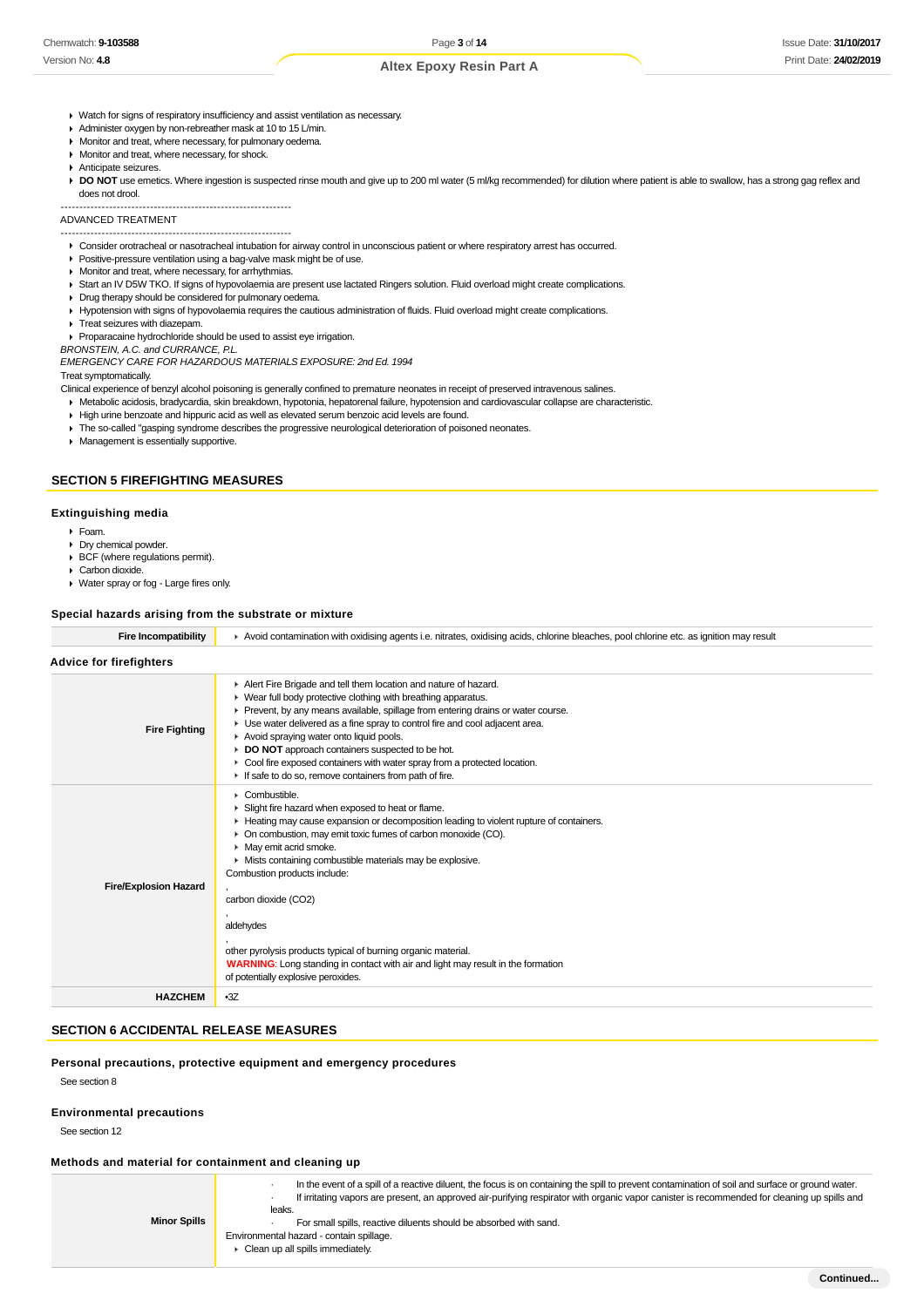- ▶ Watch for signs of respiratory insufficiency and assist ventilation as necessary.
- Administer oxygen by non-rebreather mask at 10 to 15 L/min.
- **Monitor and treat, where necessary, for pulmonary oedema.**
- **Monitor and treat, where necessary, for shock.**
- Anticipate seizures.

DO NOT use emetics. Where ingestion is suspected rinse mouth and give up to 200 ml water (5 ml/kg recommended) for dilution where patient is able to swallow, has a strong gag reflex and does not drool.

-------------------------------------------------------------- ADVANCED TREATMENT

--------------------------------------------------------------

Consider orotracheal or nasotracheal intubation for airway control in unconscious patient or where respiratory arrest has occurred.

- **Positive-pressure ventilation using a bag-valve mask might be of use.**
- **Monitor and treat, where necessary, for arrhythmias.**
- ▶ Start an IV D5W TKO. If signs of hypovolaemia are present use lactated Ringers solution. Fluid overload might create complications.
- Drug therapy should be considered for pulmonary oedema.
- Hypotension with signs of hypovolaemia requires the cautious administration of fluids. Fluid overload might create complications. **F** Treat seizures with diazepam.
- 

Proparacaine hydrochloride should be used to assist eye irrigation. BRONSTEIN, A.C. and CURRANCE, P.L.

EMERGENCY CARE FOR HAZARDOUS MATERIALS EXPOSURE: 2nd Ed. 1994

Treat symptomatically.

Clinical experience of benzyl alcohol poisoning is generally confined to premature neonates in receipt of preserved intravenous salines.

Metabolic acidosis, bradycardia, skin breakdown, hypotonia, hepatorenal failure, hypotension and cardiovascular collapse are characteristic.

- High urine benzoate and hippuric acid as well as elevated serum benzoic acid levels are found.
- The so-called "gasping syndrome describes the progressive neurological deterioration of poisoned neonates.
- **Management is essentially supportive.**

#### **SECTION 5 FIREFIGHTING MEASURES**

#### **Extinguishing media**

- Foam.
- Dry chemical powder.
- BCF (where regulations permit). ▶ Carbon dioxide.
- Water spray or fog Large fires only.

#### **Special hazards arising from the substrate or mixture**

| <b>Fire Incompatibility</b>    | Avoid contamination with oxidising agents i.e. nitrates, oxidising acids, chlorine bleaches, pool chlorine etc. as ignition may result                                                                                                                                                                                                                                                                                                                                                                                                                                                                            |
|--------------------------------|-------------------------------------------------------------------------------------------------------------------------------------------------------------------------------------------------------------------------------------------------------------------------------------------------------------------------------------------------------------------------------------------------------------------------------------------------------------------------------------------------------------------------------------------------------------------------------------------------------------------|
| <b>Advice for firefighters</b> |                                                                                                                                                                                                                                                                                                                                                                                                                                                                                                                                                                                                                   |
| <b>Fire Fighting</b>           | Alert Fire Brigade and tell them location and nature of hazard.<br>• Wear full body protective clothing with breathing apparatus.<br>Prevent, by any means available, spillage from entering drains or water course.<br>• Use water delivered as a fine spray to control fire and cool adjacent area.<br>Avoid spraying water onto liquid pools.<br>DO NOT approach containers suspected to be hot.<br>Cool fire exposed containers with water spray from a protected location.<br>If safe to do so, remove containers from path of fire.                                                                         |
| <b>Fire/Explosion Hazard</b>   | $\triangleright$ Combustible.<br>Slight fire hazard when exposed to heat or flame.<br>► Heating may cause expansion or decomposition leading to violent rupture of containers.<br>• On combustion, may emit toxic fumes of carbon monoxide (CO).<br>• May emit acrid smoke.<br>• Mists containing combustible materials may be explosive.<br>Combustion products include:<br>carbon dioxide (CO2)<br>aldehydes<br>other pyrolysis products typical of burning organic material.<br><b>WARNING:</b> Long standing in contact with air and light may result in the formation<br>of potentially explosive peroxides. |
| <b>HAZCHEM</b>                 | $-3Z$                                                                                                                                                                                                                                                                                                                                                                                                                                                                                                                                                                                                             |
|                                |                                                                                                                                                                                                                                                                                                                                                                                                                                                                                                                                                                                                                   |

# **SECTION 6 ACCIDENTAL RELEASE MEASURES**

**Personal precautions, protective equipment and emergency procedures**

See section 8

#### **Environmental precautions**

See section 12

#### **Methods and material for containment and cleaning up**

| <b>Minor Spills</b> | In the event of a spill of a reactive diluent, the focus is on containing the spill to prevent contamination of soil and surface or ground water.<br>If irritating vapors are present, an approved air-purifying respirator with organic vapor canister is recommended for cleaning up spills and<br>leaks.<br>For small spills, reactive diluents should be absorbed with sand.<br>Environmental hazard - contain spillage.<br>$\triangleright$ Clean up all spills immediately. |
|---------------------|-----------------------------------------------------------------------------------------------------------------------------------------------------------------------------------------------------------------------------------------------------------------------------------------------------------------------------------------------------------------------------------------------------------------------------------------------------------------------------------|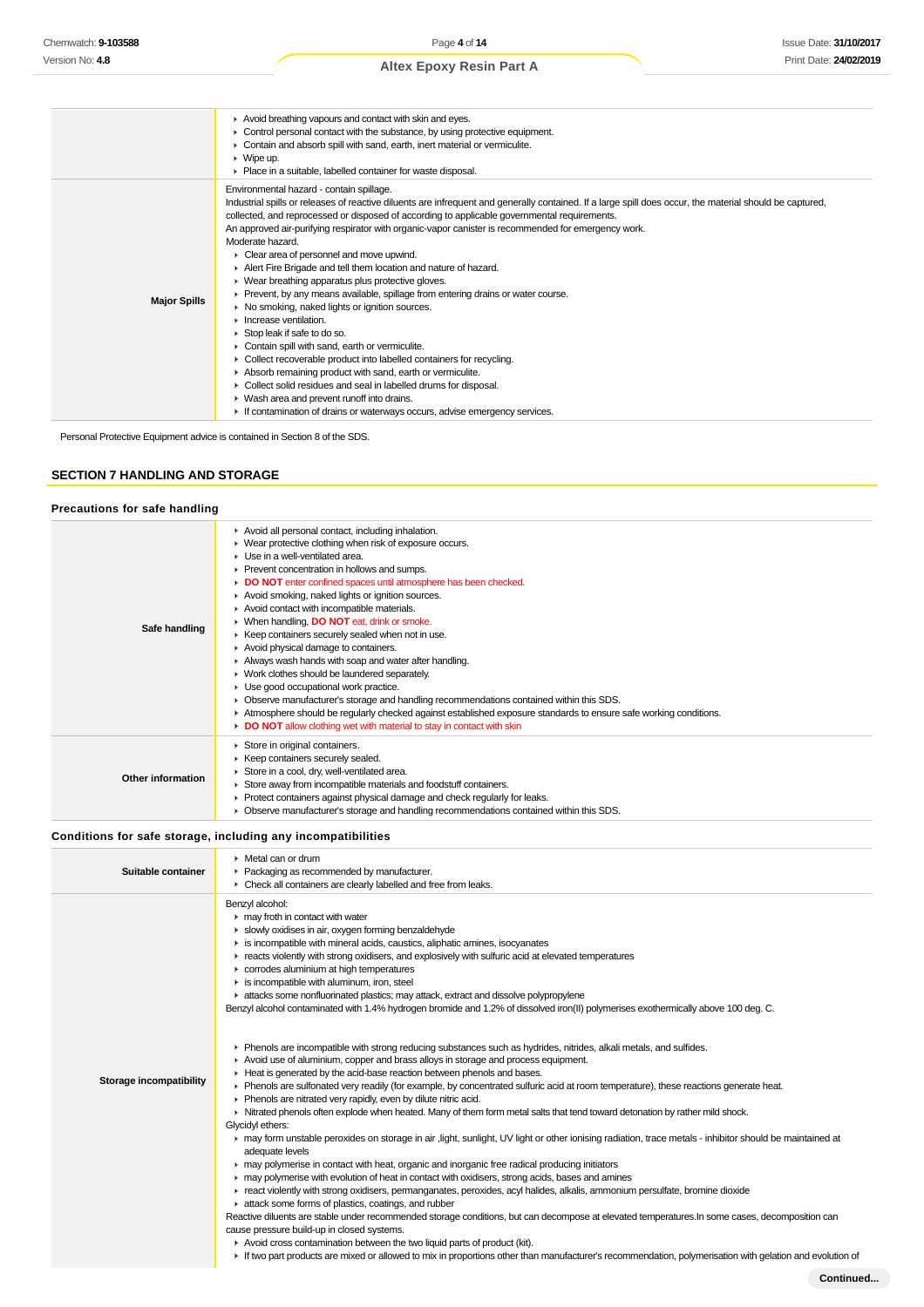|                     | Avoid breathing vapours and contact with skin and eyes.<br>• Control personal contact with the substance, by using protective equipment.<br>Contain and absorb spill with sand, earth, inert material or vermiculite.<br>$\triangleright$ Wipe up.<br>Place in a suitable, labelled container for waste disposal.                                                                                                                                                                                                                                                                                                                                                                                                                                                                                                                                                                                                                                                                                                                                                                                                                                                                                                    |
|---------------------|----------------------------------------------------------------------------------------------------------------------------------------------------------------------------------------------------------------------------------------------------------------------------------------------------------------------------------------------------------------------------------------------------------------------------------------------------------------------------------------------------------------------------------------------------------------------------------------------------------------------------------------------------------------------------------------------------------------------------------------------------------------------------------------------------------------------------------------------------------------------------------------------------------------------------------------------------------------------------------------------------------------------------------------------------------------------------------------------------------------------------------------------------------------------------------------------------------------------|
| <b>Major Spills</b> | Environmental hazard - contain spillage.<br>Industrial spills or releases of reactive diluents are infrequent and generally contained. If a large spill does occur, the material should be captured,<br>collected, and reprocessed or disposed of according to applicable governmental requirements.<br>An approved air-purifying respirator with organic-vapor canister is recommended for emergency work.<br>Moderate hazard.<br>Clear area of personnel and move upwind.<br>Alert Fire Brigade and tell them location and nature of hazard.<br>▶ Wear breathing apparatus plus protective gloves.<br>▶ Prevent, by any means available, spillage from entering drains or water course.<br>• No smoking, naked lights or ignition sources.<br>$\blacktriangleright$ Increase ventilation.<br>Stop leak if safe to do so.<br>Contain spill with sand, earth or vermiculite.<br>• Collect recoverable product into labelled containers for recycling.<br>Absorb remaining product with sand, earth or vermiculite.<br>• Collect solid residues and seal in labelled drums for disposal.<br>• Wash area and prevent runoff into drains.<br>If contamination of drains or waterways occurs, advise emergency services. |

Personal Protective Equipment advice is contained in Section 8 of the SDS.

### **SECTION 7 HANDLING AND STORAGE**

### **Precautions for safe handling**

| Safe handling     | Avoid all personal contact, including inhalation.<br>▶ Wear protective clothing when risk of exposure occurs.<br>Use in a well-ventilated area.<br>Prevent concentration in hollows and sumps.<br>DO NOT enter confined spaces until atmosphere has been checked.<br>Avoid smoking, naked lights or ignition sources.<br>Avoid contact with incompatible materials.<br>▶ When handling, DO NOT eat, drink or smoke.<br>▶ Keep containers securely sealed when not in use.<br>Avoid physical damage to containers.<br>Always wash hands with soap and water after handling.<br>• Work clothes should be laundered separately.<br>• Use good occupational work practice.<br>• Observe manufacturer's storage and handling recommendations contained within this SDS.<br>► Atmosphere should be regularly checked against established exposure standards to ensure safe working conditions.<br>DO NOT allow clothing wet with material to stay in contact with skin |
|-------------------|------------------------------------------------------------------------------------------------------------------------------------------------------------------------------------------------------------------------------------------------------------------------------------------------------------------------------------------------------------------------------------------------------------------------------------------------------------------------------------------------------------------------------------------------------------------------------------------------------------------------------------------------------------------------------------------------------------------------------------------------------------------------------------------------------------------------------------------------------------------------------------------------------------------------------------------------------------------|
| Other information | Store in original containers.<br>▶ Keep containers securely sealed.<br>Store in a cool, dry, well-ventilated area.<br>Store away from incompatible materials and foodstuff containers.<br>• Protect containers against physical damage and check regularly for leaks.<br>• Observe manufacturer's storage and handling recommendations contained within this SDS.                                                                                                                                                                                                                                                                                                                                                                                                                                                                                                                                                                                                |

### **Conditions for safe storage, including any incompatibilities**

| Suitable container      | $\triangleright$ Metal can or drum<br>Packaging as recommended by manufacturer.<br>• Check all containers are clearly labelled and free from leaks.                                                                                                                                                                                                                                                                                                                                                                                                                                                                                                                                                                                                                                                                                                                                                                                                                                                                |
|-------------------------|--------------------------------------------------------------------------------------------------------------------------------------------------------------------------------------------------------------------------------------------------------------------------------------------------------------------------------------------------------------------------------------------------------------------------------------------------------------------------------------------------------------------------------------------------------------------------------------------------------------------------------------------------------------------------------------------------------------------------------------------------------------------------------------------------------------------------------------------------------------------------------------------------------------------------------------------------------------------------------------------------------------------|
| Storage incompatibility | Benzyl alcohol:<br>$\blacktriangleright$ may froth in contact with water<br>Slowly oxidises in air, oxygen forming benzaldehyde<br>is incompatible with mineral acids, caustics, aliphatic amines, isocyanates<br>F reacts violently with strong oxidisers, and explosively with sulfuric acid at elevated temperatures<br>corrodes aluminium at high temperatures<br>$\blacktriangleright$ is incompatible with aluminum, iron, steel<br>ightar attacks some nonfluorinated plastics; may attack, extract and dissolve polypropylene<br>Benzyl alcohol contaminated with 1.4% hydrogen bromide and 1.2% of dissolved iron(II) polymerises exothermically above 100 deg. C.<br>▶ Phenols are incompatible with strong reducing substances such as hydrides, nitrides, alkali metals, and sulfides.<br>▶ Avoid use of aluminium, copper and brass alloys in storage and process equipment.                                                                                                                          |
|                         | Heat is generated by the acid-base reaction between phenols and bases.<br>• Phenols are sulfonated very readily (for example, by concentrated sulfuric acid at room temperature), these reactions generate heat.<br>Phenols are nitrated very rapidly, even by dilute nitric acid.<br>In Nitrated phenols often explode when heated. Many of them form metal salts that tend toward detonation by rather mild shock.<br>Glycidyl ethers:                                                                                                                                                                                                                                                                                                                                                                                                                                                                                                                                                                           |
|                         | ► may form unstable peroxides on storage in air , light, sunlight, UV light or other ionising radiation, trace metals - inhibitor should be maintained at<br>adequate levels<br>may polymerise in contact with heat, organic and inorganic free radical producing initiators<br>► may polymerise with evolution of heat in contact with oxidisers, strong acids, bases and amines<br>F react violently with strong oxidisers, permanganates, peroxides, acyl halides, alkalis, ammonium persulfate, bromine dioxide<br>attack some forms of plastics, coatings, and rubber<br>Reactive diluents are stable under recommended storage conditions, but can decompose at elevated temperatures. In some cases, decomposition can<br>cause pressure build-up in closed systems.<br>Avoid cross contamination between the two liquid parts of product (kit).<br>If two part products are mixed or allowed to mix in proportions other than manufacturer's recommendation, polymerisation with gelation and evolution of |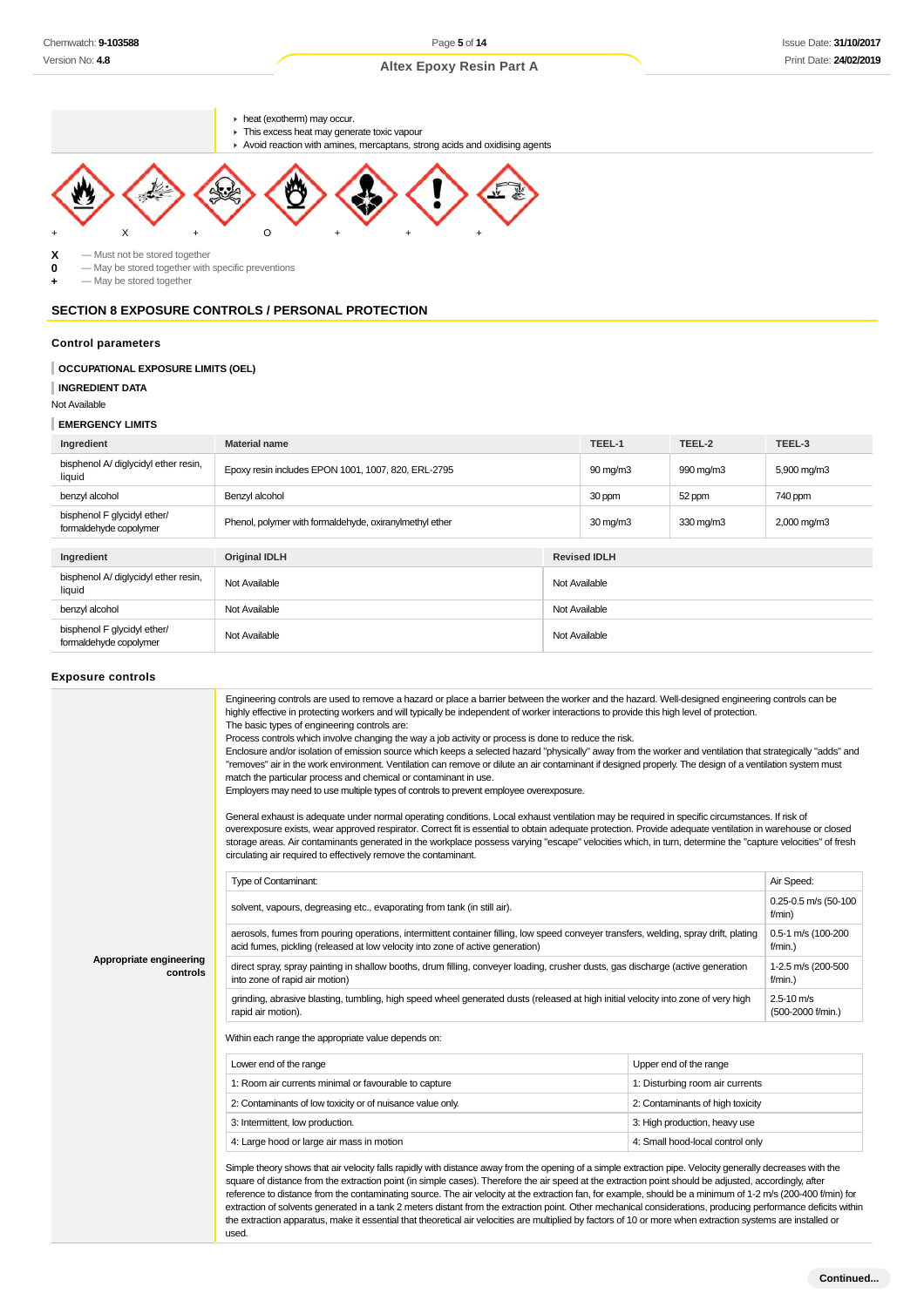

**X** — Must not be stored together<br>**0** — May be stored together with

**0** — May be stored together with specific preventions

**+** — May be stored together

# **SECTION 8 EXPOSURE CONTROLS / PERSONAL PROTECTION**

#### **Control parameters**

### **OCCUPATIONAL EXPOSURE LIMITS (OEL)**

**INGREDIENT DATA**

Not Available

#### **EMERGENCY LIMITS**

| Ingredient                                            | <b>Material name</b>                                    |               | TEEL-1            | TEEL-2    | TEEL-3      |
|-------------------------------------------------------|---------------------------------------------------------|---------------|-------------------|-----------|-------------|
| bisphenol A/ diglycidyl ether resin,<br>liquid        | Epoxy resin includes EPON 1001, 1007, 820, ERL-2795     |               | $90 \text{ mg/m}$ | 990 mg/m3 | 5,900 mg/m3 |
| benzyl alcohol                                        | Benzyl alcohol                                          |               | 30 ppm            | 52 ppm    | 740 ppm     |
| bisphenol F glycidyl ether/<br>formaldehyde copolymer | Phenol, polymer with formaldehyde, oxiranylmethyl ether |               | $30 \text{ mg/m}$ | 330 mg/m3 | 2,000 mg/m3 |
|                                                       |                                                         |               |                   |           |             |
| Ingredient                                            | <b>Original IDLH</b><br><b>Revised IDLH</b>             |               |                   |           |             |
| bisphenol A/ diglycidyl ether resin,<br>liquid        | Not Available                                           | Not Available |                   |           |             |
| benzyl alcohol                                        | Not Available                                           | Not Available |                   |           |             |
| bisphenol F glycidyl ether/<br>formaldehyde copolymer | Not Available                                           | Not Available |                   |           |             |

#### **Exposure controls**

|                                     | Engineering controls are used to remove a hazard or place a barrier between the worker and the hazard. Well-designed engineering controls can be<br>highly effective in protecting workers and will typically be independent of worker interactions to provide this high level of protection.<br>The basic types of engineering controls are:<br>Process controls which involve changing the way a job activity or process is done to reduce the risk.<br>Enclosure and/or isolation of emission source which keeps a selected hazard "physically" away from the worker and ventilation that strategically "adds" and<br>"removes" air in the work environment. Ventilation can remove or dilute an air contaminant if designed properly. The design of a ventilation system must<br>match the particular process and chemical or contaminant in use.<br>Employers may need to use multiple types of controls to prevent employee overexposure.<br>General exhaust is adequate under normal operating conditions. Local exhaust ventilation may be required in specific circumstances. If risk of<br>overexposure exists, wear approved respirator. Correct fit is essential to obtain adequate protection. Provide adequate ventilation in warehouse or closed<br>storage areas. Air contaminants generated in the workplace possess varying "escape" velocities which, in turn, determine the "capture velocities" of fresh<br>circulating air required to effectively remove the contaminant. |                                  |                                |
|-------------------------------------|--------------------------------------------------------------------------------------------------------------------------------------------------------------------------------------------------------------------------------------------------------------------------------------------------------------------------------------------------------------------------------------------------------------------------------------------------------------------------------------------------------------------------------------------------------------------------------------------------------------------------------------------------------------------------------------------------------------------------------------------------------------------------------------------------------------------------------------------------------------------------------------------------------------------------------------------------------------------------------------------------------------------------------------------------------------------------------------------------------------------------------------------------------------------------------------------------------------------------------------------------------------------------------------------------------------------------------------------------------------------------------------------------------------------------------------------------------------------------------------------------|----------------------------------|--------------------------------|
|                                     | Type of Contaminant:                                                                                                                                                                                                                                                                                                                                                                                                                                                                                                                                                                                                                                                                                                                                                                                                                                                                                                                                                                                                                                                                                                                                                                                                                                                                                                                                                                                                                                                                             |                                  | Air Speed:                     |
|                                     | solvent, vapours, degreasing etc., evaporating from tank (in still air).                                                                                                                                                                                                                                                                                                                                                                                                                                                                                                                                                                                                                                                                                                                                                                                                                                                                                                                                                                                                                                                                                                                                                                                                                                                                                                                                                                                                                         |                                  | 0.25-0.5 m/s (50-100<br>f/min) |
|                                     | aerosols, fumes from pouring operations, intermittent container filling, low speed conveyer transfers, welding, spray drift, plating<br>acid fumes, pickling (released at low velocity into zone of active generation)                                                                                                                                                                                                                                                                                                                                                                                                                                                                                                                                                                                                                                                                                                                                                                                                                                                                                                                                                                                                                                                                                                                                                                                                                                                                           | 0.5-1 m/s (100-200<br>$f/min.$ ) |                                |
| Appropriate engineering<br>controls | direct spray, spray painting in shallow booths, drum filling, conveyer loading, crusher dusts, gas discharge (active generation<br>into zone of rapid air motion)                                                                                                                                                                                                                                                                                                                                                                                                                                                                                                                                                                                                                                                                                                                                                                                                                                                                                                                                                                                                                                                                                                                                                                                                                                                                                                                                |                                  |                                |
|                                     | grinding, abrasive blasting, tumbling, high speed wheel generated dusts (released at high initial velocity into zone of very high<br>rapid air motion).                                                                                                                                                                                                                                                                                                                                                                                                                                                                                                                                                                                                                                                                                                                                                                                                                                                                                                                                                                                                                                                                                                                                                                                                                                                                                                                                          |                                  |                                |
|                                     | Within each range the appropriate value depends on:                                                                                                                                                                                                                                                                                                                                                                                                                                                                                                                                                                                                                                                                                                                                                                                                                                                                                                                                                                                                                                                                                                                                                                                                                                                                                                                                                                                                                                              |                                  |                                |
|                                     | Lower end of the range                                                                                                                                                                                                                                                                                                                                                                                                                                                                                                                                                                                                                                                                                                                                                                                                                                                                                                                                                                                                                                                                                                                                                                                                                                                                                                                                                                                                                                                                           | Upper end of the range           |                                |
|                                     | 1: Room air currents minimal or favourable to capture                                                                                                                                                                                                                                                                                                                                                                                                                                                                                                                                                                                                                                                                                                                                                                                                                                                                                                                                                                                                                                                                                                                                                                                                                                                                                                                                                                                                                                            | 1: Disturbing room air currents  |                                |
|                                     | 2: Contaminants of low toxicity or of nuisance value only.                                                                                                                                                                                                                                                                                                                                                                                                                                                                                                                                                                                                                                                                                                                                                                                                                                                                                                                                                                                                                                                                                                                                                                                                                                                                                                                                                                                                                                       | 2: Contaminants of high toxicity |                                |
|                                     | 3: Intermittent, low production.                                                                                                                                                                                                                                                                                                                                                                                                                                                                                                                                                                                                                                                                                                                                                                                                                                                                                                                                                                                                                                                                                                                                                                                                                                                                                                                                                                                                                                                                 | 3: High production, heavy use    |                                |
|                                     | 4: Large hood or large air mass in motion                                                                                                                                                                                                                                                                                                                                                                                                                                                                                                                                                                                                                                                                                                                                                                                                                                                                                                                                                                                                                                                                                                                                                                                                                                                                                                                                                                                                                                                        | 4: Small hood-local control only |                                |
|                                     | Simple theory shows that air velocity falls rapidly with distance away from the opening of a simple extraction pipe. Velocity generally decreases with the<br>square of distance from the extraction point (in simple cases). Therefore the air speed at the extraction point should be adjusted, accordingly, after<br>reference to distance from the contaminating source. The air velocity at the extraction fan, for example, should be a minimum of 1-2 m/s (200-400 f/min) for<br>extraction of solvents generated in a tank 2 meters distant from the extraction point. Other mechanical considerations, producing performance deficits within<br>the extraction apparatus, make it essential that theoretical air velocities are multiplied by factors of 10 or more when extraction systems are installed or<br>used.                                                                                                                                                                                                                                                                                                                                                                                                                                                                                                                                                                                                                                                                   |                                  |                                |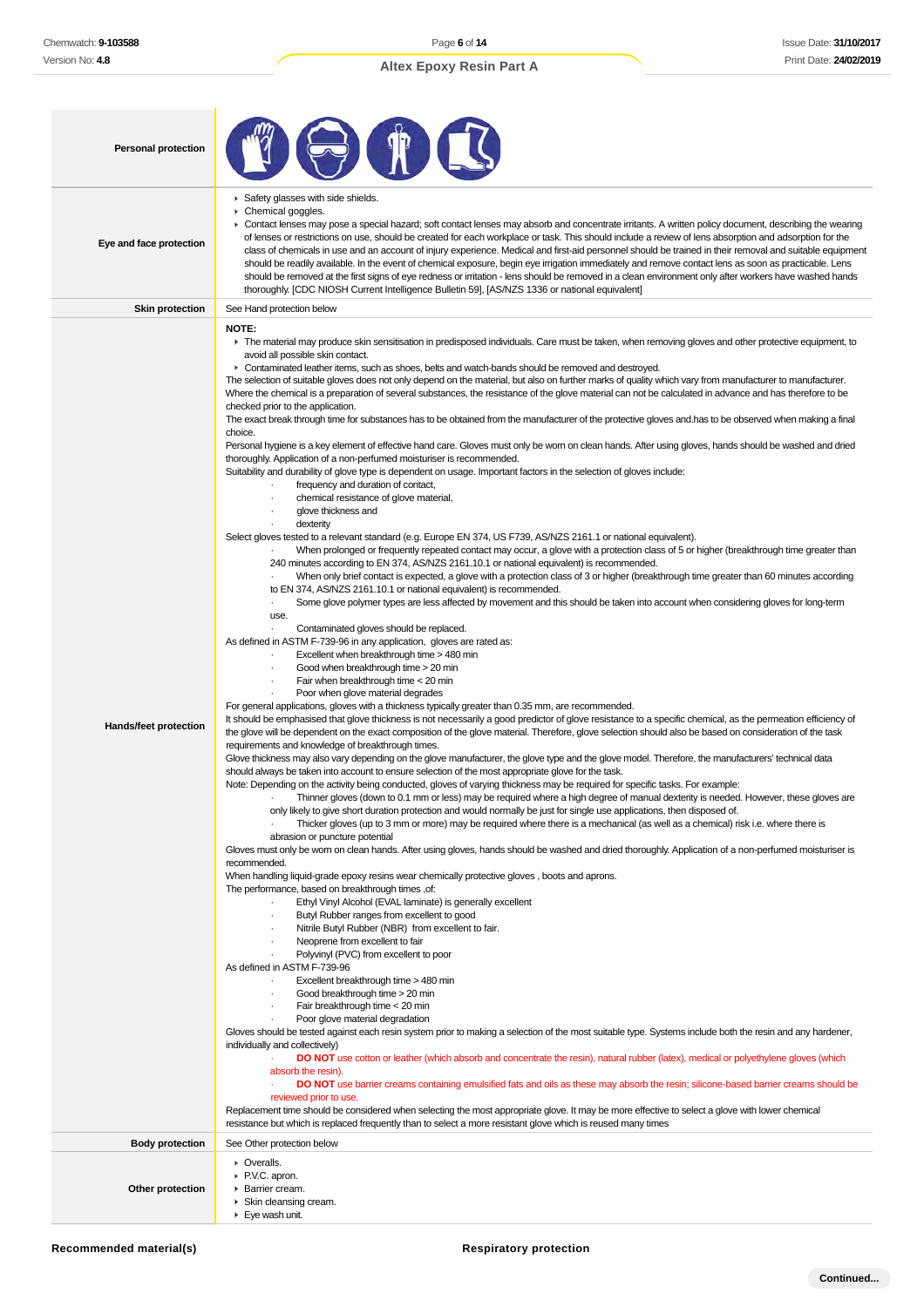| <b>Personal protection</b>                      |                                                                                                                                                                                                                                                                                                                                                                                                                                                                                                                                                                                                                                                                                                                                                                                                                                                                                                                                                                                                                                                                                                                                                                                                                                                                                                                                                                                                                                                                                                                                                                                                                                                                                                                                                                                                                                                                                                                                                                                                                                                                                                                                                                                                                                                                                                                                                                                                                                                                                                                                                                                                                                                                                                                                                                                                                                                                                                                                                                                                                                                                                                                                                                                                                                                                                                                                                                                                                                                                                                                                                                                                                                                                                                                                                                                                                                                                                                                                                                                                                                                                                                                                                                                                                                                                                                                                                                                                                                                                                                                                                                                                                                                                                                                                                                                                                                                                                                                                                                                                                                                                                                                                                                                                                                                                                                                                   |
|-------------------------------------------------|-----------------------------------------------------------------------------------------------------------------------------------------------------------------------------------------------------------------------------------------------------------------------------------------------------------------------------------------------------------------------------------------------------------------------------------------------------------------------------------------------------------------------------------------------------------------------------------------------------------------------------------------------------------------------------------------------------------------------------------------------------------------------------------------------------------------------------------------------------------------------------------------------------------------------------------------------------------------------------------------------------------------------------------------------------------------------------------------------------------------------------------------------------------------------------------------------------------------------------------------------------------------------------------------------------------------------------------------------------------------------------------------------------------------------------------------------------------------------------------------------------------------------------------------------------------------------------------------------------------------------------------------------------------------------------------------------------------------------------------------------------------------------------------------------------------------------------------------------------------------------------------------------------------------------------------------------------------------------------------------------------------------------------------------------------------------------------------------------------------------------------------------------------------------------------------------------------------------------------------------------------------------------------------------------------------------------------------------------------------------------------------------------------------------------------------------------------------------------------------------------------------------------------------------------------------------------------------------------------------------------------------------------------------------------------------------------------------------------------------------------------------------------------------------------------------------------------------------------------------------------------------------------------------------------------------------------------------------------------------------------------------------------------------------------------------------------------------------------------------------------------------------------------------------------------------------------------------------------------------------------------------------------------------------------------------------------------------------------------------------------------------------------------------------------------------------------------------------------------------------------------------------------------------------------------------------------------------------------------------------------------------------------------------------------------------------------------------------------------------------------------------------------------------------------------------------------------------------------------------------------------------------------------------------------------------------------------------------------------------------------------------------------------------------------------------------------------------------------------------------------------------------------------------------------------------------------------------------------------------------------------------------------------------------------------------------------------------------------------------------------------------------------------------------------------------------------------------------------------------------------------------------------------------------------------------------------------------------------------------------------------------------------------------------------------------------------------------------------------------------------------------------------------------------------------------------------------------------------------------------------------------------------------------------------------------------------------------------------------------------------------------------------------------------------------------------------------------------------------------------------------------------------------------------------------------------------------------------------------------------------------------------------------------------------------------------------------------|
| Eye and face protection                         | Safety glasses with side shields.<br>Chemical goggles.<br>▶ Contact lenses may pose a special hazard; soft contact lenses may absorb and concentrate irritants. A written policy document, describing the wearing<br>of lenses or restrictions on use, should be created for each workplace or task. This should include a review of lens absorption and adsorption for the<br>class of chemicals in use and an account of injury experience. Medical and first-aid personnel should be trained in their removal and suitable equipment<br>should be readily available. In the event of chemical exposure, begin eye irrigation immediately and remove contact lens as soon as practicable. Lens<br>should be removed at the first signs of eye redness or irritation - lens should be removed in a clean environment only after workers have washed hands<br>thoroughly. [CDC NIOSH Current Intelligence Bulletin 59], [AS/NZS 1336 or national equivalent]                                                                                                                                                                                                                                                                                                                                                                                                                                                                                                                                                                                                                                                                                                                                                                                                                                                                                                                                                                                                                                                                                                                                                                                                                                                                                                                                                                                                                                                                                                                                                                                                                                                                                                                                                                                                                                                                                                                                                                                                                                                                                                                                                                                                                                                                                                                                                                                                                                                                                                                                                                                                                                                                                                                                                                                                                                                                                                                                                                                                                                                                                                                                                                                                                                                                                                                                                                                                                                                                                                                                                                                                                                                                                                                                                                                                                                                                                                                                                                                                                                                                                                                                                                                                                                                                                                                                                                      |
| <b>Skin protection</b>                          | See Hand protection below                                                                                                                                                                                                                                                                                                                                                                                                                                                                                                                                                                                                                                                                                                                                                                                                                                                                                                                                                                                                                                                                                                                                                                                                                                                                                                                                                                                                                                                                                                                                                                                                                                                                                                                                                                                                                                                                                                                                                                                                                                                                                                                                                                                                                                                                                                                                                                                                                                                                                                                                                                                                                                                                                                                                                                                                                                                                                                                                                                                                                                                                                                                                                                                                                                                                                                                                                                                                                                                                                                                                                                                                                                                                                                                                                                                                                                                                                                                                                                                                                                                                                                                                                                                                                                                                                                                                                                                                                                                                                                                                                                                                                                                                                                                                                                                                                                                                                                                                                                                                                                                                                                                                                                                                                                                                                                         |
| Hands/feet protection<br><b>Body protection</b> | NOTE:<br>The material may produce skin sensitisation in predisposed individuals. Care must be taken, when removing gloves and other protective equipment, to<br>avoid all possible skin contact.<br>• Contaminated leather items, such as shoes, belts and watch-bands should be removed and destroyed.<br>The selection of suitable gloves does not only depend on the material, but also on further marks of quality which vary from manufacturer to manufacturer.<br>Where the chemical is a preparation of several substances, the resistance of the glove material can not be calculated in advance and has therefore to be<br>checked prior to the application.<br>The exact break through time for substances has to be obtained from the manufacturer of the protective gloves and has to be observed when making a final<br>choice.<br>Personal hygiene is a key element of effective hand care. Gloves must only be worn on clean hands. After using gloves, hands should be washed and dried<br>thoroughly. Application of a non-perfumed moisturiser is recommended.<br>Suitability and durability of glove type is dependent on usage. Important factors in the selection of gloves include:<br>frequency and duration of contact,<br>chemical resistance of glove material,<br>glove thickness and<br>dexterity<br>$\cdot$<br>Select gloves tested to a relevant standard (e.g. Europe EN 374, US F739, AS/NZS 2161.1 or national equivalent).<br>When prolonged or frequently repeated contact may occur, a glove with a protection class of 5 or higher (breakthrough time greater than<br>240 minutes according to EN 374, AS/NZS 2161.10.1 or national equivalent) is recommended.<br>When only brief contact is expected, a glove with a protection class of 3 or higher (breakthrough time greater than 60 minutes according<br>to EN 374, AS/NZS 2161.10.1 or national equivalent) is recommended.<br>Some glove polymer types are less affected by movement and this should be taken into account when considering gloves for long-term<br>$\cdot$<br>use.<br>Contaminated gloves should be replaced.<br>$\cdot$<br>As defined in ASTM F-739-96 in any application, gloves are rated as:<br>Excellent when breakthrough time > 480 min<br>Good when breakthrough time > 20 min<br>Fair when breakthrough time < 20 min<br>Poor when glove material degrades<br>For general applications, gloves with a thickness typically greater than 0.35 mm, are recommended.<br>It should be emphasised that glove thickness is not necessarily a good predictor of glove resistance to a specific chemical, as the permeation efficiency of<br>the glove will be dependent on the exact composition of the glove material. Therefore, glove selection should also be based on consideration of the task<br>requirements and knowledge of breakthrough times.<br>Glove thickness may also vary depending on the glove manufacturer, the glove type and the glove model. Therefore, the manufacturers' technical data<br>should always be taken into account to ensure selection of the most appropriate glove for the task.<br>Note: Depending on the activity being conducted, gloves of varying thickness may be required for specific tasks. For example:<br>Thinner gloves (down to 0.1 mm or less) may be required where a high degree of manual dexterity is needed. However, these gloves are<br>only likely to give short duration protection and would normally be just for single use applications, then disposed of.<br>Thicker gloves (up to 3 mm or more) may be required where there is a mechanical (as well as a chemical) risk i.e. where there is<br>abrasion or puncture potential<br>Gloves must only be worn on clean hands. After using gloves, hands should be washed and dried thoroughly. Application of a non-perfumed moisturiser is<br>recommended.<br>When handling liquid-grade epoxy resins wear chemically protective gloves, boots and aprons.<br>The performance, based on breakthrough times, of:<br>Ethyl Vinyl Alcohol (EVAL laminate) is generally excellent<br>Butyl Rubber ranges from excellent to good<br>Nitrile Butyl Rubber (NBR) from excellent to fair.<br>Neoprene from excellent to fair<br>Polyvinyl (PVC) from excellent to poor<br>As defined in ASTM F-739-96<br>Excellent breakthrough time > 480 min<br>$\cdot$<br>Good breakthrough time > 20 min<br>Fair breakthrough time < 20 min<br>Poor glove material degradation<br>Gloves should be tested against each resin system prior to making a selection of the most suitable type. Systems include both the resin and any hardener,<br>individually and collectively)<br><b>DO NOT</b> use cotton or leather (which absorb and concentrate the resin), natural rubber (latex), medical or polyethylene gloves (which<br>absorb the resin).<br>DO NOT use barrier creams containing emulsified fats and oils as these may absorb the resin; silicone-based barrier creams should be<br>reviewed prior to use.<br>Replacement time should be considered when selecting the most appropriate glove. It may be more effective to select a glove with lower chemical<br>resistance but which is replaced frequently than to select a more resistant glove which is reused many times<br>See Other protection below |
|                                                 |                                                                                                                                                                                                                                                                                                                                                                                                                                                                                                                                                                                                                                                                                                                                                                                                                                                                                                                                                                                                                                                                                                                                                                                                                                                                                                                                                                                                                                                                                                                                                                                                                                                                                                                                                                                                                                                                                                                                                                                                                                                                                                                                                                                                                                                                                                                                                                                                                                                                                                                                                                                                                                                                                                                                                                                                                                                                                                                                                                                                                                                                                                                                                                                                                                                                                                                                                                                                                                                                                                                                                                                                                                                                                                                                                                                                                                                                                                                                                                                                                                                                                                                                                                                                                                                                                                                                                                                                                                                                                                                                                                                                                                                                                                                                                                                                                                                                                                                                                                                                                                                                                                                                                                                                                                                                                                                                   |
| Other protection                                | • Overalls.<br>P.V.C. apron.<br>▶ Barrier cream.<br>▶ Skin cleansing cream.<br>$\blacktriangleright$ Eye wash unit.                                                                                                                                                                                                                                                                                                                                                                                                                                                                                                                                                                                                                                                                                                                                                                                                                                                                                                                                                                                                                                                                                                                                                                                                                                                                                                                                                                                                                                                                                                                                                                                                                                                                                                                                                                                                                                                                                                                                                                                                                                                                                                                                                                                                                                                                                                                                                                                                                                                                                                                                                                                                                                                                                                                                                                                                                                                                                                                                                                                                                                                                                                                                                                                                                                                                                                                                                                                                                                                                                                                                                                                                                                                                                                                                                                                                                                                                                                                                                                                                                                                                                                                                                                                                                                                                                                                                                                                                                                                                                                                                                                                                                                                                                                                                                                                                                                                                                                                                                                                                                                                                                                                                                                                                               |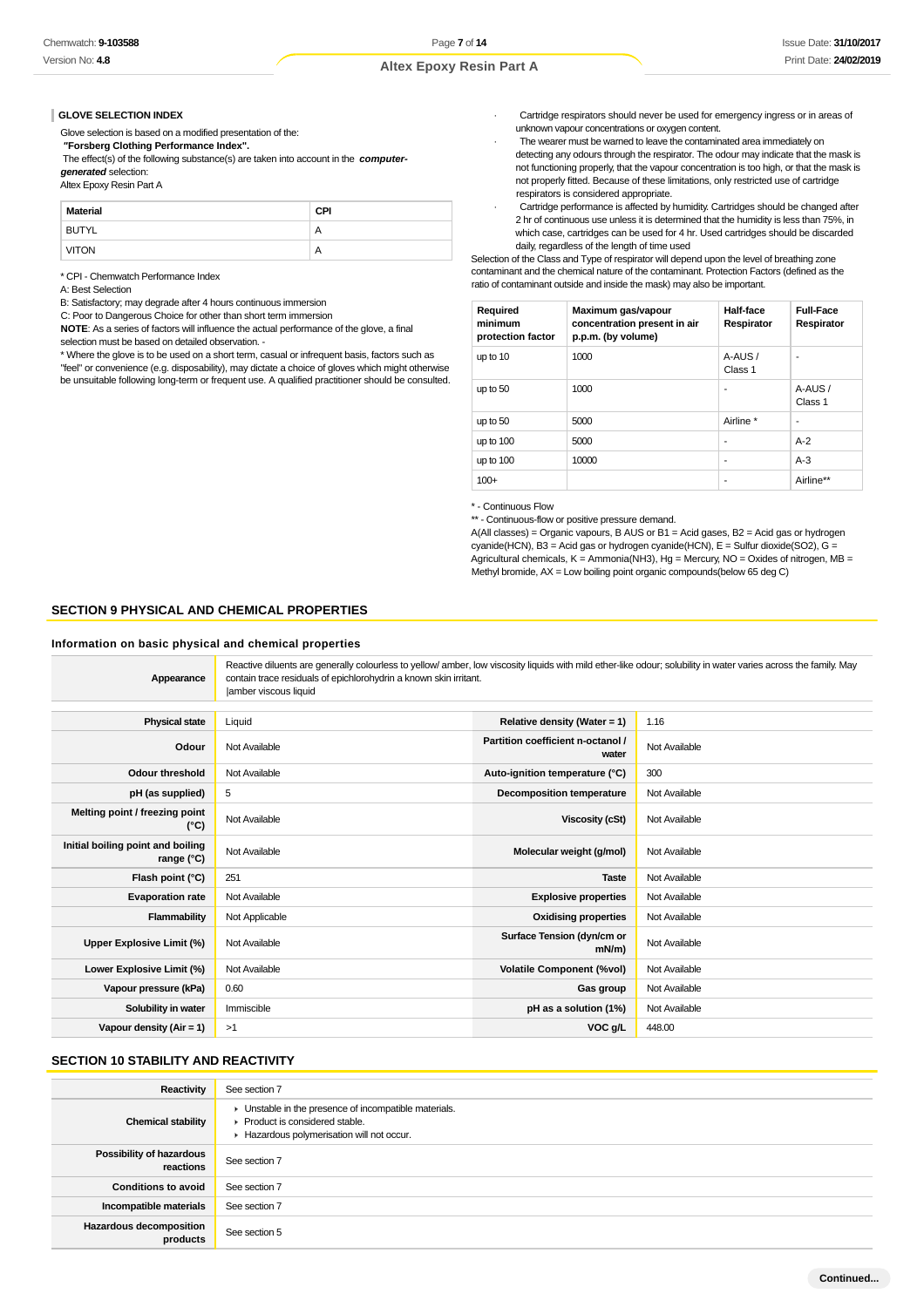#### **GLOVE SELECTION INDEX**

Glove selection is based on a modified presentation of the:

 **"Forsberg Clothing Performance Index".**

 The effect(s) of the following substance(s) are taken into account in the **computergenerated** selection:

Altex Epoxy Resin Part A

| Material     | <b>CPI</b>     |
|--------------|----------------|
| <b>BUTYL</b> | $\overline{A}$ |
| <b>VITON</b> | $\mathsf{A}$   |

\* CPI - Chemwatch Performance Index

A: Best Selection

B: Satisfactory; may degrade after 4 hours continuous immersion

C: Poor to Dangerous Choice for other than short term immersion

**NOTE**: As a series of factors will influence the actual performance of the glove, a final selection must be based on detailed observation. -

\* Where the glove is to be used on a short term, casual or infrequent basis, factors such as "feel" or convenience (e.g. disposability), may dictate a choice of gloves which might otherwise be unsuitable following long-term or frequent use. A qualified practitioner should be consulted.

- · Cartridge respirators should never be used for emergency ingress or in areas of unknown vapour concentrations or oxygen content.
- The wearer must be warned to leave the contaminated area immediately on detecting any odours through the respirator. The odour may indicate that the mask is not functioning properly, that the vapour concentration is too high, or that the mask is not properly fitted. Because of these limitations, only restricted use of cartridge respirators is considered appropriate.
- · Cartridge performance is affected by humidity. Cartridges should be changed after 2 hr of continuous use unless it is determined that the humidity is less than 75%, in which case, cartridges can be used for 4 hr. Used cartridges should be discarded daily, regardless of the length of time used

Selection of the Class and Type of respirator will depend upon the level of breathing zone contaminant and the chemical nature of the contaminant. Protection Factors (defined as the ratio of contaminant outside and inside the mask) may also be important.

| Required<br>minimum<br>protection factor | Maximum gas/vapour<br>concentration present in air<br>p.p.m. (by volume) | Half-face<br>Respirator | <b>Full-Face</b><br>Respirator |
|------------------------------------------|--------------------------------------------------------------------------|-------------------------|--------------------------------|
| up to 10                                 | 1000                                                                     | A-AUS/<br>Class 1       | ۰                              |
| up to 50                                 | 1000                                                                     | ٠                       | A-AUS/<br>Class 1              |
| up to 50                                 | 5000                                                                     | Airline *               | ۰                              |
| up to 100                                | 5000                                                                     | ٠                       | $A-2$                          |
| up to 100                                | 10000                                                                    | ٠                       | $A-3$                          |
| $100+$                                   |                                                                          | ٠                       | Airline**                      |

\* - Continuous Flow

\*\* - Continuous-flow or positive pressure demand.

A(All classes) = Organic vapours, B AUS or B1 = Acid gases, B2 = Acid gas or hydrogen cyanide(HCN), B3 = Acid gas or hydrogen cyanide(HCN), E = Sulfur dioxide(SO2), G = Agricultural chemicals,  $K =$  Ammonia(NH3), Hg = Mercury, NO = Oxides of nitrogen, MB = Methyl bromide,  $AX = Low$  boiling point organic compounds(below 65 deg C)

#### **SECTION 9 PHYSICAL AND CHEMICAL PROPERTIES**

#### **Information on basic physical and chemical properties**

| Appearance                                               | Reactive diluents are generally colourless to yellow/amber, low viscosity liquids with mild ether-like odour; solubility in water varies across the family. May<br>contain trace residuals of epichlorohydrin a known skin irritant.<br>lamber viscous liquid |                                            |               |
|----------------------------------------------------------|---------------------------------------------------------------------------------------------------------------------------------------------------------------------------------------------------------------------------------------------------------------|--------------------------------------------|---------------|
| <b>Physical state</b>                                    | Liquid                                                                                                                                                                                                                                                        | Relative density (Water = 1)               | 1.16          |
|                                                          |                                                                                                                                                                                                                                                               |                                            |               |
| Odour                                                    | Not Available                                                                                                                                                                                                                                                 | Partition coefficient n-octanol /<br>water | Not Available |
| <b>Odour threshold</b>                                   | Not Available                                                                                                                                                                                                                                                 | Auto-ignition temperature (°C)             | 300           |
| pH (as supplied)                                         | 5                                                                                                                                                                                                                                                             | <b>Decomposition temperature</b>           | Not Available |
| Melting point / freezing point<br>(°C)                   | Not Available                                                                                                                                                                                                                                                 | <b>Viscosity (cSt)</b>                     | Not Available |
| Initial boiling point and boiling<br>range $(^{\circ}C)$ | Not Available                                                                                                                                                                                                                                                 | Molecular weight (g/mol)                   | Not Available |
| Flash point (°C)                                         | 251                                                                                                                                                                                                                                                           | <b>Taste</b>                               | Not Available |
| <b>Evaporation rate</b>                                  | Not Available                                                                                                                                                                                                                                                 | <b>Explosive properties</b>                | Not Available |
| Flammability                                             | Not Applicable                                                                                                                                                                                                                                                | <b>Oxidising properties</b>                | Not Available |
| Upper Explosive Limit (%)                                | Not Available                                                                                                                                                                                                                                                 | Surface Tension (dyn/cm or<br>$mN/m$ )     | Not Available |
| Lower Explosive Limit (%)                                | Not Available                                                                                                                                                                                                                                                 | <b>Volatile Component (%vol)</b>           | Not Available |
| Vapour pressure (kPa)                                    | 0.60                                                                                                                                                                                                                                                          | Gas group                                  | Not Available |
| Solubility in water                                      | Immiscible                                                                                                                                                                                                                                                    | pH as a solution (1%)                      | Not Available |
| Vapour density (Air = 1)                                 | >1                                                                                                                                                                                                                                                            | VOC g/L                                    | 448.00        |

### **SECTION 10 STABILITY AND REACTIVITY**

| Reactivity                                   | See section 7                                                                                                                        |
|----------------------------------------------|--------------------------------------------------------------------------------------------------------------------------------------|
| <b>Chemical stability</b>                    | • Unstable in the presence of incompatible materials.<br>▶ Product is considered stable.<br>Hazardous polymerisation will not occur. |
| <b>Possibility of hazardous</b><br>reactions | See section 7                                                                                                                        |
| <b>Conditions to avoid</b>                   | See section 7                                                                                                                        |
| Incompatible materials                       | See section 7                                                                                                                        |
| <b>Hazardous decomposition</b><br>products   | See section 5                                                                                                                        |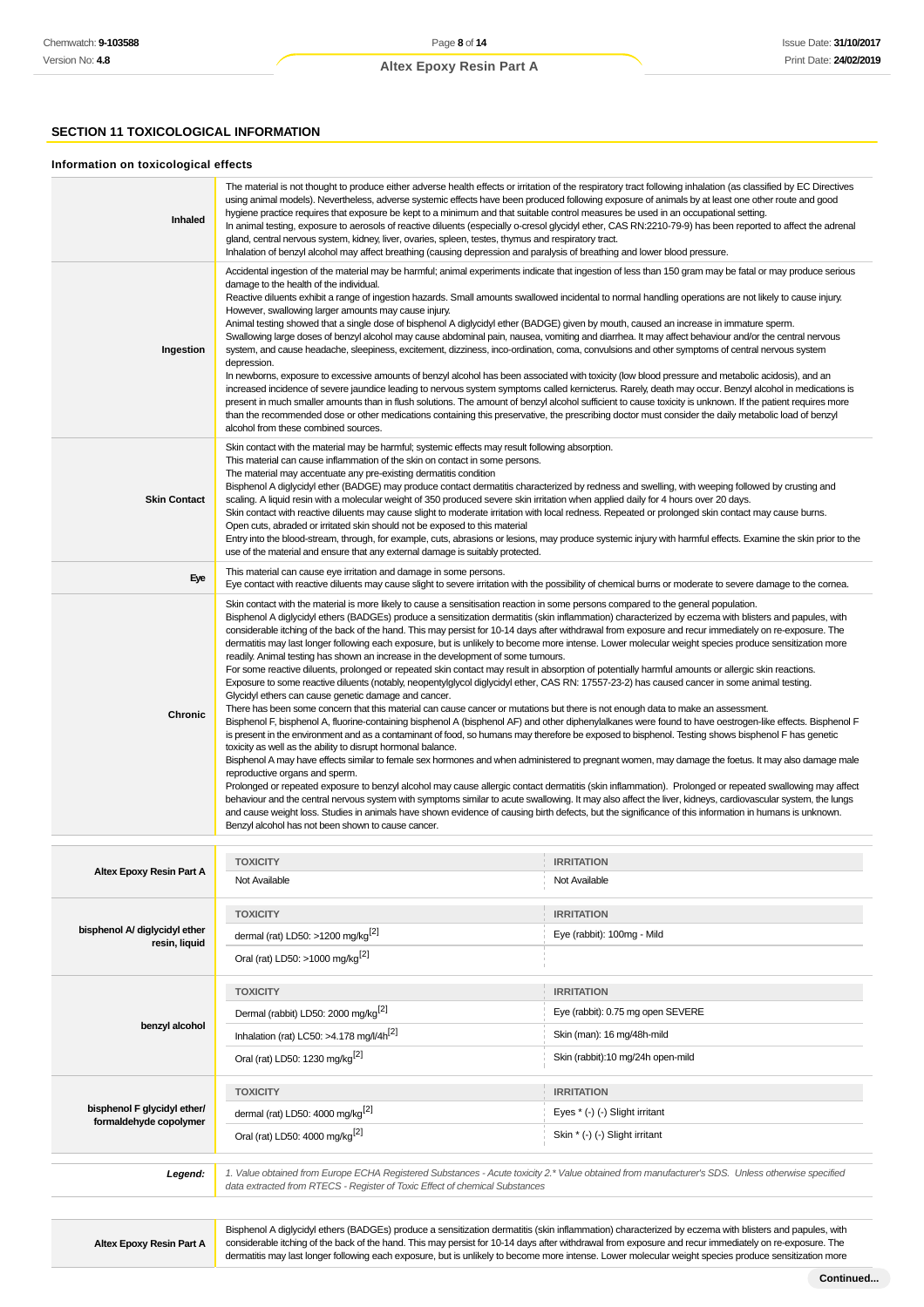# **SECTION 11 TOXICOLOGICAL INFORMATION**

#### **Information on toxicological effects**

| <b>Inhaled</b>      | The material is not thought to produce either adverse health effects or irritation of the respiratory tract following inhalation (as classified by EC Directives<br>using animal models). Nevertheless, adverse systemic effects have been produced following exposure of animals by at least one other route and good<br>hygiene practice requires that exposure be kept to a minimum and that suitable control measures be used in an occupational setting.<br>In animal testing, exposure to aerosols of reactive diluents (especially o-cresol glycidyl ether, CAS RN:2210-79-9) has been reported to affect the adrenal<br>gland, central nervous system, kidney, liver, ovaries, spleen, testes, thymus and respiratory tract.<br>Inhalation of benzyl alcohol may affect breathing (causing depression and paralysis of breathing and lower blood pressure.                                                                                                                                                                                                                                                                                                                                                                                                                                                                                                                                                                                                                                                                                                                                                                                                                                                                                                                                                                                                                                                                                                                                                                                                                                                                                                                                                                                                                                                           |
|---------------------|------------------------------------------------------------------------------------------------------------------------------------------------------------------------------------------------------------------------------------------------------------------------------------------------------------------------------------------------------------------------------------------------------------------------------------------------------------------------------------------------------------------------------------------------------------------------------------------------------------------------------------------------------------------------------------------------------------------------------------------------------------------------------------------------------------------------------------------------------------------------------------------------------------------------------------------------------------------------------------------------------------------------------------------------------------------------------------------------------------------------------------------------------------------------------------------------------------------------------------------------------------------------------------------------------------------------------------------------------------------------------------------------------------------------------------------------------------------------------------------------------------------------------------------------------------------------------------------------------------------------------------------------------------------------------------------------------------------------------------------------------------------------------------------------------------------------------------------------------------------------------------------------------------------------------------------------------------------------------------------------------------------------------------------------------------------------------------------------------------------------------------------------------------------------------------------------------------------------------------------------------------------------------------------------------------------------------|
| Ingestion           | Accidental ingestion of the material may be harmful; animal experiments indicate that ingestion of less than 150 gram may be fatal or may produce serious<br>damage to the health of the individual.<br>Reactive diluents exhibit a range of ingestion hazards. Small amounts swallowed incidental to normal handling operations are not likely to cause injury.<br>However, swallowing larger amounts may cause injury.<br>Animal testing showed that a single dose of bisphenol A diglycidyl ether (BADGE) given by mouth, caused an increase in immature sperm.<br>Swallowing large doses of benzyl alcohol may cause abdominal pain, nausea, vomiting and diarrhea. It may affect behaviour and/or the central nervous<br>system, and cause headache, sleepiness, excitement, dizziness, inco-ordination, coma, convulsions and other symptoms of central nervous system<br>depression.<br>In newborns, exposure to excessive amounts of benzyl alcohol has been associated with toxicity (low blood pressure and metabolic acidosis), and an<br>increased incidence of severe jaundice leading to nervous system symptoms called kernicterus. Rarely, death may occur. Benzyl alcohol in medications is<br>present in much smaller amounts than in flush solutions. The amount of benzyl alcohol sufficient to cause toxicity is unknown. If the patient requires more<br>than the recommended dose or other medications containing this preservative, the prescribing doctor must consider the daily metabolic load of benzyl<br>alcohol from these combined sources.                                                                                                                                                                                                                                                                                                                                                                                                                                                                                                                                                                                                                                                                                                                                                  |
| <b>Skin Contact</b> | Skin contact with the material may be harmful; systemic effects may result following absorption.<br>This material can cause inflammation of the skin on contact in some persons.<br>The material may accentuate any pre-existing dermatitis condition<br>Bisphenol A diglycidyl ether (BADGE) may produce contact dermatitis characterized by redness and swelling, with weeping followed by crusting and<br>scaling. A liquid resin with a molecular weight of 350 produced severe skin irritation when applied daily for 4 hours over 20 days.<br>Skin contact with reactive diluents may cause slight to moderate irritation with local redness. Repeated or prolonged skin contact may cause burns.<br>Open cuts, abraded or irritated skin should not be exposed to this material<br>Entry into the blood-stream, through, for example, cuts, abrasions or lesions, may produce systemic injury with harmful effects. Examine the skin prior to the<br>use of the material and ensure that any external damage is suitably protected.                                                                                                                                                                                                                                                                                                                                                                                                                                                                                                                                                                                                                                                                                                                                                                                                                                                                                                                                                                                                                                                                                                                                                                                                                                                                                   |
| Eye                 | This material can cause eye irritation and damage in some persons.<br>Eye contact with reactive diluents may cause slight to severe irritation with the possibility of chemical burns or moderate to severe damage to the comea.                                                                                                                                                                                                                                                                                                                                                                                                                                                                                                                                                                                                                                                                                                                                                                                                                                                                                                                                                                                                                                                                                                                                                                                                                                                                                                                                                                                                                                                                                                                                                                                                                                                                                                                                                                                                                                                                                                                                                                                                                                                                                             |
| Chronic             | Skin contact with the material is more likely to cause a sensitisation reaction in some persons compared to the general population.<br>Bisphenol A diglycidyl ethers (BADGEs) produce a sensitization dermatitis (skin inflammation) characterized by eczema with blisters and papules, with<br>considerable itching of the back of the hand. This may persist for 10-14 days after withdrawal from exposure and recur immediately on re-exposure. The<br>dermatitis may last longer following each exposure, but is unlikely to become more intense. Lower molecular weight species produce sensitization more<br>readily. Animal testing has shown an increase in the development of some tumours.<br>For some reactive diluents, prolonged or repeated skin contact may result in absorption of potentially harmful amounts or allergic skin reactions.<br>Exposure to some reactive diluents (notably, neopentylglycol diglycidyl ether, CAS RN: 17557-23-2) has caused cancer in some animal testing.<br>Glycidyl ethers can cause genetic damage and cancer.<br>There has been some concern that this material can cause cancer or mutations but there is not enough data to make an assessment.<br>Bisphenol F, bisphenol A, fluorine-containing bisphenol A (bisphenol AF) and other diphenylalkanes were found to have oestrogen-like effects. Bisphenol F<br>is present in the environment and as a contaminant of food, so humans may therefore be exposed to bisphenol. Testing shows bisphenol F has genetic<br>toxicity as well as the ability to disrupt hormonal balance.<br>Bisphenol A may have effects similar to female sex hormones and when administered to pregnant women, may damage the foetus. It may also damage male<br>reproductive organs and sperm.<br>Prolonged or repeated exposure to benzyl alcohol may cause allergic contact dermatitis (skin inflammation). Prolonged or repeated swallowing may affect<br>behaviour and the central nervous system with symptoms similar to acute swallowing. It may also affect the liver, kidneys, cardiovascular system, the lungs<br>and cause weight loss. Studies in animals have shown evidence of causing birth defects, but the significance of this information in humans is unknown.<br>Benzyl alcohol has not been shown to cause cancer. |
|                     |                                                                                                                                                                                                                                                                                                                                                                                                                                                                                                                                                                                                                                                                                                                                                                                                                                                                                                                                                                                                                                                                                                                                                                                                                                                                                                                                                                                                                                                                                                                                                                                                                                                                                                                                                                                                                                                                                                                                                                                                                                                                                                                                                                                                                                                                                                                              |

|                                                       | <b>TOXICITY</b>                                                             | <b>IRRITATION</b>                                                                                                                                |
|-------------------------------------------------------|-----------------------------------------------------------------------------|--------------------------------------------------------------------------------------------------------------------------------------------------|
| Altex Epoxy Resin Part A                              | Not Available                                                               | Not Available                                                                                                                                    |
|                                                       | <b>TOXICITY</b>                                                             | <b>IRRITATION</b>                                                                                                                                |
| bisphenol A/ diglycidyl ether<br>resin, liquid        | dermal (rat) LD50: >1200 mg/kg <sup>[2]</sup>                               | Eye (rabbit): 100mg - Mild                                                                                                                       |
|                                                       | Oral (rat) LD50: >1000 mg/kg <sup>[2]</sup>                                 |                                                                                                                                                  |
|                                                       | <b>TOXICITY</b>                                                             | <b>IRRITATION</b>                                                                                                                                |
|                                                       | Dermal (rabbit) LD50: 2000 mg/kg <sup>[2]</sup>                             | Eye (rabbit): 0.75 mg open SEVERE                                                                                                                |
| benzyl alcohol                                        | Inhalation (rat) LC50: >4.178 mg/l/4h <sup>[2]</sup>                        | Skin (man): 16 mg/48h-mild                                                                                                                       |
|                                                       | Oral (rat) LD50: 1230 mg/kg <sup>[2]</sup>                                  | Skin (rabbit):10 mg/24h open-mild                                                                                                                |
|                                                       | <b>TOXICITY</b>                                                             | <b>IRRITATION</b>                                                                                                                                |
| bisphenol F glycidyl ether/<br>formaldehyde copolymer | dermal (rat) LD50: 4000 mg/kg <sup>[2]</sup>                                | Eyes * (-) (-) Slight irritant                                                                                                                   |
|                                                       | Oral (rat) LD50: 4000 mg/kg <sup>[2]</sup>                                  | Skin * (-) (-) Slight irritant                                                                                                                   |
|                                                       |                                                                             |                                                                                                                                                  |
| Legend:                                               | data extracted from RTECS - Register of Toxic Effect of chemical Substances | 1. Value obtained from Europe ECHA Registered Substances - Acute toxicity 2.* Value obtained from manufacturer's SDS. Unless otherwise specified |
|                                                       |                                                                             |                                                                                                                                                  |

**Altex Epoxy Resin Part A**

Bisphenol A diglycidyl ethers (BADGEs) produce a sensitization dermatitis (skin inflammation) characterized by eczema with blisters and papules, with considerable itching of the back of the hand. This may persist for 10-14 days after withdrawal from exposure and recur immediately on re-exposure. The dermatitis may last longer following each exposure, but is unlikely to become more intense. Lower molecular weight species produce sensitization more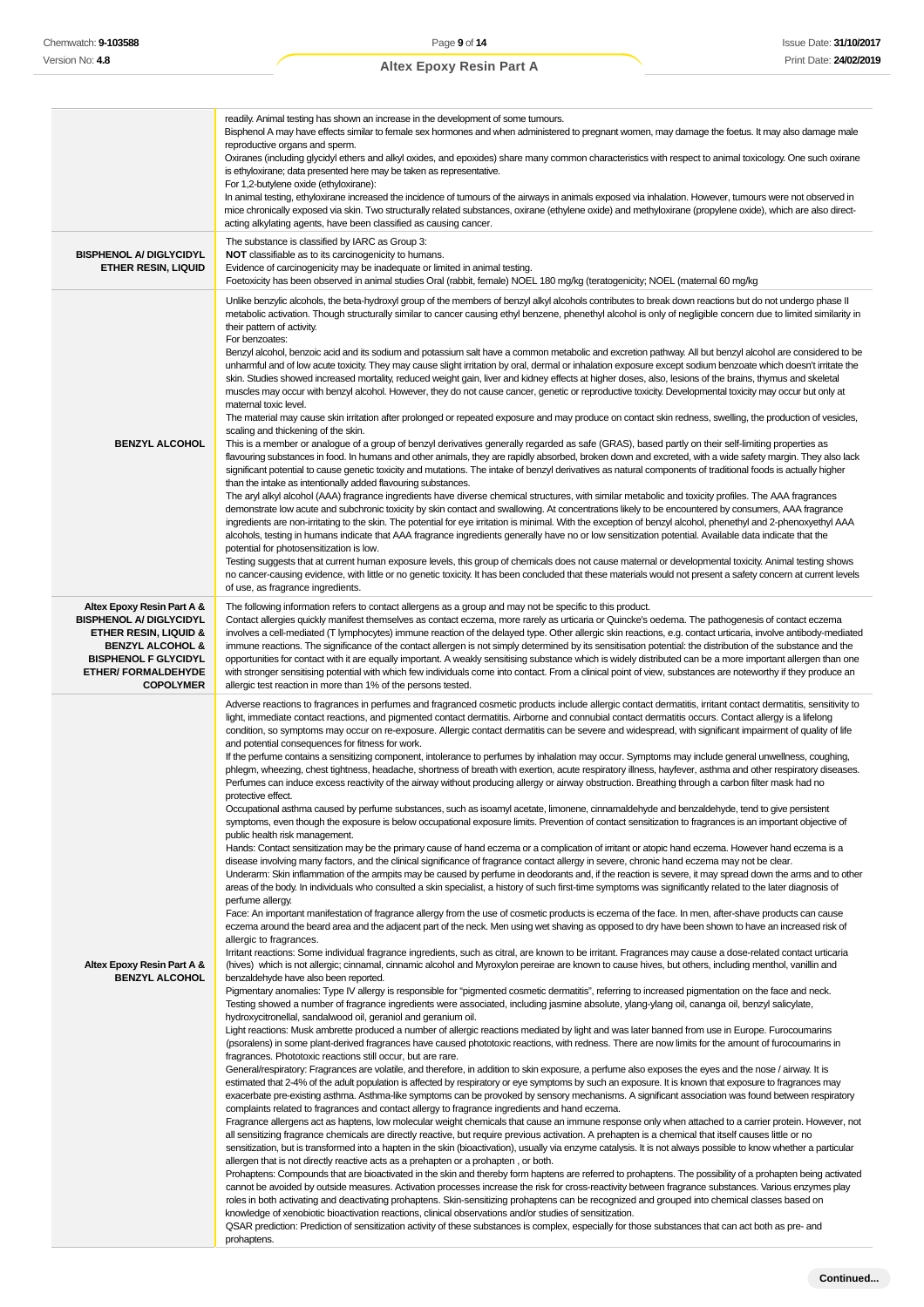# readily. Animal testing has shown an increase in the development of some tumours. Bisphenol A may have effects similar to female sex hormones and when administered to pregnant women, may damage the foetus. It may also damage male reproductive organs and sperm. Oxiranes (including glycidyl ethers and alkyl oxides, and epoxides) share many common characteristics with respect to animal toxicology. One such oxirane is ethyloxirane; data presented here may be taken as representative. For 1,2-butylene oxide (ethyloxirane): **Altex Epoxy Resin Part A**

In animal testing, ethyloxirane increased the incidence of tumours of the airways in animals exposed via inhalation. However, tumours were not observed in mice chronically exposed via skin. Two structurally related substances, oxirane (ethylene oxide) and methyloxirane (propylene oxide), which are also directacting alkylating agents, have been classified as causing cancer. **BISPHENOL A/ DIGLYCIDYL ETHER RESIN, LIQUID** The substance is classified by IARC as Group 3: **NOT** classifiable as to its carcinogenicity to humans. Evidence of carcinogenicity may be inadequate or limited in animal testing. Foetoxicity has been observed in animal studies Oral (rabbit, female) NOEL 180 mg/kg (teratogenicity; NOEL (maternal 60 mg/kg **BENZYL ALCOHOL** Unlike benzylic alcohols, the beta-hydroxyl group of the members of benzyl alkyl alcohols contributes to break down reactions but do not undergo phase II metabolic activation. Though structurally similar to cancer causing ethyl benzene, phenethyl alcohol is only of negligible concern due to limited similarity in their pattern of activity. For benzoates: Benzyl alcohol, benzoic acid and its sodium and potassium salt have a common metabolic and excretion pathway. All but benzyl alcohol are considered to be unharmful and of low acute toxicity. They may cause slight irritation by oral, dermal or inhalation exposure except sodium benzoate which doesn't irritate the skin. Studies showed increased mortality, reduced weight gain, liver and kidney effects at higher doses, also, lesions of the brains, thymus and skeletal muscles may occur with benzyl alcohol. However, they do not cause cancer, genetic or reproductive toxicity. Developmental toxicity may occur but only at maternal toxic level. The material may cause skin irritation after prolonged or repeated exposure and may produce on contact skin redness, swelling, the production of vesicles, scaling and thickening of the skin. This is a member or analogue of a group of benzyl derivatives generally regarded as safe (GRAS), based partly on their self-limiting properties as flavouring substances in food. In humans and other animals, they are rapidly absorbed, broken down and excreted, with a wide safety margin. They also lack significant potential to cause genetic toxicity and mutations. The intake of benzyl derivatives as natural components of traditional foods is actually higher than the intake as intentionally added flavouring substances. The aryl alkyl alcohol (AAA) fragrance ingredients have diverse chemical structures, with similar metabolic and toxicity profiles. The AAA fragrances demonstrate low acute and subchronic toxicity by skin contact and swallowing. At concentrations likely to be encountered by consumers, AAA fragrance ingredients are non-irritating to the skin. The potential for eye irritation is minimal. With the exception of benzyl alcohol, phenethyl and 2-phenoxyethyl AAA alcohols, testing in humans indicate that AAA fragrance ingredients generally have no or low sensitization potential. Available data indicate that the potential for photosensitization is low. Testing suggests that at current human exposure levels, this group of chemicals does not cause maternal or developmental toxicity. Animal testing shows no cancer-causing evidence, with little or no genetic toxicity. It has been concluded that these materials would not present a safety concern at current levels of use, as fragrance ingredients. **Altex Epoxy Resin Part A & BISPHENOL A/ DIGLYCIDYL ETHER RESIN, LIQUID & BENZYL ALCOHOL & BISPHENOL F GLYCIDYL ETHER/ FORMALDEHYDE COPOLYMER** The following information refers to contact allergens as a group and may not be specific to this product. Contact allergies quickly manifest themselves as contact eczema, more rarely as urticaria or Quincke's oedema. The pathogenesis of contact eczema involves a cell-mediated (T lymphocytes) immune reaction of the delayed type. Other allergic skin reactions, e.g. contact urticaria, involve antibody-mediated immune reactions. The significance of the contact allergen is not simply determined by its sensitisation potential: the distribution of the substance and the opportunities for contact with it are equally important. A weakly sensitising substance which is widely distributed can be a more important allergen than one with stronger sensitising potential with which few individuals come into contact. From a clinical point of view, substances are noteworthy if they produce an allergic test reaction in more than 1% of the persons tested. **Altex Epoxy Resin Part A & BENZYL ALCOHOL** Adverse reactions to fragrances in perfumes and fragranced cosmetic products include allergic contact dermatitis, irritant contact dermatitis, sensitivity to light, immediate contact reactions, and pigmented contact dermatitis. Airborne and connubial contact dermatitis occurs. Contact allergy is a lifelong condition, so symptoms may occur on re-exposure. Allergic contact dermatitis can be severe and widespread, with significant impairment of quality of life and potential consequences for fitness for work. If the perfume contains a sensitizing component, intolerance to perfumes by inhalation may occur. Symptoms may include general unwellness, coughing, phlegm, wheezing, chest tightness, headache, shortness of breath with exertion, acute respiratory illness, hayfever, asthma and other respiratory diseases. Perfumes can induce excess reactivity of the airway without producing allergy or airway obstruction. Breathing through a carbon filter mask had no protective effect Occupational asthma caused by perfume substances, such as isoamyl acetate, limonene, cinnamaldehyde and benzaldehyde, tend to give persistent symptoms, even though the exposure is below occupational exposure limits. Prevention of contact sensitization to fragrances is an important objective of public health risk management. Hands: Contact sensitization may be the primary cause of hand eczema or a complication of irritant or atopic hand eczema. However hand eczema is a disease involving many factors, and the clinical significance of fragrance contact allergy in severe, chronic hand eczema may not be clear. Underarm: Skin inflammation of the armpits may be caused by perfume in deodorants and, if the reaction is severe, it may spread down the arms and to other areas of the body. In individuals who consulted a skin specialist, a history of such first-time symptoms was significantly related to the later diagnosis of perfume allergy. Face: An important manifestation of fragrance allergy from the use of cosmetic products is eczema of the face. In men, after-shave products can cause eczema around the beard area and the adjacent part of the neck. Men using wet shaving as opposed to dry have been shown to have an increased risk of allergic to fragrances. Irritant reactions: Some individual fragrance ingredients, such as citral, are known to be irritant. Fragrances may cause a dose-related contact urticaria (hives) which is not allergic; cinnamal, cinnamic alcohol and Myroxylon pereirae are known to cause hives, but others, including menthol, vanillin and benzaldehyde have also been reported. Pigmentary anomalies: Type IV allergy is responsible for "pigmented cosmetic dermatitis", referring to increased pigmentation on the face and neck. Testing showed a number of fragrance ingredients were associated, including jasmine absolute, ylang-ylang oil, cananga oil, benzyl salicylate, hydroxycitronellal, sandalwood oil, geraniol and geranium oil. Light reactions: Musk ambrette produced a number of allergic reactions mediated by light and was later banned from use in Europe. Furocoumarins (psoralens) in some plant-derived fragrances have caused phototoxic reactions, with redness. There are now limits for the amount of furocoumarins in fragrances. Phototoxic reactions still occur, but are rare. General/respiratory: Fragrances are volatile, and therefore, in addition to skin exposure, a perfume also exposes the eyes and the nose / airway. It is estimated that 2-4% of the adult population is affected by respiratory or eye symptoms by such an exposure. It is known that exposure to fragrances may exacerbate pre-existing asthma. Asthma-like symptoms can be provoked by sensory mechanisms. A significant association was found between respiratory complaints related to fragrances and contact allergy to fragrance ingredients and hand eczema. Fragrance allergens act as haptens, low molecular weight chemicals that cause an immune response only when attached to a carrier protein. However, not all sensitizing fragrance chemicals are directly reactive, but require previous activation. A prehapten is a chemical that itself causes little or no sensitization, but is transformed into a hapten in the skin (bioactivation), usually via enzyme catalysis. It is not always possible to know whether a particular allergen that is not directly reactive acts as a prehapten or a prohapten , or both. Prohaptens: Compounds that are bioactivated in the skin and thereby form haptens are referred to prohaptens. The possibility of a prohapten being activated cannot be avoided by outside measures. Activation processes increase the risk for cross-reactivity between fragrance substances. Various enzymes play roles in both activating and deactivating prohaptens. Skin-sensitizing prohaptens can be recognized and grouped into chemical classes based on

> knowledge of xenobiotic bioactivation reactions, clinical observations and/or studies of sensitization. QSAR prediction: Prediction of sensitization activity of these substances is complex, especially for those substances that can act both as pre- and prohaptens.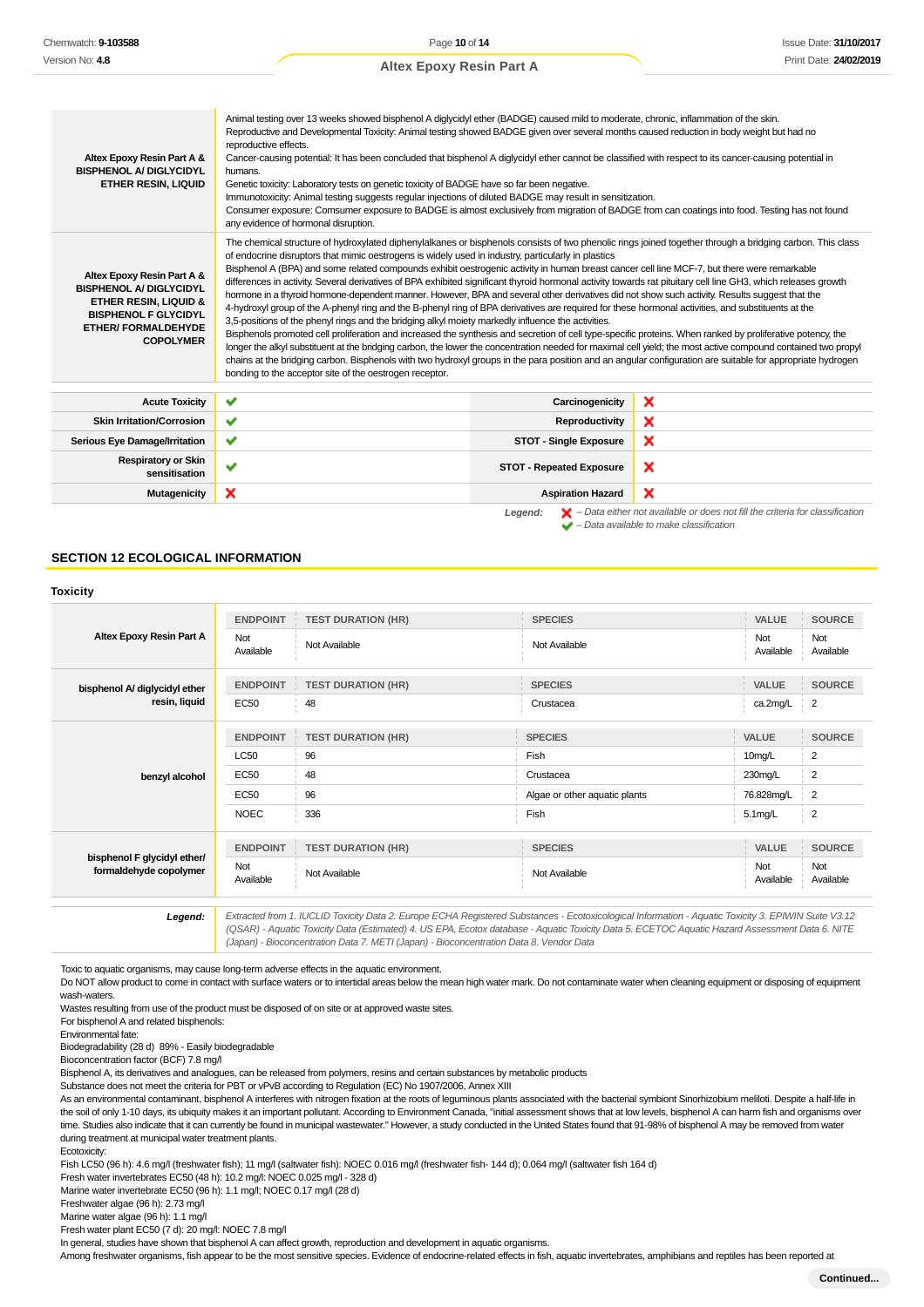| Altex Epoxy Resin Part A &<br><b>BISPHENOL A/ DIGLYCIDYL</b><br><b>ETHER RESIN, LIQUID</b>                                                                                        | Animal testing over 13 weeks showed bisphenol A diglycidyl ether (BADGE) caused mild to moderate, chronic, inflammation of the skin.<br>Reproductive and Developmental Toxicity: Animal testing showed BADGE given over several months caused reduction in body weight but had no<br>reproductive effects.<br>Cancer-causing potential: It has been concluded that bisphenol A diglycidyl ether cannot be classified with respect to its cancer-causing potential in<br>humans.<br>Genetic toxicity: Laboratory tests on genetic toxicity of BADGE have so far been negative.<br>Immunotoxicity: Animal testing suggests regular injections of diluted BADGE may result in sensitization.<br>Consumer exposure: Comsumer exposure to BADGE is almost exclusively from migration of BADGE from can coatings into food. Testing has not found<br>any evidence of hormonal disruption.                                                                                                                                                                                                                                                                                                                                                                                                                                                                                                                                                                                                                                                                    |                                 |                                                                                                                                                                     |  |
|-----------------------------------------------------------------------------------------------------------------------------------------------------------------------------------|--------------------------------------------------------------------------------------------------------------------------------------------------------------------------------------------------------------------------------------------------------------------------------------------------------------------------------------------------------------------------------------------------------------------------------------------------------------------------------------------------------------------------------------------------------------------------------------------------------------------------------------------------------------------------------------------------------------------------------------------------------------------------------------------------------------------------------------------------------------------------------------------------------------------------------------------------------------------------------------------------------------------------------------------------------------------------------------------------------------------------------------------------------------------------------------------------------------------------------------------------------------------------------------------------------------------------------------------------------------------------------------------------------------------------------------------------------------------------------------------------------------------------------------------------------|---------------------------------|---------------------------------------------------------------------------------------------------------------------------------------------------------------------|--|
| Altex Epoxy Resin Part A &<br><b>BISPHENOL A/ DIGLYCIDYL</b><br><b>ETHER RESIN, LIQUID &amp;</b><br><b>BISPHENOL F GLYCIDYL</b><br><b>ETHER/ FORMALDEHYDE</b><br><b>COPOLYMER</b> | The chemical structure of hydroxylated diphenylalkanes or bisphenols consists of two phenolic rings joined together through a bridging carbon. This class<br>of endocrine disruptors that mimic oestrogens is widely used in industry, particularly in plastics<br>Bisphenol A (BPA) and some related compounds exhibit oestrogenic activity in human breast cancer cell line MCF-7, but there were remarkable<br>differences in activity. Several derivatives of BPA exhibited significant thyroid hormonal activity towards rat pituitary cell line GH3, which releases growth<br>hormone in a thyroid hormone-dependent manner. However, BPA and several other derivatives did not show such activity. Results suggest that the<br>4-hydroxyl group of the A-phenyl ring and the B-phenyl ring of BPA derivatives are required for these hormonal activities, and substituents at the<br>3,5-positions of the phenyl rings and the bridging alkyl moiety markedly influence the activities.<br>Bisphenols promoted cell proliferation and increased the synthesis and secretion of cell type-specific proteins. When ranked by proliferative potency, the<br>longer the alkyl substituent at the bridging carbon, the lower the concentration needed for maximal cell yield; the most active compound contained two propyl<br>chains at the bridging carbon. Bisphenols with two hydroxyl groups in the para position and an angular configuration are suitable for appropriate hydrogen<br>bonding to the acceptor site of the oestrogen receptor. |                                 |                                                                                                                                                                     |  |
| <b>Acute Toxicity</b>                                                                                                                                                             | ✔                                                                                                                                                                                                                                                                                                                                                                                                                                                                                                                                                                                                                                                                                                                                                                                                                                                                                                                                                                                                                                                                                                                                                                                                                                                                                                                                                                                                                                                                                                                                                      | Carcinogenicity                 | ×                                                                                                                                                                   |  |
| <b>Skin Irritation/Corrosion</b>                                                                                                                                                  | ✔                                                                                                                                                                                                                                                                                                                                                                                                                                                                                                                                                                                                                                                                                                                                                                                                                                                                                                                                                                                                                                                                                                                                                                                                                                                                                                                                                                                                                                                                                                                                                      | Reproductivity                  | ×                                                                                                                                                                   |  |
| Serious Eye Damage/Irritation                                                                                                                                                     | ✔                                                                                                                                                                                                                                                                                                                                                                                                                                                                                                                                                                                                                                                                                                                                                                                                                                                                                                                                                                                                                                                                                                                                                                                                                                                                                                                                                                                                                                                                                                                                                      | <b>STOT - Single Exposure</b>   | ×                                                                                                                                                                   |  |
| <b>Respiratory or Skin</b><br>sensitisation                                                                                                                                       | ✓                                                                                                                                                                                                                                                                                                                                                                                                                                                                                                                                                                                                                                                                                                                                                                                                                                                                                                                                                                                                                                                                                                                                                                                                                                                                                                                                                                                                                                                                                                                                                      | <b>STOT - Repeated Exposure</b> | ×                                                                                                                                                                   |  |
| Mutagenicity                                                                                                                                                                      | ×                                                                                                                                                                                                                                                                                                                                                                                                                                                                                                                                                                                                                                                                                                                                                                                                                                                                                                                                                                                                                                                                                                                                                                                                                                                                                                                                                                                                                                                                                                                                                      | <b>Aspiration Hazard</b>        | ×                                                                                                                                                                   |  |
|                                                                                                                                                                                   |                                                                                                                                                                                                                                                                                                                                                                                                                                                                                                                                                                                                                                                                                                                                                                                                                                                                                                                                                                                                                                                                                                                                                                                                                                                                                                                                                                                                                                                                                                                                                        | Legend:                         | $\blacktriangleright$ - Data either not available or does not fill the criteria for classification<br>$\blacktriangleright$ - Data available to make classification |  |

### **SECTION 12 ECOLOGICAL INFORMATION**

|                                                       | <b>ENDPOINT</b>  | <b>TEST DURATION (HR)</b>                        | <b>SPECIES</b>                | VALUE              | <b>SOURCE</b>    |
|-------------------------------------------------------|------------------|--------------------------------------------------|-------------------------------|--------------------|------------------|
| Altex Epoxy Resin Part A                              | Not<br>Available | Not Available                                    | Not Available                 | Not<br>Available   | Not<br>Available |
| bisphenol A/ diglycidyl ether                         | <b>ENDPOINT</b>  | <b>TEST DURATION (HR)</b><br>$\langle 1 \rangle$ | <b>SPECIES</b>                | <b>VALUE</b>       | <b>SOURCE</b>    |
| resin, liquid                                         | <b>EC50</b>      | 48                                               | Crustacea                     | ca.2mg/L           | 2                |
|                                                       | <b>ENDPOINT</b>  | <b>TEST DURATION (HR)</b>                        | <b>SPECIES</b>                | <b>VALUE</b>       | <b>SOURCE</b>    |
|                                                       | LC50             | 96                                               | Fish                          | 10 <sub>mg/L</sub> | 2                |
| benzyl alcohol                                        | <b>EC50</b>      | 48                                               | Crustacea                     | 230mg/L            | 2                |
|                                                       | <b>EC50</b>      | 96                                               | Algae or other aquatic plants | 76.828mg/L         | 2                |
|                                                       | <b>NOEC</b>      | 336                                              | Fish                          | $5.1$ mg/L         | 2                |
| bisphenol F glycidyl ether/<br>formaldehyde copolymer | <b>ENDPOINT</b>  | <b>TEST DURATION (HR)</b>                        | <b>SPECIES</b>                | <b>VALUE</b>       | <b>SOURCE</b>    |
|                                                       | Not<br>Available | Not Available                                    | Not Available                 | Not<br>Available   | Not<br>Available |

(QSAR) - Aquatic Toxicity Data (Estimated) 4. US EPA, Ecotox database - Aquatic Toxicity Data 5. ECETOC Aquatic Hazard Assessment Data 6. NITE (Japan) - Bioconcentration Data 7. METI (Japan) - Bioconcentration Data 8. Vendor Data

Toxic to aquatic organisms, may cause long-term adverse effects in the aquatic environment.

Do NOT allow product to come in contact with surface waters or to intertidal areas below the mean high water mark. Do not contaminate water when cleaning equipment or disposing of equipment wash-waters.

Wastes resulting from use of the product must be disposed of on site or at approved waste sites.

For bisphenol A and related bisphenols: Environmental fate:

Biodegradability (28 d) 89% - Easily biodegradable

Bioconcentration factor (BCF) 7.8 mg/l

Bisphenol A, its derivatives and analogues, can be released from polymers, resins and certain substances by metabolic products

Substance does not meet the criteria for PBT or vPvB according to Regulation (EC) No 1907/2006, Annex XIII

As an environmental contaminant, bisphenol A interferes with nitrogen fixation at the roots of leguminous plants associated with the bacterial symbiont Sinorhizobium meliloti. Despite a half-life in the soil of only 1-10 days, its ubiquity makes it an important pollutant. According to Environment Canada, "initial assessment shows that at low levels, bisphenol A can harm fish and organisms over time. Studies also indicate that it can currently be found in municipal wastewater." However, a study conducted in the United States found that 91-98% of bisphenol A may be removed from water during treatment at municipal water treatment plants.

Ecotoxicity:

Fish LC50 (96 h): 4.6 mg/l (freshwater fish); 11 mg/l (saltwater fish): NOEC 0.016 mg/l (freshwater fish- 144 d); 0.064 mg/l (saltwater fish 164 d)

Fresh water invertebrates EC50 (48 h): 10.2 mg/l: NOEC 0.025 mg/l - 328 d)

Marine water invertebrate EC50 (96 h): 1.1 mg/l; NOEC 0.17 mg/l (28 d)

Freshwater algae (96 h): 2.73 mg/l

Marine water algae (96 h): 1.1 mg/l

Fresh water plant EC50 (7 d): 20 mg/l: NOEC 7.8 mg/l

In general, studies have shown that bisphenol A can affect growth, reproduction and development in aquatic organisms.

Among freshwater organisms, fish appear to be the most sensitive species. Evidence of endocrine-related effects in fish, aquatic invertebrates, amphibians and reptiles has been reported at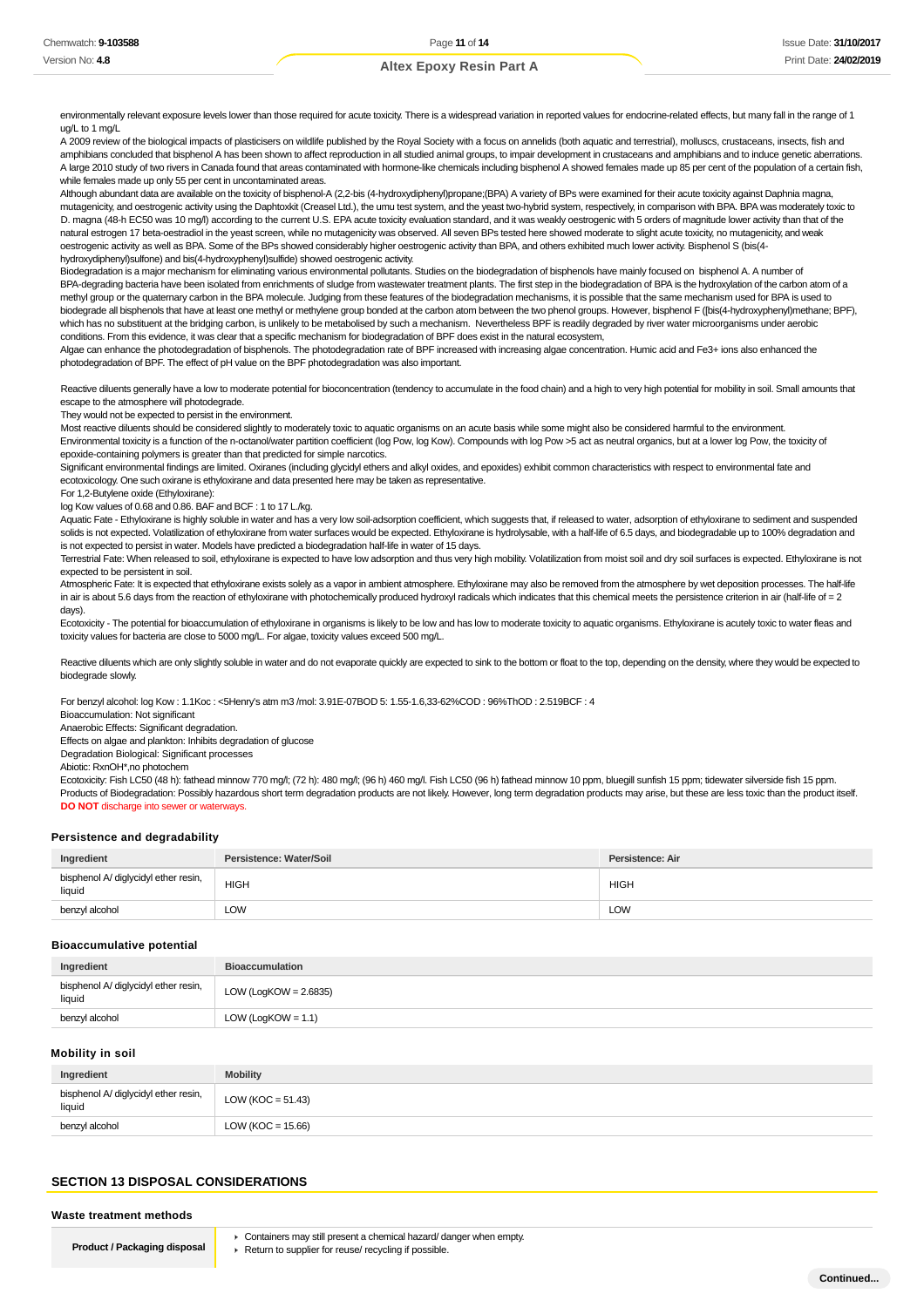environmentally relevant exposure levels lower than those required for acute toxicity. There is a widespread variation in reported values for endocrine-related effects, but many fall in the range of 1  $\ln \frac{1}{\ln 1}$  to 1 mg/L

A 2009 review of the biological impacts of plasticisers on wildlife published by the Royal Society with a focus on annelids (both aquatic and terrestrial), molluscs, crustaceans, insects, fish and amphibians concluded that bisphenol A has been shown to affect reproduction in all studied animal groups, to impair development in crustaceans and amphibians and to induce genetic aberrations. A large 2010 study of two rivers in Canada found that areas contaminated with hormone-like chemicals including bisphenol A showed females made up 85 per cent of the population of a certain fish, while females made up only 55 per cent in uncontaminated areas.

Although abundant data are available on the toxicity of bisphenol-A (2,2-bis (4-hydroxydiphenyl)propane;(BPA) A variety of BPs were examined for their acute toxicity against Daphnia magna, mutagenicity, and oestrogenic activity using the Daphtoxkit (Creasel Ltd.), the umu test system, and the yeast two-hybrid system, respectively, in comparison with BPA. BPA was moderately toxic to D. magna (48-h EC50 was 10 mg/l) according to the current U.S. EPA acute toxicity evaluation standard, and it was weakly oestrogenic with 5 orders of magnitude lower activity than that of the natural estrogen 17 beta-oestradiol in the yeast screen, while no mutagenicity was observed. All seven BPs tested here showed moderate to slight acute toxicity, no mutagenicity, and weak oestrogenic activity as well as BPA. Some of the BPs showed considerably higher oestrogenic activity than BPA, and others exhibited much lower activity. Bisphenol S (bis(4 hydroxydiphenyl)sulfone) and bis(4-hydroxyphenyl)sulfide) showed oestrogenic activity.

Biodegradation is a major mechanism for eliminating various environmental pollutants. Studies on the biodegradation of bisphenols have mainly focused on bisphenol A. A number of BPA-degrading bacteria have been isolated from enrichments of sludge from wastewater treatment plants. The first step in the biodegradation of BPA is the hydroxylation of the carbon atom of a methyl group or the quaternary carbon in the BPA molecule. Judging from these features of the biodegradation mechanisms, it is possible that the same mechanism used for BPA is used to biodegrade all bisphenols that have at least one methyl or methylene group bonded at the carbon atom between the two phenol groups. However, bisphenol F ([bis(4-hydroxyphenyl)methane; BPF), which has no substituent at the bridging carbon, is unlikely to be metabolised by such a mechanism. Nevertheless BPF is readily degraded by river water microorganisms under aerobic conditions. From this evidence, it was clear that a specific mechanism for biodegradation of BPF does exist in the natural ecosystem,

Algae can enhance the photodegradation of bisphenols. The photodegradation rate of BPF increased with increasing algae concentration. Humic acid and Fe3+ ions also enhanced the photodegradation of BPF. The effect of pH value on the BPF photodegradation was also important.

Reactive diluents generally have a low to moderate potential for bioconcentration (tendency to accumulate in the food chain) and a high to very high potential for mobility in soil. Small amounts that escape to the atmosphere will photodegrade.

They would not be expected to persist in the environment.

Most reactive diluents should be considered slightly to moderately toxic to aquatic organisms on an acute basis while some might also be considered harmful to the environment. Environmental toxicity is a function of the n-octanol/water partition coefficient (log Pow, log Kow). Compounds with log Pow >5 act as neutral organics, but at a lower log Pow, the toxicity of epoxide-containing polymers is greater than that predicted for simple narcotics.

Significant environmental findings are limited. Oxiranes (including glycidyl ethers and alkyl oxides, and epoxides) exhibit common characteristics with respect to environmental fate and ecotoxicology. One such oxirane is ethyloxirane and data presented here may be taken as representative.

For 1,2-Butylene oxide (Ethyloxirane):

log Kow values of 0.68 and 0.86. BAF and BCF : 1 to 17 L./kg.

Aquatic Fate - Ethyloxirane is highly soluble in water and has a very low soil-adsorption coefficient, which suggests that, if released to water, adsorption of ethyloxirane to sediment and suspended solids is not expected. Volatilization of ethyloxirane from water surfaces would be expected. Ethyloxirane is hydrolysable, with a half-life of 6.5 days, and biodegradable up to 100% degradation and is not expected to persist in water. Models have predicted a biodegradation half-life in water of 15 days.

Terrestrial Fate: When released to soil, ethyloxirane is expected to have low adsorption and thus very high mobility. Volatilization from moist soil and dry soil surfaces is expected. Ethyloxirane is not expected to be persistent in soil.

Atmospheric Fate: It is expected that ethyloxirane exists solely as a vapor in ambient atmosphere. Ethyloxirane may also be removed from the atmosphere by wet deposition processes. The half-life in air is about 5.6 days from the reaction of ethyloxirane with photochemically produced hydroxyl radicals which indicates that this chemical meets the persistence criterion in air (half-life of = 2 days).

Ecotoxicity - The potential for bioaccumulation of ethyloxirane in organisms is likely to be low and has low to moderate toxicity to aquatic organisms. Ethyloxirane is acutely toxic to water fleas and toxicity values for bacteria are close to 5000 mg/L. For algae, toxicity values exceed 500 mg/L.

Reactive diluents which are only slightly soluble in water and do not evaporate quickly are expected to sink to the bottom or float to the top, depending on the density, where they would be expected to biodegrade slowly.

For benzyl alcohol: log Kow : 1.1Koc : <5Henry's atm m3 /mol: 3.91E-07BOD 5: 1.55-1.6,33-62%COD : 96%ThOD : 2.519BCF : 4

Bioaccumulation: Not significant

Anaerobic Effects: Significant degradation.

Effects on algae and plankton: Inhibits degradation of glucose

Degradation Biological: Significant processes

Abiotic: RxnOH\*,no photochem

Ecotoxicity: Fish LC50 (48 h): fathead minnow 770 mg/l; (72 h): 480 mg/l; (96 h) 460 mg/l. Fish LC50 (96 h) fathead minnow 10 ppm, bluegill sunfish 15 ppm; tidewater silverside fish 15 ppm. Products of Biodegradation: Possibly hazardous short term degradation products are not likely. However, long term degradation products may arise, but these are less toxic than the product itself. **DO NOT** discharge into sewer or waterways.

#### **Persistence and degradability**

| Ingredient                                     | Persistence: Water/Soil | Persistence: Air |
|------------------------------------------------|-------------------------|------------------|
| bisphenol A/ diglycidyl ether resin,<br>liauid | <b>HIGH</b>             | <b>HIGH</b>      |
| benzyl alcohol                                 | LOW                     | LOW              |

#### **Bioaccumulative potential**

| Ingredient                                     | <b>Bioaccumulation</b> |
|------------------------------------------------|------------------------|
| bisphenol A/ diglycidyl ether resin,<br>liquid | LOW (LogKOW = 2.6835)  |
| benzyl alcohol                                 | LOW (LogKOW = $1.1$ )  |

#### **Mobility in soil**

| Ingredient                                     | <b>Mobility</b>       |
|------------------------------------------------|-----------------------|
| bisphenol A/ diglycidyl ether resin,<br>liquid | LOW ( $KOC = 51.43$ ) |
| benzyl alcohol                                 | LOW (KOC = $15.66$ )  |

### **SECTION 13 DISPOSAL CONSIDERATIONS**

**Waste treatment methods**

**Product / Packaging disposal**

▶ Containers may still present a chemical hazard/ danger when empty. ▶ Return to supplier for reuse/ recycling if possible.

**Continued...**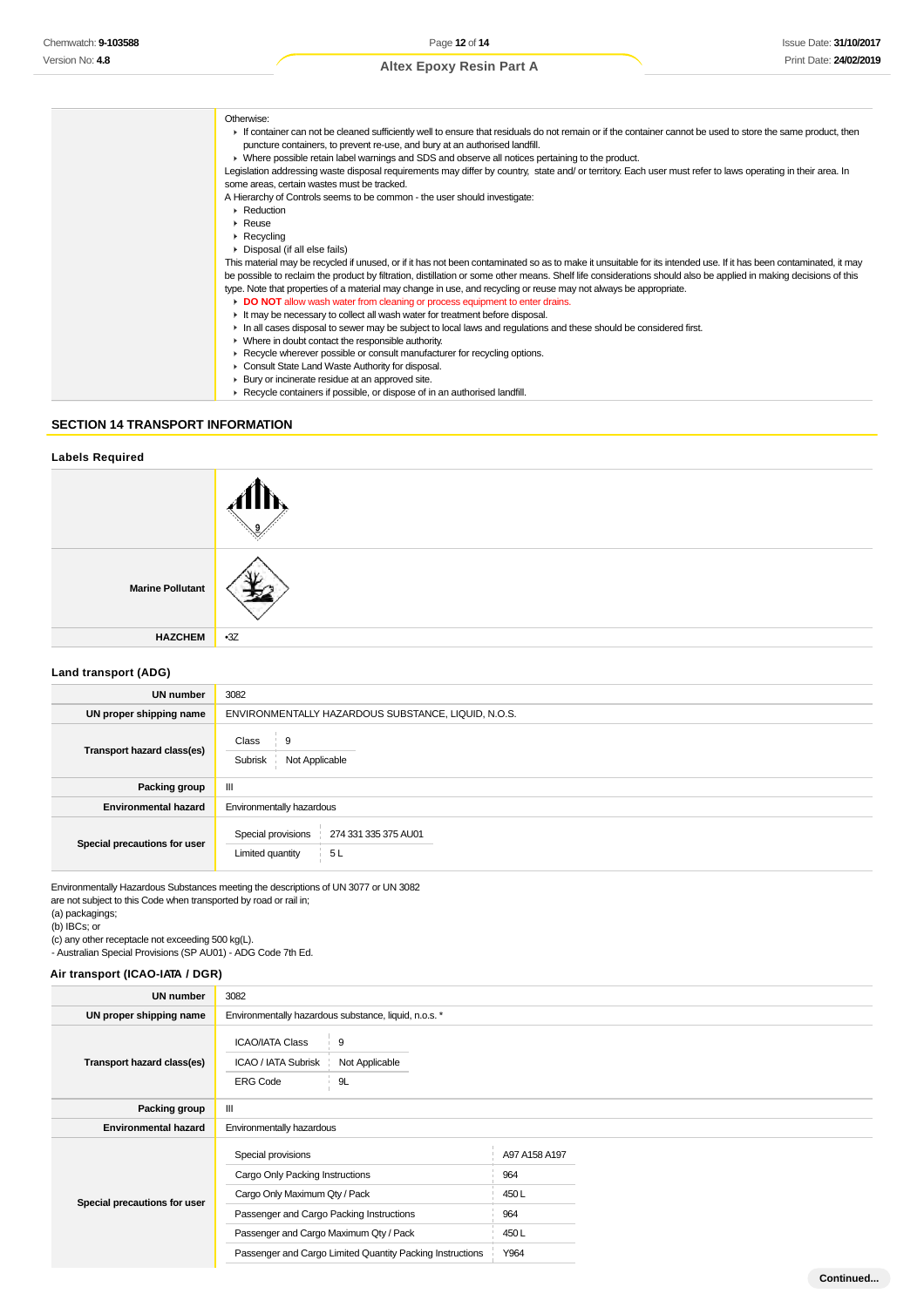**Continued...**

# **Altex Epoxy Resin Part A**

| Otherwise:                                                                                                                                                        |
|-------------------------------------------------------------------------------------------------------------------------------------------------------------------|
| If container can not be cleaned sufficiently well to ensure that residuals do not remain or if the container cannot be used to store the same product, then       |
| puncture containers, to prevent re-use, and bury at an authorised landfill.                                                                                       |
| ► Where possible retain label warnings and SDS and observe all notices pertaining to the product.                                                                 |
| Legislation addressing waste disposal requirements may differ by country, state and/ or territory. Each user must refer to laws operating in their area. In       |
| some areas, certain wastes must be tracked.                                                                                                                       |
| A Hierarchy of Controls seems to be common - the user should investigate:                                                                                         |
| Reduction                                                                                                                                                         |
| $\triangleright$ Reuse                                                                                                                                            |
| $\triangleright$ Recycling                                                                                                                                        |
| • Disposal (if all else fails)                                                                                                                                    |
| This material may be recycled if unused, or if it has not been contaminated so as to make it unsuitable for its intended use. If it has been contaminated, it may |
| be possible to reclaim the product by filtration, distillation or some other means. Shelf life considerations should also be applied in making decisions of this  |
| type. Note that properties of a material may change in use, and recycling or reuse may not always be appropriate.                                                 |
| DO NOT allow wash water from cleaning or process equipment to enter drains.                                                                                       |
| It may be necessary to collect all wash water for treatment before disposal.                                                                                      |
| In all cases disposal to sewer may be subject to local laws and regulations and these should be considered first.                                                 |
| • Where in doubt contact the responsible authority.                                                                                                               |
| ▶ Recycle wherever possible or consult manufacturer for recycling options.                                                                                        |
| Consult State Land Waste Authority for disposal.                                                                                                                  |
| ▶ Bury or incinerate residue at an approved site.                                                                                                                 |
| ▶ Recycle containers if possible, or dispose of in an authorised landfill.                                                                                        |
|                                                                                                                                                                   |

### **SECTION 14 TRANSPORT INFORMATION**

#### **Labels Required**



# **Land transport (ADG)**

| <b>UN number</b>             | 3082                                                                 |  |  |
|------------------------------|----------------------------------------------------------------------|--|--|
| UN proper shipping name      | ENVIRONMENTALLY HAZARDOUS SUBSTANCE, LIQUID, N.O.S.                  |  |  |
| Transport hazard class(es)   | Class<br>9<br>Subrisk<br>Not Applicable                              |  |  |
| Packing group                | Ш                                                                    |  |  |
| <b>Environmental hazard</b>  | Environmentally hazardous                                            |  |  |
| Special precautions for user | Special provisions<br>274 331 335 375 AU01<br>5L<br>Limited quantity |  |  |

Environmentally Hazardous Substances meeting the descriptions of UN 3077 or UN 3082 are not subject to this Code when transported by road or rail in;

(a) packagings;

(b) IBCs; or

(c) any other receptacle not exceeding 500 kg(L).

- Australian Special Provisions (SP AU01) - ADG Code 7th Ed.

# **Air transport (ICAO-IATA / DGR)**

| <b>UN number</b>             | 3082                                                                                                                                                                                                                                      |                                                       |                                                     |  |
|------------------------------|-------------------------------------------------------------------------------------------------------------------------------------------------------------------------------------------------------------------------------------------|-------------------------------------------------------|-----------------------------------------------------|--|
| UN proper shipping name      |                                                                                                                                                                                                                                           | Environmentally hazardous substance, liquid, n.o.s. * |                                                     |  |
| Transport hazard class(es)   | <b>ICAO/IATA Class</b><br>9<br>ICAO / IATA Subrisk<br><b>ERG Code</b>                                                                                                                                                                     | Not Applicable<br>9L                                  |                                                     |  |
| Packing group                | Ш                                                                                                                                                                                                                                         |                                                       |                                                     |  |
| <b>Environmental hazard</b>  | Environmentally hazardous                                                                                                                                                                                                                 |                                                       |                                                     |  |
| Special precautions for user | Special provisions<br>Cargo Only Packing Instructions<br>Cargo Only Maximum Qty / Pack<br>Passenger and Cargo Packing Instructions<br>Passenger and Cargo Maximum Qty / Pack<br>Passenger and Cargo Limited Quantity Packing Instructions |                                                       | A97 A158 A197<br>964<br>450L<br>964<br>450L<br>Y964 |  |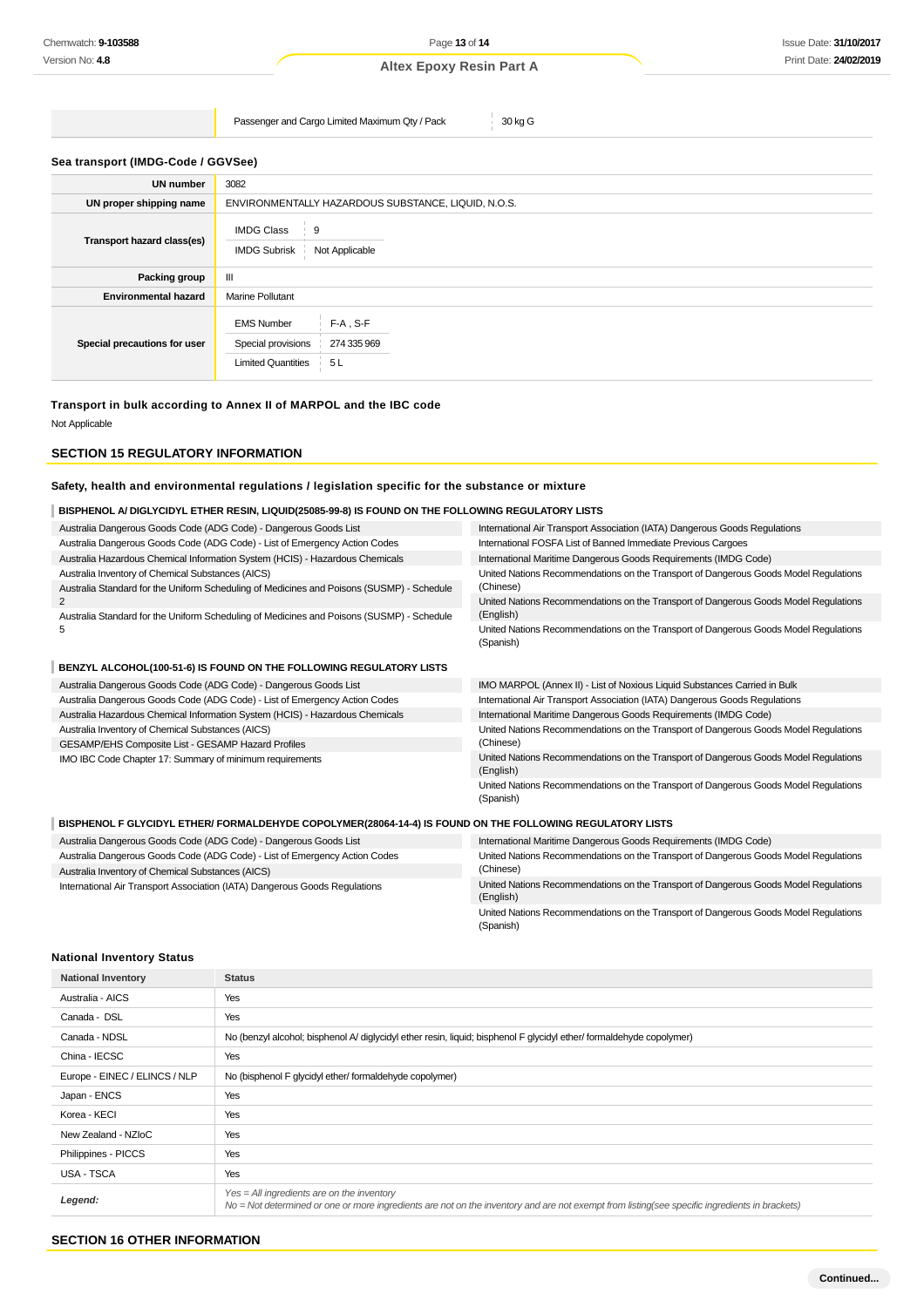Passenger and Cargo Limited Maximum Qty / Pack 30 kg G

### **Sea transport (IMDG-Code / GGVSee)**

| <b>UN number</b>             | 3082                                                                                                     |  |  |
|------------------------------|----------------------------------------------------------------------------------------------------------|--|--|
| UN proper shipping name      | ENVIRONMENTALLY HAZARDOUS SUBSTANCE, LIQUID, N.O.S.                                                      |  |  |
| Transport hazard class(es)   | <b>IMDG Class</b><br>$\frac{1}{2}$ 9<br>Not Applicable<br><b>IMDG Subrisk</b>                            |  |  |
| Packing group                | Ш                                                                                                        |  |  |
| <b>Environmental hazard</b>  | <b>Marine Pollutant</b>                                                                                  |  |  |
| Special precautions for user | <b>EMS Number</b><br>$F-A$ , S-F<br>Special provisions<br>274 335 969<br><b>Limited Quantities</b><br>5L |  |  |

#### **Transport in bulk according to Annex II of MARPOL and the IBC code**

Not Applicable

### **SECTION 15 REGULATORY INFORMATION**

#### **Safety, health and environmental regulations / legislation specific for the substance or mixture**

#### **BISPHENOL A/ DIGLYCIDYL ETHER RESIN, LIQUID(25085-99-8) IS FOUND ON THE FOLLOWING REGULATORY LISTS** Australia Dangerous Goods Code (ADG Code) - Dangerous Goods List Australia Dangerous Goods Code (ADG Code) - List of Emergency Action Codes Australia Hazardous Chemical Information System (HCIS) - Hazardous Chemicals Australia Inventory of Chemical Substances (AICS) Australia Standard for the Uniform Scheduling of Medicines and Poisons (SUSMP) - Schedule 2 Australia Standard for the Uniform Scheduling of Medicines and Poisons (SUSMP) - Schedule 5 International Air Transport Association (IATA) Dangerous Goods Regulations International FOSFA List of Banned Immediate Previous Cargoes International Maritime Dangerous Goods Requirements (IMDG Code) United Nations Recommendations on the Transport of Dangerous Goods Model Regulations (Chinese) United Nations Recommendations on the Transport of Dangerous Goods Model Regulations (English) United Nations Recommendations on the Transport of Dangerous Goods Model Regulations (Spanish) **BENZYL ALCOHOL(100-51-6) IS FOUND ON THE FOLLOWING REGULATORY LISTS** Australia Dangerous Goods Code (ADG Code) - Dangerous Goods List Australia Dangerous Goods Code (ADG Code) - List of Emergency Action Codes Australia Hazardous Chemical Information System (HCIS) - Hazardous Chemicals Australia Inventory of Chemical Substances (AICS) GESAMP/EHS Composite List - GESAMP Hazard Profiles IMO IBC Code Chapter 17: Summary of minimum requirements IMO MARPOL (Annex II) - List of Noxious Liquid Substances Carried in Bulk International Air Transport Association (IATA) Dangerous Goods Regulations International Maritime Dangerous Goods Requirements (IMDG Code) United Nations Recommendations on the Transport of Dangerous Goods Model Regulations (Chinese) United Nations Recommendations on the Transport of Dangerous Goods Model Regulations (English) United Nations Recommendations on the Transport of Dangerous Goods Model Regulations (Spanish) **BISPHENOL F GLYCIDYL ETHER/ FORMALDEHYDE COPOLYMER(28064-14-4) IS FOUND ON THE FOLLOWING REGULATORY LISTS** Australia Dangerous Goods Code (ADG Code) - Dangerous Goods List Australia Dangerous Goods Code (ADG Code) - List of Emergency Action Codes International Maritime Dangerous Goods Requirements (IMDG Code) United Nations Recommendations on the Transport of Dangerous Goods Model Regulations (Chinese)

Australia Inventory of Chemical Substances (AICS) International Air Transport Association (IATA) Dangerous Goods Regulations

United Nations Recommendations on the Transport of Dangerous Goods Model Regulations (English) United Nations Recommendations on the Transport of Dangerous Goods Model Regulations (Spanish)

### **National Inventory Status**

| <b>National Inventory</b>     | <b>Status</b>                                                                                                                                                                                 |
|-------------------------------|-----------------------------------------------------------------------------------------------------------------------------------------------------------------------------------------------|
| Australia - AICS              | Yes                                                                                                                                                                                           |
| Canada - DSL                  | Yes                                                                                                                                                                                           |
| Canada - NDSL                 | No (benzyl alcohol; bisphenol A/ diglycidyl ether resin, liquid; bisphenol F glycidyl ether/ formaldehyde copolymer)                                                                          |
| China - IECSC                 | Yes                                                                                                                                                                                           |
| Europe - EINEC / ELINCS / NLP | No (bisphenol F glycidyl ether/formaldehyde copolymer)                                                                                                                                        |
| Japan - ENCS                  | Yes                                                                                                                                                                                           |
| Korea - KECI                  | Yes                                                                                                                                                                                           |
| New Zealand - NZIoC           | Yes                                                                                                                                                                                           |
| Philippines - PICCS           | Yes                                                                                                                                                                                           |
| USA - TSCA                    | Yes                                                                                                                                                                                           |
| Legend:                       | $Yes = All ingredients are on the inventory$<br>No = Not determined or one or more ingredients are not on the inventory and are not exempt from listing(see specific ingredients in brackets) |

## **SECTION 16 OTHER INFORMATION**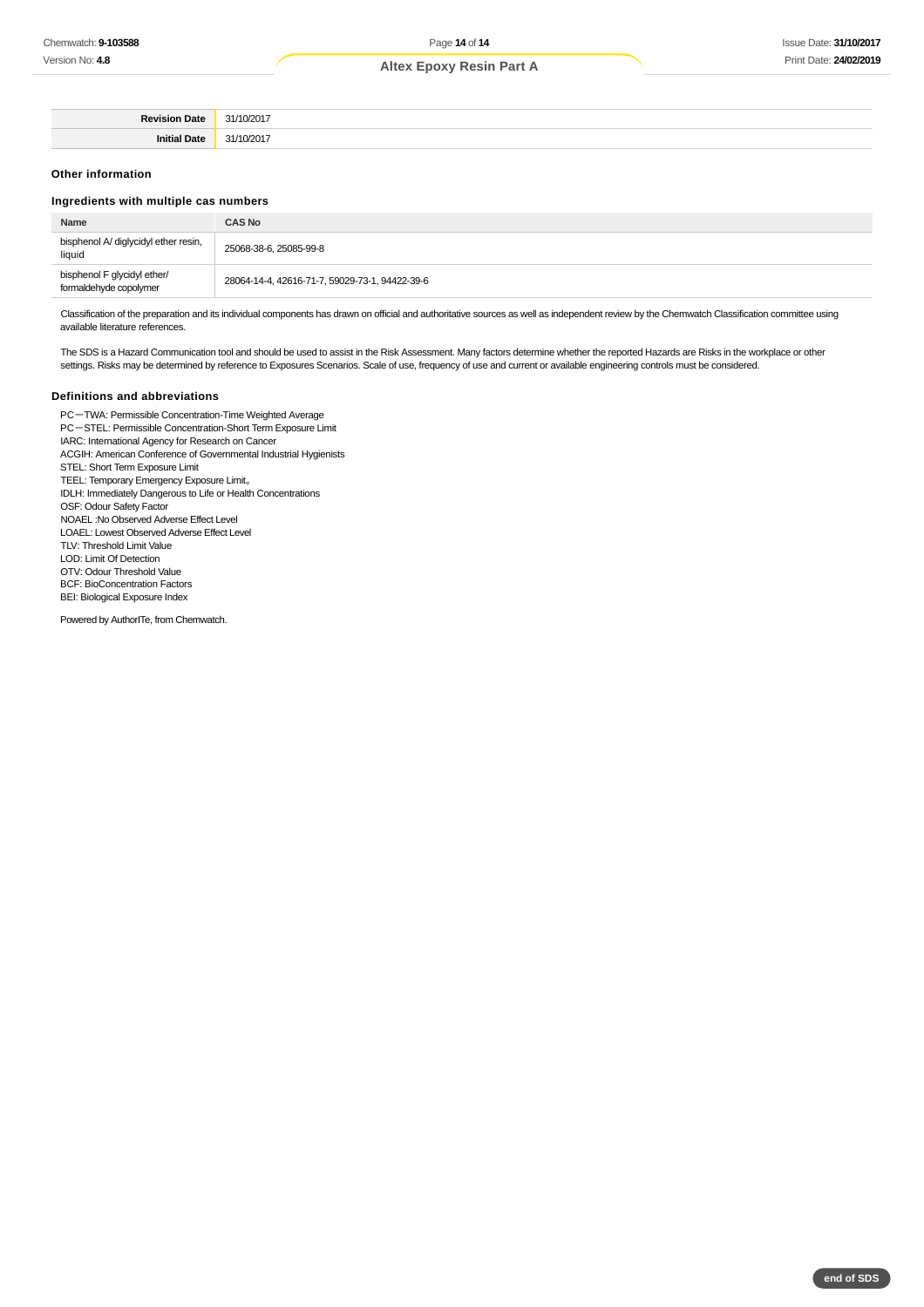| Devicion.<br>Date. | "41. |
|--------------------|------|
| .                  | ы.   |
| Initial            |      |

#### **Other information**

#### **Ingredients with multiple cas numbers**

| Name                                                  | <b>CAS No</b>                                  |
|-------------------------------------------------------|------------------------------------------------|
| bisphenol A/ diglycidyl ether resin,<br>liquid        | 25068-38-6, 25085-99-8                         |
| bisphenol F glycidyl ether/<br>formaldehyde copolymer | 28064-14-4, 42616-71-7, 59029-73-1, 94422-39-6 |

Classification of the preparation and its individual components has drawn on official and authoritative sources as well as independent review by the Chemwatch Classification committee using available literature references.

The SDS is a Hazard Communication tool and should be used to assist in the Risk Assessment. Many factors determine whether the reported Hazards are Risks in the workplace or other settings. Risks may be determined by reference to Exposures Scenarios. Scale of use, frequency of use and current or available engineering controls must be considered.

#### **Definitions and abbreviations**

PC-TWA: Permissible Concentration-Time Weighted Average PC-STEL: Permissible Concentration-Short Term Exposure Limit IARC: International Agency for Research on Cancer ACGIH: American Conference of Governmental Industrial Hygienists STEL: Short Term Exposure Limit TEEL: Temporary Emergency Exposure Limit。 IDLH: Immediately Dangerous to Life or Health Concentrations OSF: Odour Safety Factor NOAEL :No Observed Adverse Effect Level LOAEL: Lowest Observed Adverse Effect Level TLV: Threshold Limit Value LOD: Limit Of Detection OTV: Odour Threshold Value BCF: BioConcentration Factors BEI: Biological Exposure Index Powered by AuthorITe, from Chemwatch.

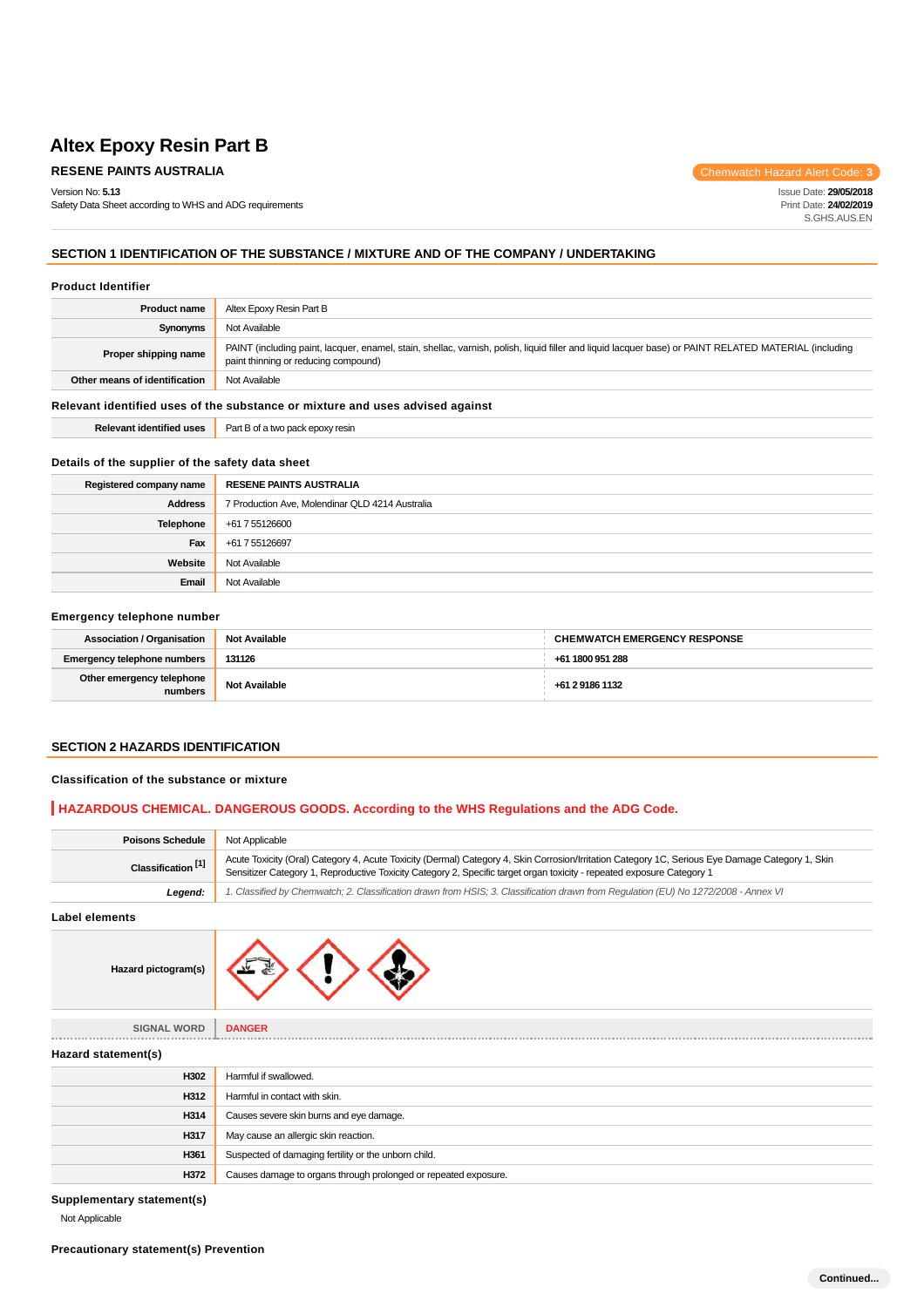# **RESENE PAINTS AUSTRALIA Chemwatch Hazard Alert Code: 3**

Version No: **5.13**

Safety Data Sheet according to WHS and ADG requirements

Issue Date: **29/05/2018** Print Date: **24/02/2019** S.GHS.AUS.EN

# **SECTION 1 IDENTIFICATION OF THE SUBSTANCE / MIXTURE AND OF THE COMPANY / UNDERTAKING**

#### **Product Identifier**

| <b>Product name</b>                                                           | Altex Epoxy Resin Part B                                                                                                                                                                      |
|-------------------------------------------------------------------------------|-----------------------------------------------------------------------------------------------------------------------------------------------------------------------------------------------|
| Synonyms                                                                      | Not Available                                                                                                                                                                                 |
| Proper shipping name                                                          | PAINT (including paint, lacquer, enamel, stain, shellac, varnish, polish, liquid filler and liquid lacquer base) or PAINT RELATED MATERIAL (including<br>paint thinning or reducing compound) |
| Other means of identification                                                 | Not Available                                                                                                                                                                                 |
| Relevant identified uses of the substance or mixture and uses advised against |                                                                                                                                                                                               |
| <b>Relevant identified uses</b>                                               | Part B of a two pack epoxy resin                                                                                                                                                              |

### **Details of the supplier of the safety data sheet**

| Registered company name | <b>RESENE PAINTS AUSTRALIA</b>                  |
|-------------------------|-------------------------------------------------|
| <b>Address</b>          | 7 Production Ave, Molendinar QLD 4214 Australia |
| Telephone               | +61 7 55126600                                  |
| Fax                     | +61 7 55126697                                  |
| Website                 | Not Available                                   |
| Email                   | Not Available                                   |

#### **Emergency telephone number**

| <b>Association / Organisation</b>    | <b>Not Available</b> | <b>CHEMWATCH EMERGENCY RESPONSE</b> |
|--------------------------------------|----------------------|-------------------------------------|
| <b>Emergency telephone numbers</b>   | 131126               | +61 1800 951 288                    |
| Other emergency telephone<br>numbers | <b>Not Available</b> | +61 2 9186 1132                     |

### **SECTION 2 HAZARDS IDENTIFICATION**

#### **Classification of the substance or mixture**

## **HAZARDOUS CHEMICAL. DANGEROUS GOODS. According to the WHS Regulations and the ADG Code.**

| <b>Poisons Schedule</b>       | Not Applicable                                                                                                                                                                                                                                                             |
|-------------------------------|----------------------------------------------------------------------------------------------------------------------------------------------------------------------------------------------------------------------------------------------------------------------------|
| Classification <sup>[1]</sup> | Acute Toxicity (Oral) Category 4, Acute Toxicity (Dermal) Category 4, Skin Corrosion/Irritation Category 1C, Serious Eye Damage Category 1, Skin<br>Sensitizer Category 1, Reproductive Toxicity Category 2, Specific target organ toxicity - repeated exposure Category 1 |
| Leaend:                       | 1. Classified by Chemwatch; 2. Classification drawn from HSIS; 3. Classification drawn from Requlation (EU) No 1272/2008 - Annex VI                                                                                                                                        |
|                               |                                                                                                                                                                                                                                                                            |

**Label elements**



| <b>SIGNAL WORD</b>  | <b>DANGER</b>                                                   |
|---------------------|-----------------------------------------------------------------|
|                     |                                                                 |
| Hazard statement(s) |                                                                 |
| H302                | Harmful if swallowed.                                           |
| H312                | Harmful in contact with skin.                                   |
| H314                | Causes severe skin burns and eye damage.                        |
| H317                | May cause an allergic skin reaction.                            |
| H361                | Suspected of damaging fertility or the unborn child.            |
| H372                | Causes damage to organs through prolonged or repeated exposure. |

**Supplementary statement(s)**

Not Applicable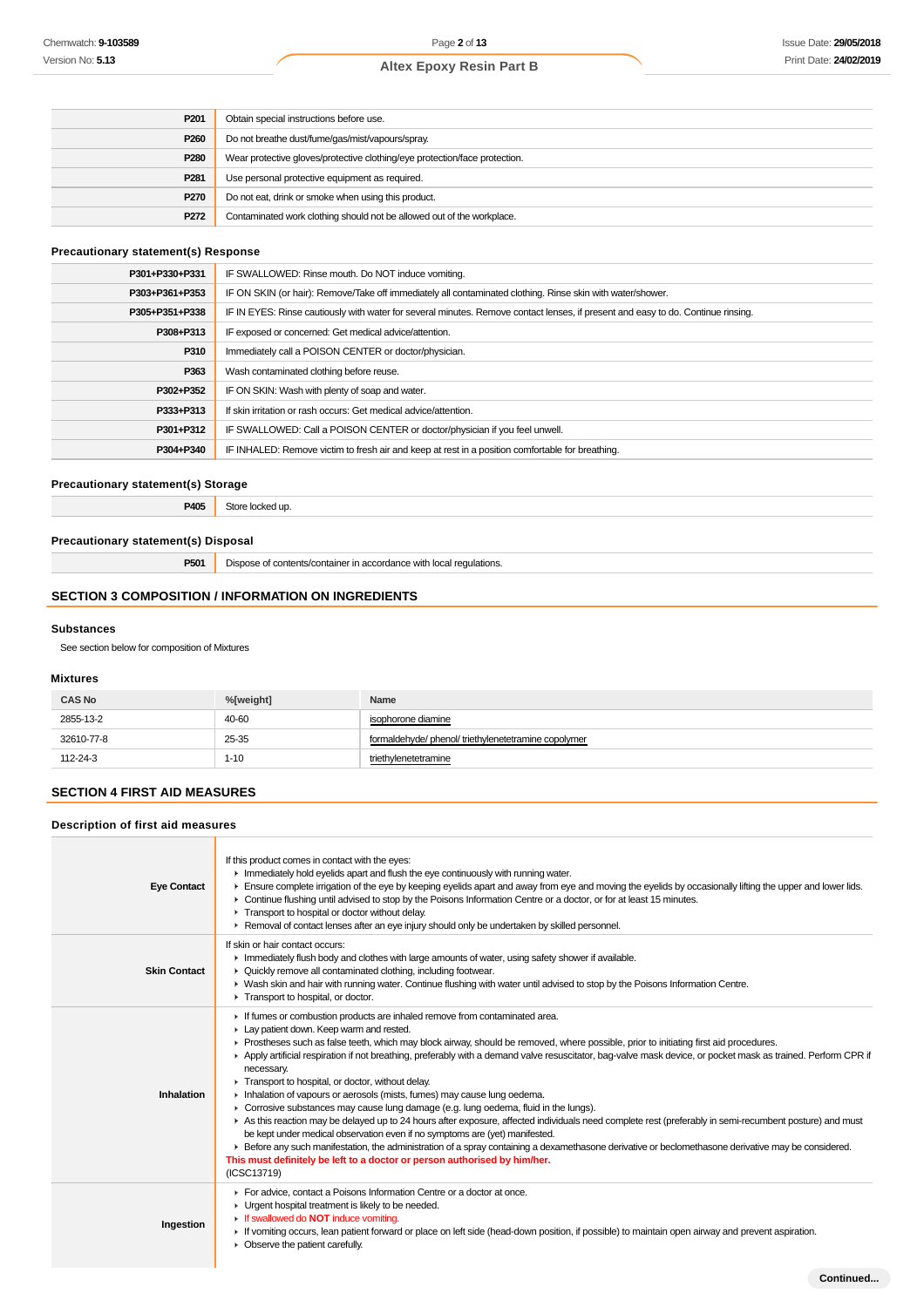**Continued...**

# **Altex Epoxy Resin Part B**

| P <sub>201</sub> | Obtain special instructions before use.                                    |
|------------------|----------------------------------------------------------------------------|
| P260             | Do not breathe dust/fume/gas/mist/vapours/spray.                           |
| P280             | Wear protective gloves/protective clothing/eye protection/face protection. |
| P <sub>281</sub> | Use personal protective equipment as required.                             |
| P270             | Do not eat, drink or smoke when using this product.                        |
| P272             | Contaminated work clothing should not be allowed out of the workplace.     |

### **Precautionary statement(s) Response**

| P301+P330+P331 | IF SWALLOWED: Rinse mouth. Do NOT induce vomiting.                                                                               |
|----------------|----------------------------------------------------------------------------------------------------------------------------------|
| P303+P361+P353 | IF ON SKIN (or hair): Remove/Take off immediately all contaminated clothing. Rinse skin with water/shower.                       |
| P305+P351+P338 | IF IN EYES: Rinse cautiously with water for several minutes. Remove contact lenses, if present and easy to do. Continue rinsing. |
| P308+P313      | IF exposed or concerned: Get medical advice/attention.                                                                           |
| P310           | Immediately call a POISON CENTER or doctor/physician.                                                                            |
| P363           | Wash contaminated clothing before reuse.                                                                                         |
| P302+P352      | IF ON SKIN: Wash with plenty of soap and water.                                                                                  |
| P333+P313      | If skin irritation or rash occurs: Get medical advice/attention.                                                                 |
| P301+P312      | IF SWALLOWED: Call a POISON CENTER or doctor/physician if you feel unwell.                                                       |
| P304+P340      | IF INHALED: Remove victim to fresh air and keep at rest in a position comfortable for breathing.                                 |

### **Precautionary statement(s) Storage**

**P405** Store locked up.

### **Precautionary statement(s) Disposal**

**P501** Dispose of contents/container in accordance with local regulations.

## **SECTION 3 COMPOSITION / INFORMATION ON INGREDIENTS**

#### **Substances**

See section below for composition of Mixtures

### **Mixtures**

| <b>CAS No</b> | %[weight] | Name                                               |
|---------------|-----------|----------------------------------------------------|
| 2855-13-2     | 40-60     | isophorone diamine                                 |
| 32610-77-8    | 25-35     | formaldehyde/phenol/triethylenetetramine copolymer |
| 112-24-3      | $1 - 10$  | triethylenetetramine                               |

# **SECTION 4 FIRST AID MEASURES**

### **Description of first aid measures**

| <b>Eye Contact</b>  | If this product comes in contact with the eyes:<br>Immediately hold eyelids apart and flush the eye continuously with running water.<br>Ensure complete irrigation of the eye by keeping eyelids apart and away from eye and moving the eyelids by occasionally lifting the upper and lower lids.<br>► Continue flushing until advised to stop by the Poisons Information Centre or a doctor, or for at least 15 minutes.<br>Transport to hospital or doctor without delay.<br>► Removal of contact lenses after an eye injury should only be undertaken by skilled personnel.                                                                                                                                                                                                                                                                                                                                                                                                                                                                                                                                                                                    |
|---------------------|-------------------------------------------------------------------------------------------------------------------------------------------------------------------------------------------------------------------------------------------------------------------------------------------------------------------------------------------------------------------------------------------------------------------------------------------------------------------------------------------------------------------------------------------------------------------------------------------------------------------------------------------------------------------------------------------------------------------------------------------------------------------------------------------------------------------------------------------------------------------------------------------------------------------------------------------------------------------------------------------------------------------------------------------------------------------------------------------------------------------------------------------------------------------|
| <b>Skin Contact</b> | If skin or hair contact occurs:<br>Immediately flush body and clothes with large amounts of water, using safety shower if available.<br>• Quickly remove all contaminated clothing, including footwear.<br>IN Wash skin and hair with running water. Continue flushing with water until advised to stop by the Poisons Information Centre.<br>Transport to hospital, or doctor.                                                                                                                                                                                                                                                                                                                                                                                                                                                                                                                                                                                                                                                                                                                                                                                   |
| Inhalation          | If fumes or combustion products are inhaled remove from contaminated area.<br>Lay patient down. Keep warm and rested.<br>► Prostheses such as false teeth, which may block airway, should be removed, where possible, prior to initiating first aid procedures.<br>Apply artificial respiration if not breathing, preferably with a demand valve resuscitator, bag-valve mask device, or pocket mask as trained. Perform CPR if<br>necessary.<br>Transport to hospital, or doctor, without delay.<br>Inhalation of vapours or aerosols (mists, fumes) may cause lung oedema.<br>• Corrosive substances may cause lung damage (e.g. lung oedema, fluid in the lungs).<br>As this reaction may be delayed up to 24 hours after exposure, affected individuals need complete rest (preferably in semi-recumbent posture) and must<br>be kept under medical observation even if no symptoms are (yet) manifested.<br>Exercise any such manifestation, the administration of a spray containing a dexamethasone derivative or beclomethasone derivative may be considered.<br>This must definitely be left to a doctor or person authorised by him/her.<br>(ICSC13719) |
| Ingestion           | For advice, contact a Poisons Information Centre or a doctor at once.<br>• Urgent hospital treatment is likely to be needed.<br>If swallowed do NOT induce vomiting.<br>If vomiting occurs, lean patient forward or place on left side (head-down position, if possible) to maintain open airway and prevent aspiration.<br>$\triangleright$ Observe the patient carefully.                                                                                                                                                                                                                                                                                                                                                                                                                                                                                                                                                                                                                                                                                                                                                                                       |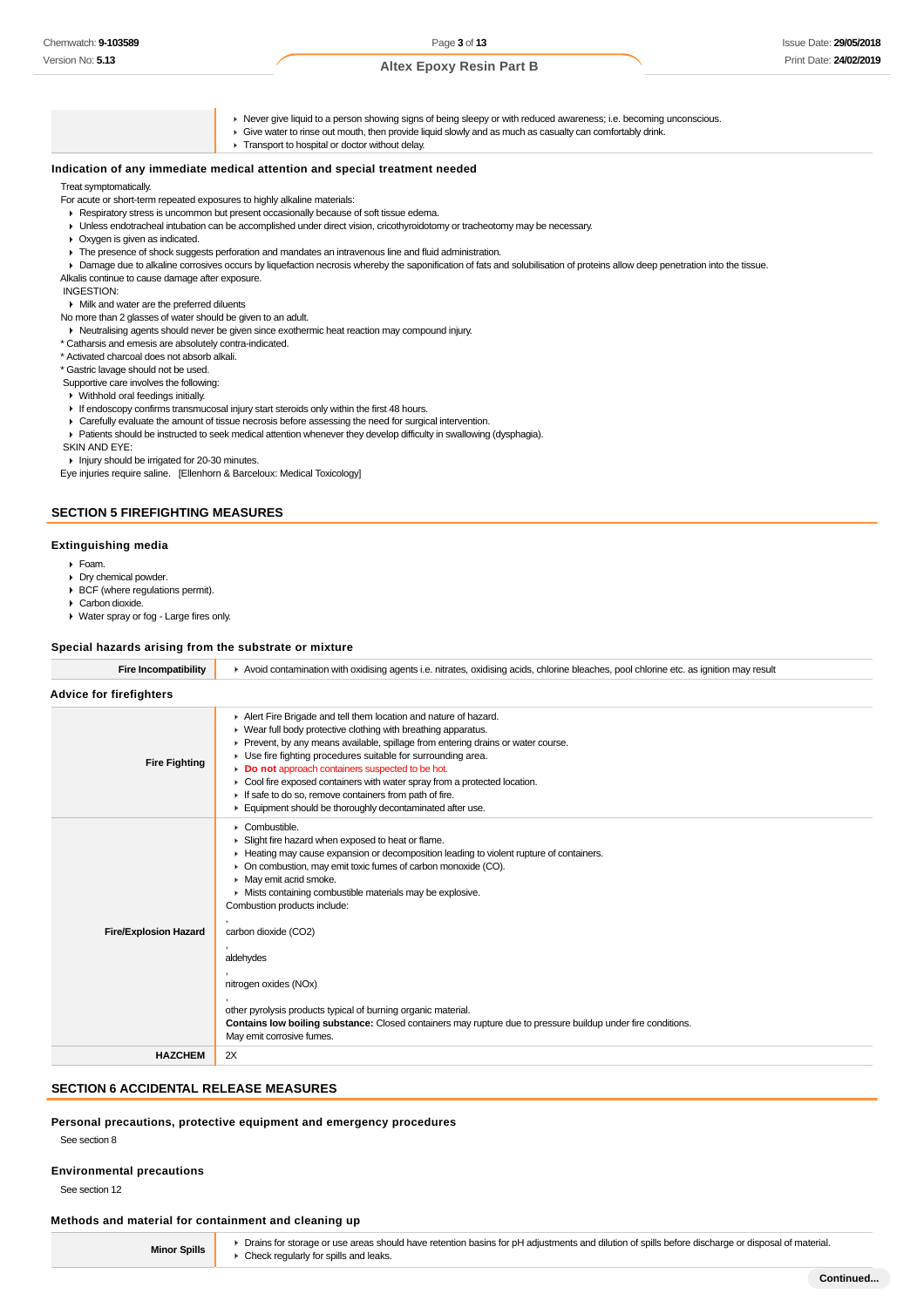- Never give liquid to a person showing signs of being sleepy or with reduced awareness; i.e. becoming unconscious.
- Give water to rinse out mouth, then provide liquid slowly and as much as casualty can comfortably drink.
- **F** Transport to hospital or doctor without delay.

#### **Indication of any immediate medical attention and special treatment needed**

#### Treat symptomatically.

- For acute or short-term repeated exposures to highly alkaline materials:
- Respiratory stress is uncommon but present occasionally because of soft tissue edema.
- Unless endotracheal intubation can be accomplished under direct vision, cricothyroidotomy or tracheotomy may be necessary.
- Oxygen is given as indicated.
- The presence of shock suggests perforation and mandates an intravenous line and fluid administration.
- Damage due to alkaline corrosives occurs by liquefaction necrosis whereby the saponification of fats and solubilisation of proteins allow deep penetration into the tissue. Alkalis continue to cause damage after exposure.
- INGESTION:

Milk and water are the preferred diluents

No more than 2 glasses of water should be given to an adult.

- Neutralising agents should never be given since exothermic heat reaction may compound injury.
- \* Catharsis and emesis are absolutely contra-indicated.
- \* Activated charcoal does not absorb alkali.
- \* Gastric lavage should not be used.

Supportive care involves the following:

- Withhold oral feedings initially.
- If endoscopy confirms transmucosal injury start steroids only within the first 48 hours.
- Carefully evaluate the amount of tissue necrosis before assessing the need for surgical intervention.
- Patients should be instructed to seek medical attention whenever they develop difficulty in swallowing (dysphagia).
- SKIN AND EYE:

Injury should be irrigated for 20-30 minutes.

Eye injuries require saline. [Ellenhorn & Barceloux: Medical Toxicology]

#### **SECTION 5 FIREFIGHTING MEASURES**

#### **Extinguishing media**

- Foam.
- Dry chemical powder.
- ▶ BCF (where regulations permit).
- Carbon dioxide.
- Water spray or fog Large fires only.

#### **Special hazards arising from the substrate or mixture**

| <b>Fire Incompatibility</b>    | Avoid contamination with oxidising agents i.e. nitrates, oxidising acids, chlorine bleaches, pool chlorine etc. as ignition may result                                                                                                                                                                                                                                                                                                                                                                                                                                                                                                                |  |  |
|--------------------------------|-------------------------------------------------------------------------------------------------------------------------------------------------------------------------------------------------------------------------------------------------------------------------------------------------------------------------------------------------------------------------------------------------------------------------------------------------------------------------------------------------------------------------------------------------------------------------------------------------------------------------------------------------------|--|--|
| <b>Advice for firefighters</b> |                                                                                                                                                                                                                                                                                                                                                                                                                                                                                                                                                                                                                                                       |  |  |
| <b>Fire Fighting</b>           | Alert Fire Brigade and tell them location and nature of hazard.<br>▶ Wear full body protective clothing with breathing apparatus.<br>Prevent, by any means available, spillage from entering drains or water course.<br>▶ Use fire fighting procedures suitable for surrounding area.<br>Do not approach containers suspected to be hot.<br>• Cool fire exposed containers with water spray from a protected location.<br>If safe to do so, remove containers from path of fire.<br>Equipment should be thoroughly decontaminated after use.                                                                                                          |  |  |
| <b>Fire/Explosion Hazard</b>   | $\triangleright$ Combustible.<br>Slight fire hazard when exposed to heat or flame.<br>► Heating may cause expansion or decomposition leading to violent rupture of containers.<br>• On combustion, may emit toxic fumes of carbon monoxide (CO).<br>• May emit acrid smoke.<br>• Mists containing combustible materials may be explosive.<br>Combustion products include:<br>carbon dioxide (CO2)<br>aldehydes<br>nitrogen oxides (NOx)<br>other pyrolysis products typical of burning organic material.<br>Contains low boiling substance: Closed containers may rupture due to pressure buildup under fire conditions.<br>May emit corrosive fumes. |  |  |
| <b>HAZCHEM</b>                 | 2X                                                                                                                                                                                                                                                                                                                                                                                                                                                                                                                                                                                                                                                    |  |  |

#### **SECTION 6 ACCIDENTAL RELEASE MEASURES**

#### **Personal precautions, protective equipment and emergency procedures**

See section 8

#### **Environmental precautions**

See section 12

#### **Methods and material for containment and cleaning up**

**Minor Spills**

▶ Drains for storage or use areas should have retention basins for pH adjustments and dilution of spills before discharge or disposal of material. ► Check regularly for spills and leaks.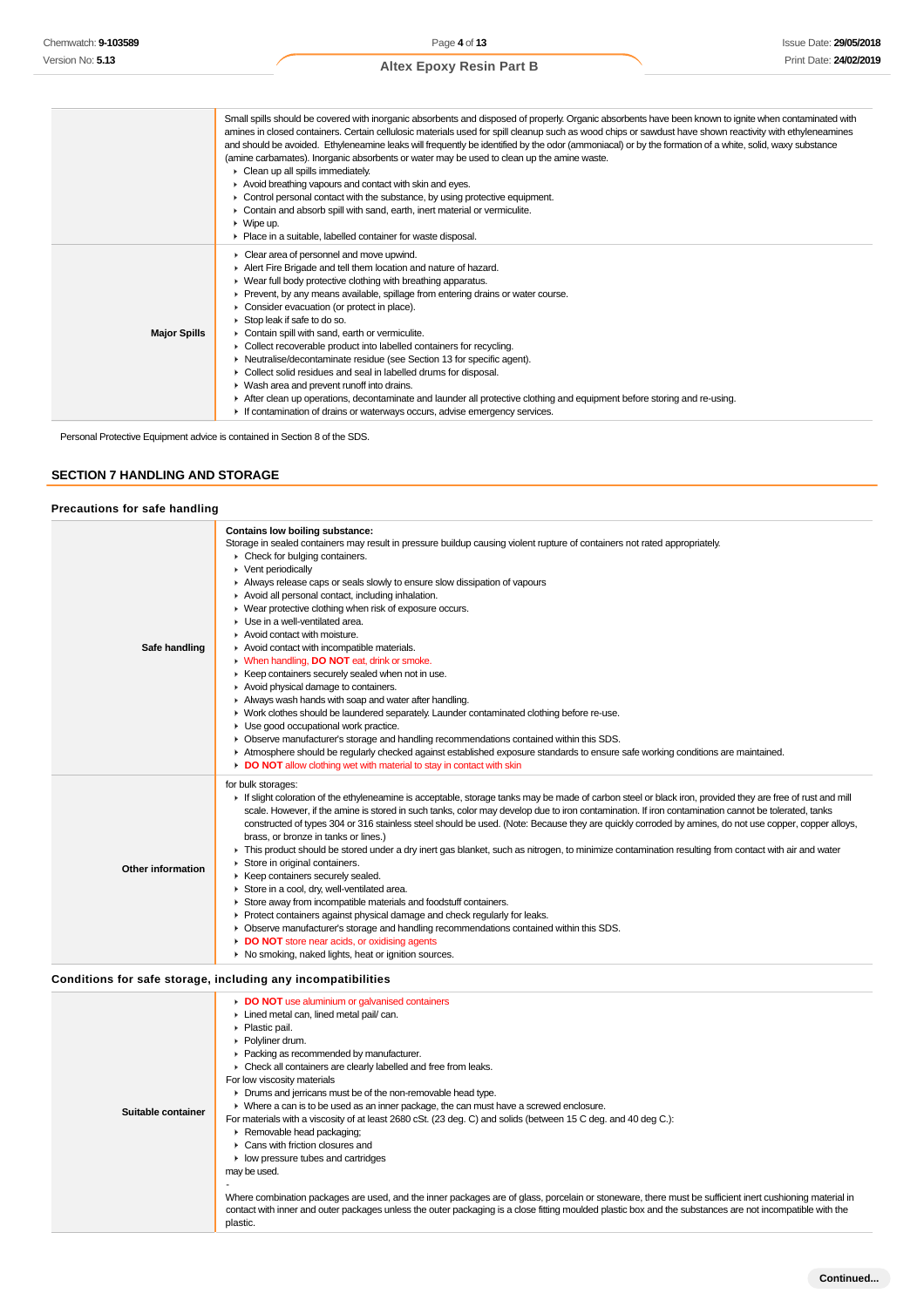|                     | Small spills should be covered with inorganic absorbents and disposed of properly. Organic absorbents have been known to ignite when contaminated with<br>amines in closed containers. Certain cellulosic materials used for spill cleanup such as wood chips or sawdust have shown reactivity with ethyleneamines<br>and should be avoided. Ethyleneamine leaks will frequently be identified by the odor (ammoniacal) or by the formation of a white, solid, waxy substance<br>(amine carbamates). Inorganic absorbents or water may be used to clean up the amine waste.<br>$\triangleright$ Clean up all spills immediately.<br>Avoid breathing vapours and contact with skin and eyes.<br>$\triangleright$ Control personal contact with the substance, by using protective equipment.<br>• Contain and absorb spill with sand, earth, inert material or vermiculite.<br>$\triangleright$ Wipe up.<br>• Place in a suitable, labelled container for waste disposal. |
|---------------------|--------------------------------------------------------------------------------------------------------------------------------------------------------------------------------------------------------------------------------------------------------------------------------------------------------------------------------------------------------------------------------------------------------------------------------------------------------------------------------------------------------------------------------------------------------------------------------------------------------------------------------------------------------------------------------------------------------------------------------------------------------------------------------------------------------------------------------------------------------------------------------------------------------------------------------------------------------------------------|
| <b>Major Spills</b> | Clear area of personnel and move upwind.<br>Alert Fire Brigade and tell them location and nature of hazard.<br>▶ Wear full body protective clothing with breathing apparatus.<br>▶ Prevent, by any means available, spillage from entering drains or water course.<br>• Consider evacuation (or protect in place).<br>Stop leak if safe to do so.<br>Contain spill with sand, earth or vermiculite.<br>• Collect recoverable product into labelled containers for recycling.<br>• Neutralise/decontaminate residue (see Section 13 for specific agent).<br>▶ Collect solid residues and seal in labelled drums for disposal.<br>▶ Wash area and prevent runoff into drains.<br>After clean up operations, decontaminate and launder all protective clothing and equipment before storing and re-using.<br>If contamination of drains or waterways occurs, advise emergency services.                                                                                     |

Personal Protective Equipment advice is contained in Section 8 of the SDS.

### **SECTION 7 HANDLING AND STORAGE**

### **Precautions for safe handling**

| Contains low boiling substance:                                                                                                                                                                                                                                                                                                                                                                                                                                                                                                                                                                                                                                                                                                                                                                                                                                                                                                                                                                                                                                                                                                                                                                  |
|--------------------------------------------------------------------------------------------------------------------------------------------------------------------------------------------------------------------------------------------------------------------------------------------------------------------------------------------------------------------------------------------------------------------------------------------------------------------------------------------------------------------------------------------------------------------------------------------------------------------------------------------------------------------------------------------------------------------------------------------------------------------------------------------------------------------------------------------------------------------------------------------------------------------------------------------------------------------------------------------------------------------------------------------------------------------------------------------------------------------------------------------------------------------------------------------------|
| Storage in sealed containers may result in pressure buildup causing violent rupture of containers not rated appropriately.<br>• Check for bulging containers.<br>▶ Vent periodically<br>Always release caps or seals slowly to ensure slow dissipation of vapours<br>Avoid all personal contact, including inhalation.<br>▶ Wear protective clothing when risk of exposure occurs.<br>Use in a well-ventilated area.<br>Avoid contact with moisture.<br>Safe handling<br>Avoid contact with incompatible materials.<br>V When handling, DO NOT eat, drink or smoke.<br>▶ Keep containers securely sealed when not in use.<br>Avoid physical damage to containers.<br>Always wash hands with soap and water after handling.<br>• Work clothes should be laundered separately. Launder contaminated clothing before re-use.<br>Use good occupational work practice.<br>• Observe manufacturer's storage and handling recommendations contained within this SDS.<br>Atmosphere should be regularly checked against established exposure standards to ensure safe working conditions are maintained.<br>DO NOT allow clothing wet with material to stay in contact with skin                         |
| for bulk storages:<br>If slight coloration of the ethyleneamine is acceptable, storage tanks may be made of carbon steel or black iron, provided they are free of rust and mill<br>scale. However, if the amine is stored in such tanks, color may develop due to iron contamination. If iron contamination cannot be tolerated, tanks<br>constructed of types 304 or 316 stainless steel should be used. (Note: Because they are quickly corroded by amines, do not use copper, copper alloys,<br>brass, or bronze in tanks or lines.)<br>F This product should be stored under a dry inert gas blanket, such as nitrogen, to minimize contamination resulting from contact with air and water<br>Store in original containers.<br>Other information<br>▶ Keep containers securely sealed.<br>Store in a cool, dry, well-ventilated area.<br>Store away from incompatible materials and foodstuff containers.<br>Protect containers against physical damage and check regularly for leaks.<br>• Observe manufacturer's storage and handling recommendations contained within this SDS.<br>DO NOT store near acids, or oxidising agents<br>• No smoking, naked lights, heat or ignition sources. |

### **Conditions for safe storage, including any incompatibilities**

| Suitable container | DO NOT use aluminium or galvanised containers<br>Lined metal can, lined metal pail/ can.<br>• Plastic pail.<br>▶ Polvliner drum.<br>• Packing as recommended by manufacturer.<br>• Check all containers are clearly labelled and free from leaks.<br>For low viscosity materials<br>• Drums and jerricans must be of the non-removable head type.<br>▶ Where a can is to be used as an inner package, the can must have a screwed enclosure.<br>For materials with a viscosity of at least 2680 cSt. (23 deg. C) and solids (between 15 C deg. and 40 deg C.):<br>Removable head packaging;<br>▶ Cans with friction closures and<br>$\blacktriangleright$ low pressure tubes and cartridges<br>may be used.<br>Where combination packages are used, and the inner packages are of glass, porcelain or stoneware, there must be sufficient inert cushioning material in<br>contact with inner and outer packages unless the outer packaging is a close fitting moulded plastic box and the substances are not incompatible with the |
|--------------------|------------------------------------------------------------------------------------------------------------------------------------------------------------------------------------------------------------------------------------------------------------------------------------------------------------------------------------------------------------------------------------------------------------------------------------------------------------------------------------------------------------------------------------------------------------------------------------------------------------------------------------------------------------------------------------------------------------------------------------------------------------------------------------------------------------------------------------------------------------------------------------------------------------------------------------------------------------------------------------------------------------------------------------|
|                    | plastic.                                                                                                                                                                                                                                                                                                                                                                                                                                                                                                                                                                                                                                                                                                                                                                                                                                                                                                                                                                                                                           |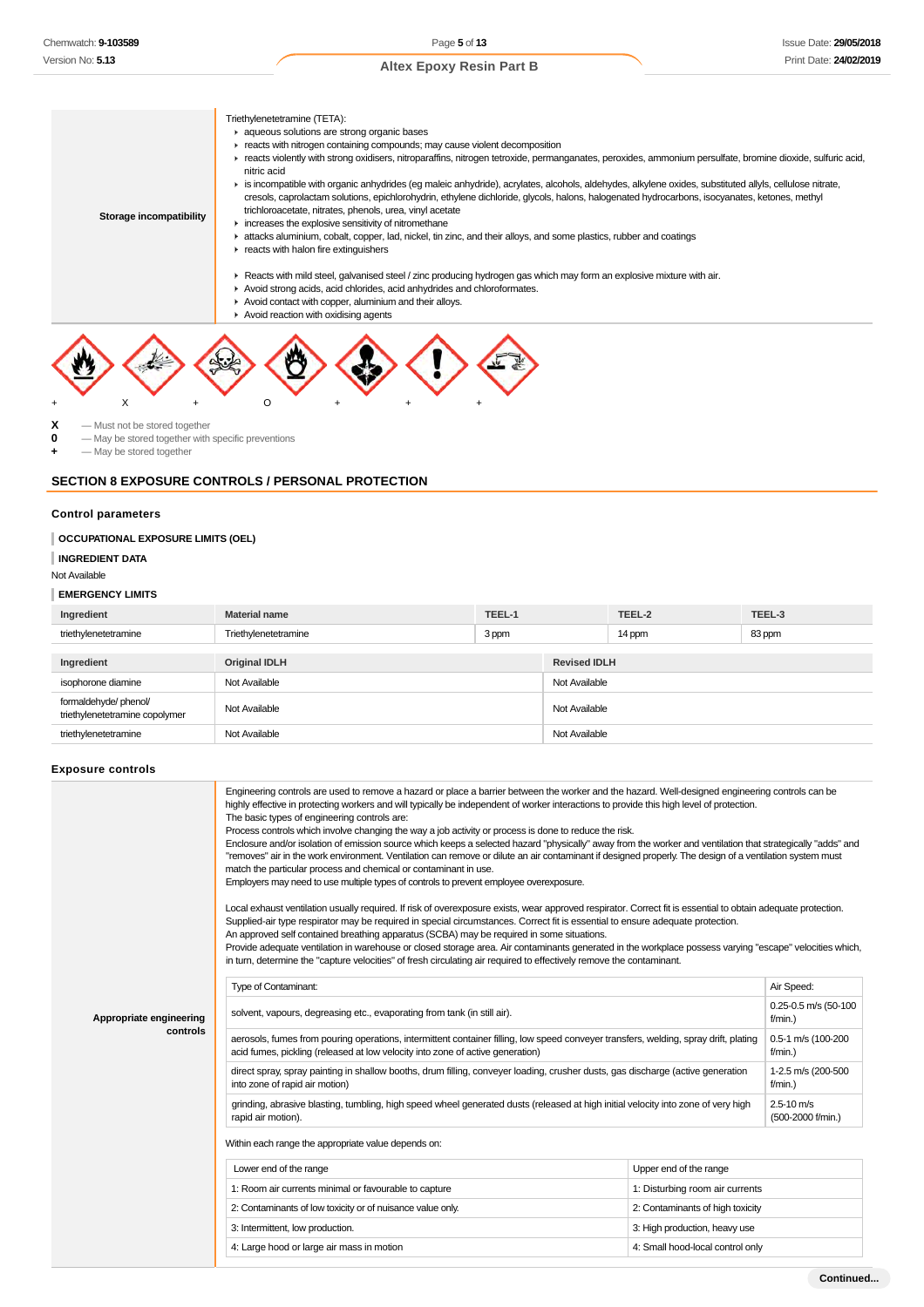

- 
- Avoid contact with copper, aluminium and their alloys.  $\blacktriangleright$  Avoid reaction with oxidising agents



 $\mathbf{X}$  — Must not be stored together<br>  $\mathbf{A}$  — May be stored together with

 $-$  May be stored together with specific preventions

**+** — May be stored together

# **SECTION 8 EXPOSURE CONTROLS / PERSONAL PROTECTION**

#### **Control parameters**

#### **OCCUPATIONAL EXPOSURE LIMITS (OEL)**

**INGREDIENT DATA**

#### Not Available

#### **EMERGENCY LIMITS**

| Ingredient                                             | <b>Material name</b> | TEEL-1 |                     | TEEL-2        | TEEL-3 |  |
|--------------------------------------------------------|----------------------|--------|---------------------|---------------|--------|--|
| triethylenetetramine                                   | Triethylenetetramine | 3 ppm  |                     | 14 ppm        | 83 ppm |  |
|                                                        |                      |        |                     |               |        |  |
| Ingredient                                             | <b>Original IDLH</b> |        | <b>Revised IDLH</b> |               |        |  |
| isophorone diamine                                     | Not Available        |        |                     | Not Available |        |  |
| formaldehyde/phenol/<br>triethylenetetramine copolymer | Not Available        |        | Not Available       |               |        |  |
| triethylenetetramine                                   | Not Available        |        | Not Available       |               |        |  |

#### **Exposure controls**

|                         | Engineering controls are used to remove a hazard or place a barrier between the worker and the hazard. Well-designed engineering controls can be<br>highly effective in protecting workers and will typically be independent of worker interactions to provide this high level of protection.<br>The basic types of engineering controls are:<br>Process controls which involve changing the way a job activity or process is done to reduce the risk.<br>Enclosure and/or isolation of emission source which keeps a selected hazard "physically" away from the worker and ventilation that strategically "adds" and<br>"removes" air in the work environment. Ventilation can remove or dilute an air contaminant if designed properly. The design of a ventilation system must<br>match the particular process and chemical or contaminant in use.<br>Employers may need to use multiple types of controls to prevent employee overexposure.<br>Local exhaust ventilation usually required. If risk of overexposure exists, wear approved respirator. Correct fit is essential to obtain adequate protection.<br>Supplied-air type respirator may be required in special circumstances. Correct fit is essential to ensure adequate protection.<br>An approved self contained breathing apparatus (SCBA) may be required in some situations.<br>Provide adequate ventilation in warehouse or closed storage area. Air contaminants generated in the workplace possess varying "escape" velocities which,<br>in turn, determine the "capture velocities" of fresh circulating air required to effectively remove the contaminant. |                                  |            |  |  |
|-------------------------|-------------------------------------------------------------------------------------------------------------------------------------------------------------------------------------------------------------------------------------------------------------------------------------------------------------------------------------------------------------------------------------------------------------------------------------------------------------------------------------------------------------------------------------------------------------------------------------------------------------------------------------------------------------------------------------------------------------------------------------------------------------------------------------------------------------------------------------------------------------------------------------------------------------------------------------------------------------------------------------------------------------------------------------------------------------------------------------------------------------------------------------------------------------------------------------------------------------------------------------------------------------------------------------------------------------------------------------------------------------------------------------------------------------------------------------------------------------------------------------------------------------------------------------------------------------------------------------------------------------------------------------|----------------------------------|------------|--|--|
|                         | Type of Contaminant:                                                                                                                                                                                                                                                                                                                                                                                                                                                                                                                                                                                                                                                                                                                                                                                                                                                                                                                                                                                                                                                                                                                                                                                                                                                                                                                                                                                                                                                                                                                                                                                                                |                                  | Air Speed: |  |  |
| Appropriate engineering | solvent, vapours, degreasing etc., evaporating from tank (in still air).                                                                                                                                                                                                                                                                                                                                                                                                                                                                                                                                                                                                                                                                                                                                                                                                                                                                                                                                                                                                                                                                                                                                                                                                                                                                                                                                                                                                                                                                                                                                                            |                                  |            |  |  |
| controls                | aerosols, fumes from pouring operations, intermittent container filling, low speed conveyer transfers, welding, spray drift, plating<br>0.5-1 m/s (100-200<br>acid fumes, pickling (released at low velocity into zone of active generation)<br>$f/min.$ )                                                                                                                                                                                                                                                                                                                                                                                                                                                                                                                                                                                                                                                                                                                                                                                                                                                                                                                                                                                                                                                                                                                                                                                                                                                                                                                                                                          |                                  |            |  |  |
|                         | direct spray, spray painting in shallow booths, drum filling, conveyer loading, crusher dusts, gas discharge (active generation<br>into zone of rapid air motion)                                                                                                                                                                                                                                                                                                                                                                                                                                                                                                                                                                                                                                                                                                                                                                                                                                                                                                                                                                                                                                                                                                                                                                                                                                                                                                                                                                                                                                                                   |                                  |            |  |  |
|                         | grinding, abrasive blasting, tumbling, high speed wheel generated dusts (released at high initial velocity into zone of very high<br>rapid air motion).                                                                                                                                                                                                                                                                                                                                                                                                                                                                                                                                                                                                                                                                                                                                                                                                                                                                                                                                                                                                                                                                                                                                                                                                                                                                                                                                                                                                                                                                             |                                  |            |  |  |
|                         | Within each range the appropriate value depends on:                                                                                                                                                                                                                                                                                                                                                                                                                                                                                                                                                                                                                                                                                                                                                                                                                                                                                                                                                                                                                                                                                                                                                                                                                                                                                                                                                                                                                                                                                                                                                                                 |                                  |            |  |  |
|                         | Lower end of the range                                                                                                                                                                                                                                                                                                                                                                                                                                                                                                                                                                                                                                                                                                                                                                                                                                                                                                                                                                                                                                                                                                                                                                                                                                                                                                                                                                                                                                                                                                                                                                                                              | Upper end of the range           |            |  |  |
|                         | 1: Room air currents minimal or favourable to capture                                                                                                                                                                                                                                                                                                                                                                                                                                                                                                                                                                                                                                                                                                                                                                                                                                                                                                                                                                                                                                                                                                                                                                                                                                                                                                                                                                                                                                                                                                                                                                               | 1: Disturbing room air currents  |            |  |  |
|                         | 2: Contaminants of low toxicity or of nuisance value only.                                                                                                                                                                                                                                                                                                                                                                                                                                                                                                                                                                                                                                                                                                                                                                                                                                                                                                                                                                                                                                                                                                                                                                                                                                                                                                                                                                                                                                                                                                                                                                          | 2: Contaminants of high toxicity |            |  |  |
|                         | 3: Intermittent, low production.                                                                                                                                                                                                                                                                                                                                                                                                                                                                                                                                                                                                                                                                                                                                                                                                                                                                                                                                                                                                                                                                                                                                                                                                                                                                                                                                                                                                                                                                                                                                                                                                    | 3: High production, heavy use    |            |  |  |
|                         | 4: Large hood or large air mass in motion                                                                                                                                                                                                                                                                                                                                                                                                                                                                                                                                                                                                                                                                                                                                                                                                                                                                                                                                                                                                                                                                                                                                                                                                                                                                                                                                                                                                                                                                                                                                                                                           | 4: Small hood-local control only |            |  |  |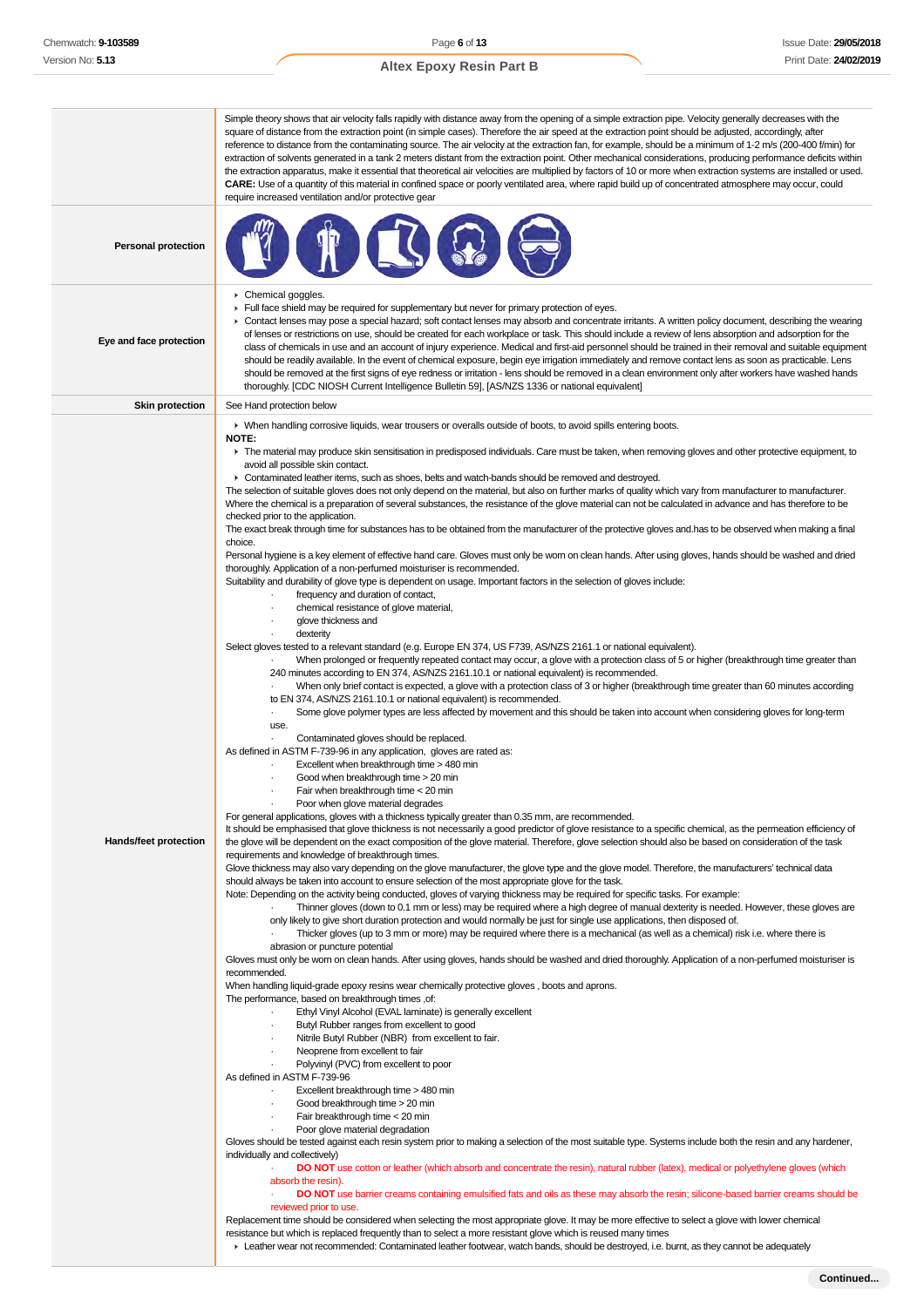Simple theory shows that air velocity falls rapidly with distance away from the opening of a simple extraction pipe. Velocity generally decreases with the square of distance from the extraction point (in simple cases). Therefore the air speed at the extraction point should be adjusted, accordingly, after reference to distance from the contaminating source. The air velocity at the extraction fan, for example, should be a minimum of 1-2 m/s (200-400 f/min) for extraction of solvents generated in a tank 2 meters distant from the extraction point. Other mechanical considerations, producing performance deficits within the extraction apparatus, make it essential that theoretical air velocities are multiplied by factors of 10 or more when extraction systems are installed or used. **CARE:** Use of a quantity of this material in confined space or poorly ventilated area, where rapid build up of concentrated atmosphere may occur, could require increased ventilation and/or protective gear **Personal protection Eye and face protection Chemical goggles** Full face shield may be required for supplementary but never for primary protection of eyes. ▶ Contact lenses may pose a special hazard; soft contact lenses may absorb and concentrate irritants. A written policy document, describing the wearing of lenses or restrictions on use, should be created for each workplace or task. This should include a review of lens absorption and adsorption for the class of chemicals in use and an account of injury experience. Medical and first-aid personnel should be trained in their removal and suitable equipment should be readily available. In the event of chemical exposure, begin eye irrigation immediately and remove contact lens as soon as practicable. Lens should be removed at the first signs of eye redness or irritation - lens should be removed in a clean environment only after workers have washed hands thoroughly. [CDC NIOSH Current Intelligence Bulletin 59], [AS/NZS 1336 or national equivalent] **Skin protection** See Hand protection below **Hands/feet protection** When handling corrosive liquids, wear trousers or overalls outside of boots, to avoid spills entering boots. **NOTE:** ▶ The material may produce skin sensitisation in predisposed individuals. Care must be taken, when removing gloves and other protective equipment, to avoid all possible skin contact. ► Contaminated leather items, such as shoes, belts and watch-bands should be removed and destroyed. The selection of suitable gloves does not only depend on the material, but also on further marks of quality which vary from manufacturer to manufacturer. Where the chemical is a preparation of several substances, the resistance of the glove material can not be calculated in advance and has therefore to be checked prior to the application. The exact break through time for substances has to be obtained from the manufacturer of the protective gloves and.has to be observed when making a final choice. Personal hygiene is a key element of effective hand care. Gloves must only be worn on clean hands. After using gloves, hands should be washed and dried thoroughly. Application of a non-perfumed moisturiser is recommended. Suitability and durability of glove type is dependent on usage. Important factors in the selection of gloves include: frequency and duration of contact, · chemical resistance of glove material, glove thickness and dexterity Select gloves tested to a relevant standard (e.g. Europe EN 374, US F739, AS/NZS 2161.1 or national equivalent). · When prolonged or frequently repeated contact may occur, a glove with a protection class of 5 or higher (breakthrough time greater than 240 minutes according to EN 374, AS/NZS 2161.10.1 or national equivalent) is recommended. · When only brief contact is expected, a glove with a protection class of 3 or higher (breakthrough time greater than 60 minutes according to EN 374, AS/NZS 2161.10.1 or national equivalent) is recommended. Some glove polymer types are less affected by movement and this should be taken into account when considering gloves for long-term use. Contaminated gloves should be replaced. As defined in ASTM F-739-96 in any application, gloves are rated as: Excellent when breakthrough time > 480 min Good when breakthrough time > 20 min Fair when breakthrough time < 20 min Poor when glove material degrades For general applications, gloves with a thickness typically greater than 0.35 mm, are recommended. It should be emphasised that glove thickness is not necessarily a good predictor of glove resistance to a specific chemical, as the permeation efficiency of the glove will be dependent on the exact composition of the glove material. Therefore, glove selection should also be based on consideration of the task requirements and knowledge of breakthrough times. Glove thickness may also vary depending on the glove manufacturer, the glove type and the glove model. Therefore, the manufacturers' technical data should always be taken into account to ensure selection of the most appropriate glove for the task. Note: Depending on the activity being conducted, gloves of varying thickness may be required for specific tasks. For example: · Thinner gloves (down to 0.1 mm or less) may be required where a high degree of manual dexterity is needed. However, these gloves are only likely to give short duration protection and would normally be just for single use applications, then disposed of. · Thicker gloves (up to 3 mm or more) may be required where there is a mechanical (as well as a chemical) risk i.e. where there is abrasion or puncture potential Gloves must only be worn on clean hands. After using gloves, hands should be washed and dried thoroughly. Application of a non-perfumed moisturiser is recommended. When handling liquid-grade epoxy resins wear chemically protective gloves , boots and aprons. The performance, based on breakthrough times of: · Ethyl Vinyl Alcohol (EVAL laminate) is generally excellent Butyl Rubber ranges from excellent to good Nitrile Butyl Rubber (NBR) from excellent to fair. · Neoprene from excellent to fair · Polyvinyl (PVC) from excellent to poor As defined in ASTM F-739-96 Excellent breakthrough time > 480 min Good breakthrough time > 20 min Fair breakthrough time < 20 min Poor glove material degradation Gloves should be tested against each resin system prior to making a selection of the most suitable type. Systems include both the resin and any hardener, individually and collectively) · **DO NOT** use cotton or leather (which absorb and concentrate the resin), natural rubber (latex), medical or polyethylene gloves (which absorb the resin). DO NOT use barrier creams containing emulsified fats and oils as these may absorb the resin; silicone-based barrier creams should be reviewed prior to use. Replacement time should be considered when selecting the most appropriate glove. It may be more effective to select a glove with lower chemical resistance but which is replaced frequently than to select a more resistant glove which is reused many times

Leather wear not recommended: Contaminated leather footwear, watch bands, should be destroyed, i.e. burnt, as they cannot be adequately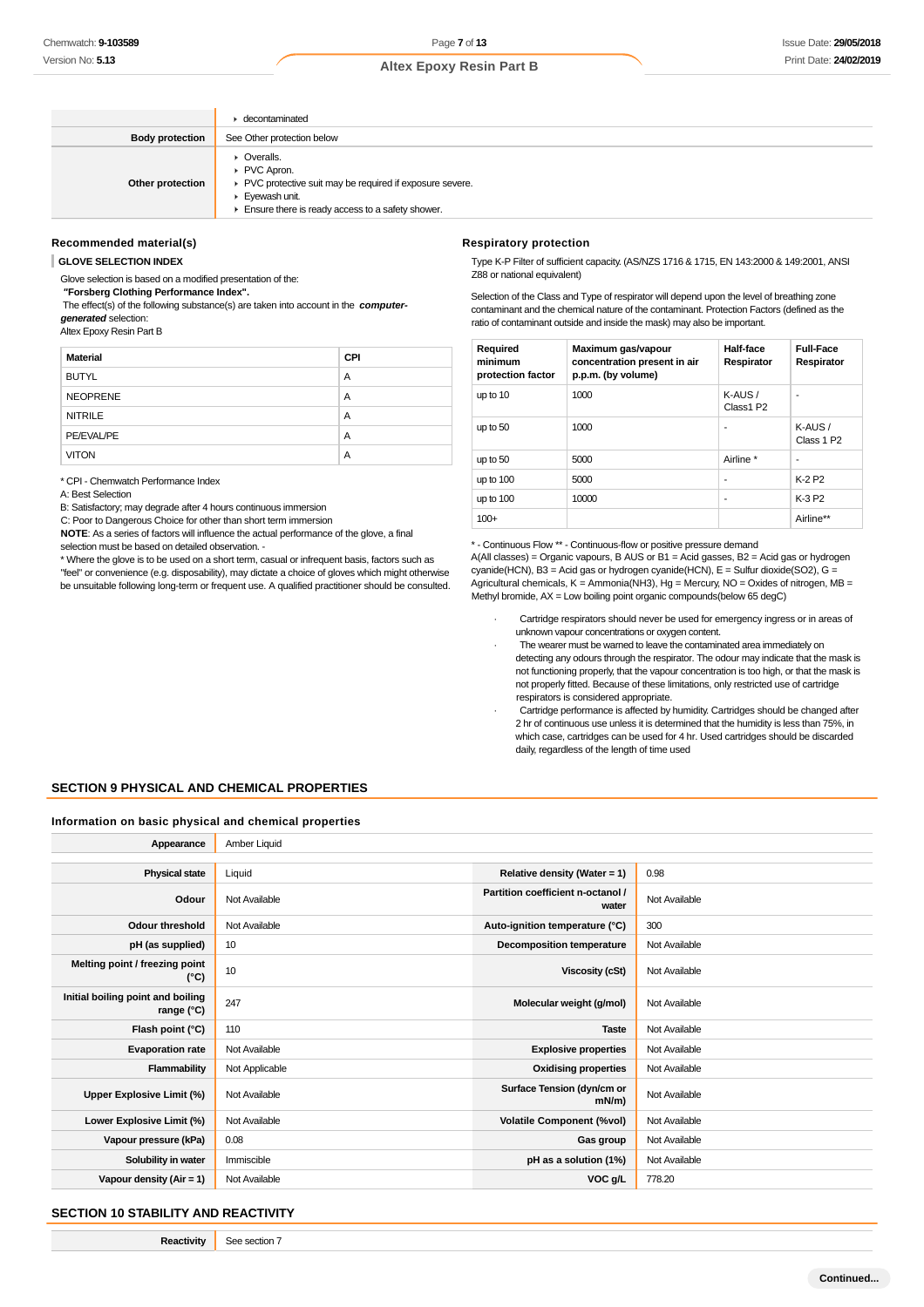|                        | $\blacktriangleright$ decontaminated                                                                                                                        |
|------------------------|-------------------------------------------------------------------------------------------------------------------------------------------------------------|
| <b>Body protection</b> | See Other protection below                                                                                                                                  |
| Other protection       | • Overalls.<br>PVC Apron.<br>▶ PVC protective suit may be required if exposure severe.<br>Eyewash unit.<br>Ensure there is ready access to a safety shower. |

#### **Recommended material(s)**

**GLOVE SELECTION INDEX**

Glove selection is based on a modified presentation of the:

 **"Forsberg Clothing Performance Index".** The effect(s) of the following substance(s) are taken into account in the **computer-**

**generated** selection:

Altex Epoxy Resin Part B

| <b>Material</b> | <b>CPI</b> |
|-----------------|------------|
| <b>BUTYL</b>    | A          |
| <b>NEOPRENE</b> | A          |
| <b>NITRILE</b>  | A          |
| PE/EVAL/PE      | A          |
| <b>VITON</b>    | Α          |

\* CPI - Chemwatch Performance Index

A: Best Selection

B: Satisfactory; may degrade after 4 hours continuous immersion

C: Poor to Dangerous Choice for other than short term immersion

**NOTE**: As a series of factors will influence the actual performance of the glove, a final selection must be based on detailed observation. -

\* Where the glove is to be used on a short term, casual or infrequent basis, factors such as

"feel" or convenience (e.g. disposability), may dictate a choice of gloves which might otherwise be unsuitable following long-term or frequent use. A qualified practitioner should be consulted.

#### **Respiratory protection**

Type K-P Filter of sufficient capacity. (AS/NZS 1716 & 1715, EN 143:2000 & 149:2001, ANSI Z88 or national equivalent)

Selection of the Class and Type of respirator will depend upon the level of breathing zone contaminant and the chemical nature of the contaminant. Protection Factors (defined as the ratio of contaminant outside and inside the mask) may also be important.

| Required<br>minimum<br>protection factor | Maximum gas/vapour<br>concentration present in air<br>p.p.m. (by volume) | Half-face<br>Respirator | <b>Full-Face</b><br>Respirator |
|------------------------------------------|--------------------------------------------------------------------------|-------------------------|--------------------------------|
| up to 10                                 | 1000                                                                     | $K-AUS/$<br>Class1 P2   | ۰                              |
| up to 50                                 | 1000                                                                     | ٠                       | $K-AUS/$<br>Class 1 P2         |
| up to 50                                 | 5000                                                                     | Airline *               | ۰                              |
| up to 100                                | 5000                                                                     | ٠                       | K-2 P <sub>2</sub>             |
| up to 100                                | 10000                                                                    | ٠                       | K-3 P2                         |
| $100+$                                   |                                                                          |                         | Airline**                      |

\* - Continuous Flow \*\* - Continuous-flow or positive pressure demand

A(All classes) = Organic vapours, B AUS or B1 = Acid gasses, B2 = Acid gas or hydrogen  $c$ yanide(HCN), B3 = Acid gas or hydrogen cyanide(HCN), E = Sulfur dioxide(SO2), G = Agricultural chemicals,  $K =$  Ammonia(NH3), Hg = Mercury, NO = Oxides of nitrogen, MB = Methyl bromide, AX = Low boiling point organic compounds(below 65 degC)

- Cartridge respirators should never be used for emergency ingress or in areas of unknown vapour concentrations or oxygen content.
- The wearer must be warned to leave the contaminated area immediately on detecting any odours through the respirator. The odour may indicate that the mask is not functioning properly, that the vapour concentration is too high, or that the mask is not properly fitted. Because of these limitations, only restricted use of cartridge respirators is considered appropriate.
- Cartridge performance is affected by humidity. Cartridges should be changed after 2 hr of continuous use unless it is determined that the humidity is less than 75%, in which case, cartridges can be used for 4 hr. Used cartridges should be discarded daily, regardless of the length of time used

### **SECTION 9 PHYSICAL AND CHEMICAL PROPERTIES**

#### **Information on basic physical and chemical properties**

| Amber Liquid<br>Appearance                      |                |                                            |               |
|-------------------------------------------------|----------------|--------------------------------------------|---------------|
|                                                 |                |                                            |               |
| <b>Physical state</b>                           | Liquid         | Relative density (Water = 1)               | 0.98          |
| Odour                                           | Not Available  | Partition coefficient n-octanol /<br>water | Not Available |
| <b>Odour threshold</b>                          | Not Available  | Auto-ignition temperature (°C)             | 300           |
| pH (as supplied)                                | 10             | <b>Decomposition temperature</b>           | Not Available |
| Melting point / freezing point<br>(°C)          | 10             | <b>Viscosity (cSt)</b>                     | Not Available |
| Initial boiling point and boiling<br>range (°C) | 247            | Molecular weight (g/mol)                   | Not Available |
| Flash point (°C)                                | 110            | <b>Taste</b>                               | Not Available |
| <b>Evaporation rate</b>                         | Not Available  | <b>Explosive properties</b>                | Not Available |
| Flammability                                    | Not Applicable | <b>Oxidising properties</b>                | Not Available |
| Upper Explosive Limit (%)                       | Not Available  | Surface Tension (dyn/cm or<br>$mN/m$ )     | Not Available |
| Lower Explosive Limit (%)                       | Not Available  | <b>Volatile Component (%vol)</b>           | Not Available |
| Vapour pressure (kPa)                           | 0.08           | Gas group                                  | Not Available |
| Solubility in water                             | Immiscible     | pH as a solution (1%)                      | Not Available |
| Vapour density $(Air = 1)$                      | Not Available  | VOC g/L                                    | 778.20        |

### **SECTION 10 STABILITY AND REACTIVITY**

**Reactivity** See section 7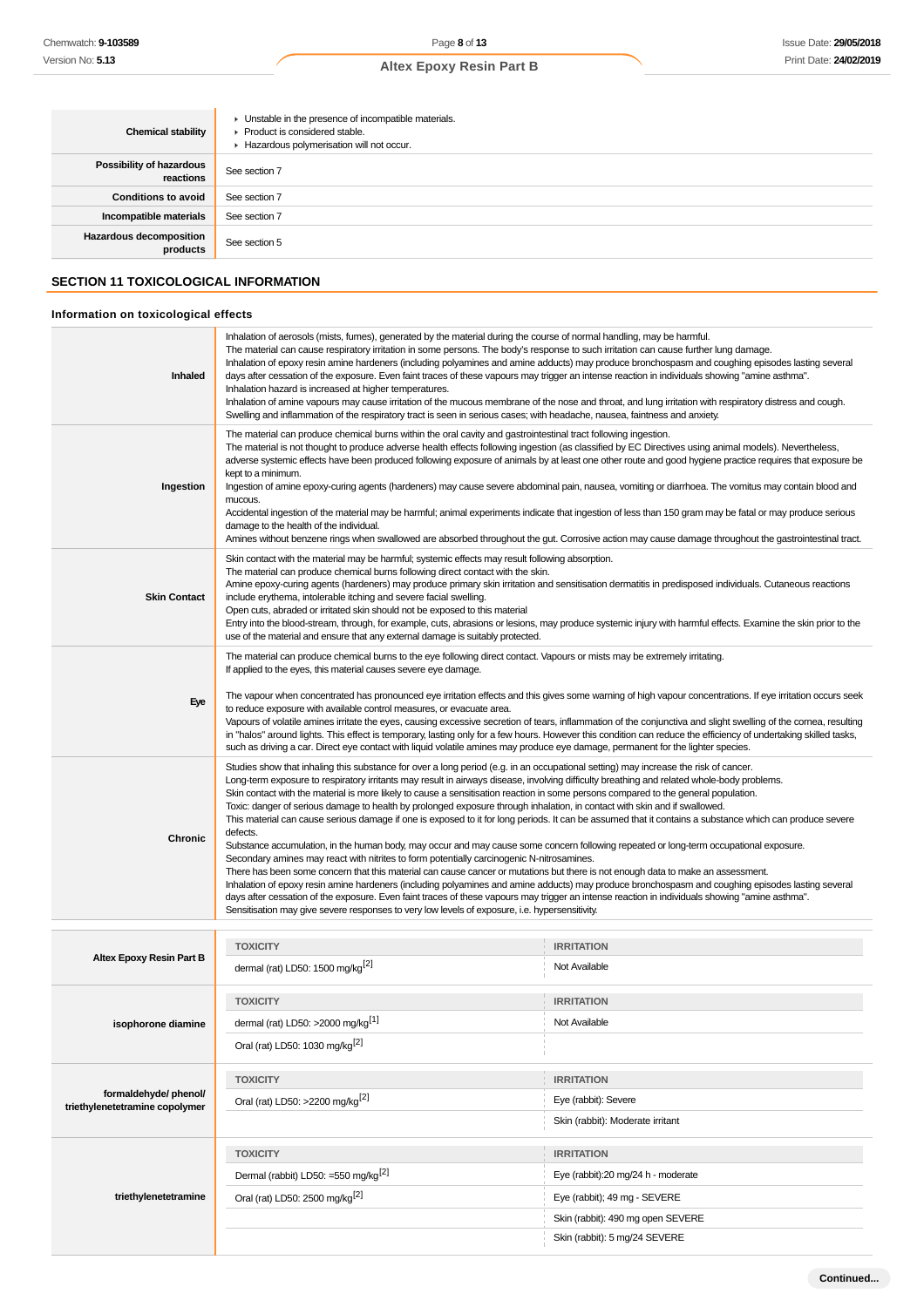| <b>Chemical stability</b>                    | • Unstable in the presence of incompatible materials.<br>▶ Product is considered stable.<br>Hazardous polymerisation will not occur. |
|----------------------------------------------|--------------------------------------------------------------------------------------------------------------------------------------|
| <b>Possibility of hazardous</b><br>reactions | See section 7                                                                                                                        |
| <b>Conditions to avoid</b>                   | See section 7                                                                                                                        |
| Incompatible materials                       | See section 7                                                                                                                        |
| <b>Hazardous decomposition</b><br>products   | See section 5                                                                                                                        |
|                                              |                                                                                                                                      |

# **SECTION 11 TOXICOLOGICAL INFORMATION**

# **Information on toxicological effects**

**triethylenetetramine**

| Inhaled                                                 | Inhalation of aerosols (mists, fumes), generated by the material during the course of normal handling, may be harmful.<br>The material can cause respiratory irritation in some persons. The body's response to such irritation can cause further lung damage.<br>Inhalation of epoxy resin amine hardeners (including polyamines and amine adducts) may produce bronchospasm and coughing episodes lasting several<br>days after cessation of the exposure. Even faint traces of these vapours may trigger an intense reaction in individuals showing "amine asthma".<br>Inhalation hazard is increased at higher temperatures.<br>Inhalation of amine vapours may cause irritation of the mucous membrane of the nose and throat, and lung irritation with respiratory distress and cough.<br>Swelling and inflammation of the respiratory tract is seen in serious cases; with headache, nausea, faintness and anxiety.                                                                                                                                                                                                                                                                                                                                                                                                                                                                                                                                                                                          |                                    |  |
|---------------------------------------------------------|---------------------------------------------------------------------------------------------------------------------------------------------------------------------------------------------------------------------------------------------------------------------------------------------------------------------------------------------------------------------------------------------------------------------------------------------------------------------------------------------------------------------------------------------------------------------------------------------------------------------------------------------------------------------------------------------------------------------------------------------------------------------------------------------------------------------------------------------------------------------------------------------------------------------------------------------------------------------------------------------------------------------------------------------------------------------------------------------------------------------------------------------------------------------------------------------------------------------------------------------------------------------------------------------------------------------------------------------------------------------------------------------------------------------------------------------------------------------------------------------------------------------|------------------------------------|--|
| Ingestion                                               | The material can produce chemical burns within the oral cavity and gastrointestinal tract following ingestion.<br>The material is not thought to produce adverse health effects following ingestion (as classified by EC Directives using animal models). Nevertheless,<br>adverse systemic effects have been produced following exposure of animals by at least one other route and good hygiene practice requires that exposure be<br>kept to a minimum.<br>Ingestion of amine epoxy-curing agents (hardeners) may cause severe abdominal pain, nausea, vomiting or diarrhoea. The vomitus may contain blood and<br>mucous.<br>Accidental ingestion of the material may be harmful; animal experiments indicate that ingestion of less than 150 gram may be fatal or may produce serious<br>damage to the health of the individual.<br>Amines without benzene rings when swallowed are absorbed throughout the gut. Corrosive action may cause damage throughout the gastrointestinal tract.                                                                                                                                                                                                                                                                                                                                                                                                                                                                                                                      |                                    |  |
| <b>Skin Contact</b>                                     | Skin contact with the material may be harmful; systemic effects may result following absorption.<br>The material can produce chemical burns following direct contact with the skin.<br>Amine epoxy-curing agents (hardeners) may produce primary skin irritation and sensitisation dermatitis in predisposed individuals. Cutaneous reactions<br>include erythema, intolerable itching and severe facial swelling.<br>Open cuts, abraded or irritated skin should not be exposed to this material<br>Entry into the blood-stream, through, for example, cuts, abrasions or lesions, may produce systemic injury with harmful effects. Examine the skin prior to the<br>use of the material and ensure that any external damage is suitably protected.                                                                                                                                                                                                                                                                                                                                                                                                                                                                                                                                                                                                                                                                                                                                                               |                                    |  |
| Eye                                                     | The material can produce chemical burns to the eye following direct contact. Vapours or mists may be extremely irritating.<br>If applied to the eyes, this material causes severe eye damage.<br>The vapour when concentrated has pronounced eye irritation effects and this gives some warning of high vapour concentrations. If eye irritation occurs seek<br>to reduce exposure with available control measures, or evacuate area.<br>Vapours of volatile amines irritate the eyes, causing excessive secretion of tears, inflammation of the conjunctiva and slight swelling of the cornea, resulting<br>in "halos" around lights. This effect is temporary, lasting only for a few hours. However this condition can reduce the efficiency of undertaking skilled tasks,<br>such as driving a car. Direct eye contact with liquid volatile amines may produce eye damage, permanent for the lighter species.                                                                                                                                                                                                                                                                                                                                                                                                                                                                                                                                                                                                   |                                    |  |
| Chronic                                                 | Studies show that inhaling this substance for over a long period (e.g. in an occupational setting) may increase the risk of cancer.<br>Long-term exposure to respiratory irritants may result in airways disease, involving difficulty breathing and related whole-body problems.<br>Skin contact with the material is more likely to cause a sensitisation reaction in some persons compared to the general population.<br>Toxic: danger of serious damage to health by prolonged exposure through inhalation, in contact with skin and if swallowed.<br>This material can cause serious damage if one is exposed to it for long periods. It can be assumed that it contains a substance which can produce severe<br>defects.<br>Substance accumulation, in the human body, may occur and may cause some concern following repeated or long-term occupational exposure.<br>Secondary amines may react with nitrites to form potentially carcinogenic N-nitrosamines.<br>There has been some concern that this material can cause cancer or mutations but there is not enough data to make an assessment.<br>Inhalation of epoxy resin amine hardeners (including polyamines and amine adducts) may produce bronchospasm and coughing episodes lasting several<br>days after cessation of the exposure. Even faint traces of these vapours may trigger an intense reaction in individuals showing "amine asthma".<br>Sensitisation may give severe responses to very low levels of exposure, i.e. hypersensitivity. |                                    |  |
|                                                         |                                                                                                                                                                                                                                                                                                                                                                                                                                                                                                                                                                                                                                                                                                                                                                                                                                                                                                                                                                                                                                                                                                                                                                                                                                                                                                                                                                                                                                                                                                                     |                                    |  |
| <b>Altex Epoxy Resin Part B</b>                         | <b>TOXICITY</b><br>dermal (rat) LD50: 1500 mg/kg <sup>[2]</sup>                                                                                                                                                                                                                                                                                                                                                                                                                                                                                                                                                                                                                                                                                                                                                                                                                                                                                                                                                                                                                                                                                                                                                                                                                                                                                                                                                                                                                                                     | <b>IRRITATION</b><br>Not Available |  |
|                                                         | <b>TOXICITY</b>                                                                                                                                                                                                                                                                                                                                                                                                                                                                                                                                                                                                                                                                                                                                                                                                                                                                                                                                                                                                                                                                                                                                                                                                                                                                                                                                                                                                                                                                                                     | <b>IRRITATION</b>                  |  |
| isophorone diamine                                      | dermal (rat) LD50: >2000 mg/kg <sup>[1]</sup>                                                                                                                                                                                                                                                                                                                                                                                                                                                                                                                                                                                                                                                                                                                                                                                                                                                                                                                                                                                                                                                                                                                                                                                                                                                                                                                                                                                                                                                                       | Not Available                      |  |
|                                                         | Oral (rat) LD50: 1030 mg/kg <sup>[2]</sup>                                                                                                                                                                                                                                                                                                                                                                                                                                                                                                                                                                                                                                                                                                                                                                                                                                                                                                                                                                                                                                                                                                                                                                                                                                                                                                                                                                                                                                                                          |                                    |  |
|                                                         | <b>TOXICITY</b>                                                                                                                                                                                                                                                                                                                                                                                                                                                                                                                                                                                                                                                                                                                                                                                                                                                                                                                                                                                                                                                                                                                                                                                                                                                                                                                                                                                                                                                                                                     | <b>IRRITATION</b>                  |  |
| formaldehyde/ phenol/<br>triethylenetetramine copolymer | Oral (rat) LD50: >2200 mg/kg <sup>[2]</sup>                                                                                                                                                                                                                                                                                                                                                                                                                                                                                                                                                                                                                                                                                                                                                                                                                                                                                                                                                                                                                                                                                                                                                                                                                                                                                                                                                                                                                                                                         | Eye (rabbit): Severe               |  |
|                                                         |                                                                                                                                                                                                                                                                                                                                                                                                                                                                                                                                                                                                                                                                                                                                                                                                                                                                                                                                                                                                                                                                                                                                                                                                                                                                                                                                                                                                                                                                                                                     | Skin (rabbit): Moderate irritant   |  |
|                                                         | <b>TOXICITY</b>                                                                                                                                                                                                                                                                                                                                                                                                                                                                                                                                                                                                                                                                                                                                                                                                                                                                                                                                                                                                                                                                                                                                                                                                                                                                                                                                                                                                                                                                                                     | <b>IRRITATION</b>                  |  |

Dermal (rabbit) LD50: =550 mg/kg<sup>[2]</sup> Eye (rabbit):20 mg/24 h - moderate Oral (rat) LD50: 2500 mg/kg<sup>[2]</sup> eye (rabbit); 49 mg - SEVERE

Skin (rabbit): 490 mg open SEVERE Skin (rabbit): 5 mg/24 SEVERE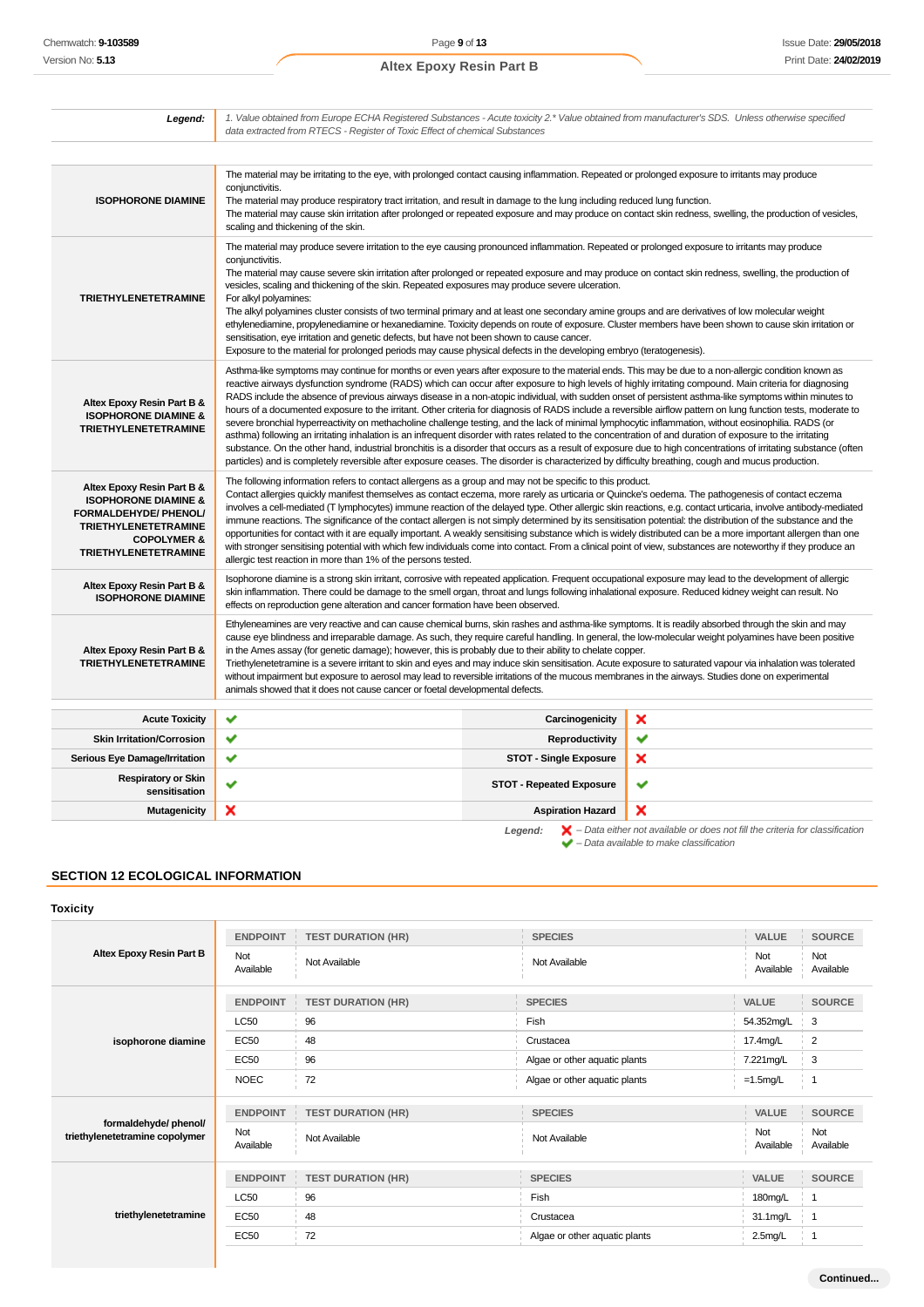| Legend:                                                                                                                                                                        | 1. Value obtained from Europe ECHA Registered Substances - Acute toxicity 2.* Value obtained from manufacturer's SDS. Unless otherwise specified<br>data extracted from RTECS - Register of Toxic Effect of chemical Substances                                                                                                                                                                                                                                                                                                                                                                                                                                                                                                                                                                                                                                                                                                                                                                                                                                                                                                                                                                                                                                                          |                                 |   |  |
|--------------------------------------------------------------------------------------------------------------------------------------------------------------------------------|------------------------------------------------------------------------------------------------------------------------------------------------------------------------------------------------------------------------------------------------------------------------------------------------------------------------------------------------------------------------------------------------------------------------------------------------------------------------------------------------------------------------------------------------------------------------------------------------------------------------------------------------------------------------------------------------------------------------------------------------------------------------------------------------------------------------------------------------------------------------------------------------------------------------------------------------------------------------------------------------------------------------------------------------------------------------------------------------------------------------------------------------------------------------------------------------------------------------------------------------------------------------------------------|---------------------------------|---|--|
|                                                                                                                                                                                |                                                                                                                                                                                                                                                                                                                                                                                                                                                                                                                                                                                                                                                                                                                                                                                                                                                                                                                                                                                                                                                                                                                                                                                                                                                                                          |                                 |   |  |
| <b>ISOPHORONE DIAMINE</b>                                                                                                                                                      | The material may be irritating to the eye, with prolonged contact causing inflammation. Repeated or prolonged exposure to irritants may produce<br>conjunctivitis.<br>The material may produce respiratory tract irritation, and result in damage to the lung including reduced lung function.<br>The material may cause skin irritation after prolonged or repeated exposure and may produce on contact skin redness, swelling, the production of vesicles,<br>scaling and thickening of the skin.                                                                                                                                                                                                                                                                                                                                                                                                                                                                                                                                                                                                                                                                                                                                                                                      |                                 |   |  |
| <b>TRIETHYLENETETRAMINE</b>                                                                                                                                                    | The material may produce severe irritation to the eye causing pronounced inflammation. Repeated or prolonged exposure to irritants may produce<br>conjunctivitis.<br>The material may cause severe skin irritation after prolonged or repeated exposure and may produce on contact skin redness, swelling, the production of<br>vesicles, scaling and thickening of the skin. Repeated exposures may produce severe ulceration.<br>For alkyl polyamines:<br>The alkyl polyamines cluster consists of two terminal primary and at least one secondary amine groups and are derivatives of low molecular weight<br>ethylenediamine, propylenediamine or hexanediamine. Toxicity depends on route of exposure. Cluster members have been shown to cause skin irritation or<br>sensitisation, eye irritation and genetic defects, but have not been shown to cause cancer.<br>Exposure to the material for prolonged periods may cause physical defects in the developing embryo (teratogenesis).                                                                                                                                                                                                                                                                                            |                                 |   |  |
| Altex Epoxy Resin Part B &<br><b>ISOPHORONE DIAMINE &amp;</b><br><b>TRIETHYLENETETRAMINE</b>                                                                                   | Asthma-like symptoms may continue for months or even years after exposure to the material ends. This may be due to a non-allergic condition known as<br>reactive airways dysfunction syndrome (RADS) which can occur after exposure to high levels of highly irritating compound. Main criteria for diagnosing<br>RADS include the absence of previous airways disease in a non-atopic individual, with sudden onset of persistent asthma-like symptoms within minutes to<br>hours of a documented exposure to the irritant. Other criteria for diagnosis of RADS include a reversible airflow pattern on lung function tests, moderate to<br>severe bronchial hyperreactivity on methacholine challenge testing, and the lack of minimal lymphocytic inflammation, without eosinophilia. RADS (or<br>asthma) following an irritating inhalation is an infrequent disorder with rates related to the concentration of and duration of exposure to the irritating<br>substance. On the other hand, industrial bronchitis is a disorder that occurs as a result of exposure due to high concentrations of irritating substance (often<br>particles) and is completely reversible after exposure ceases. The disorder is characterized by difficulty breathing, cough and mucus production. |                                 |   |  |
| Altex Epoxy Resin Part B &<br><b>ISOPHORONE DIAMINE &amp;</b><br>FORMALDEHYDE/ PHENOL/<br><b>TRIETHYLENETETRAMINE</b><br><b>COPOLYMER &amp;</b><br><b>TRIETHYLENETETRAMINE</b> | The following information refers to contact allergens as a group and may not be specific to this product.<br>Contact allergies quickly manifest themselves as contact eczema, more rarely as urticaria or Quincke's oedema. The pathogenesis of contact eczema<br>involves a cell-mediated (T lymphocytes) immune reaction of the delayed type. Other allergic skin reactions, e.g. contact urticaria, involve antibody-mediated<br>immune reactions. The significance of the contact allergen is not simply determined by its sensitisation potential: the distribution of the substance and the<br>opportunities for contact with it are equally important. A weakly sensitising substance which is widely distributed can be a more important allergen than one<br>with stronger sensitising potential with which few individuals come into contact. From a clinical point of view, substances are noteworthy if they produce an<br>allergic test reaction in more than 1% of the persons tested.                                                                                                                                                                                                                                                                                     |                                 |   |  |
| Altex Epoxy Resin Part B &<br><b>ISOPHORONE DIAMINE</b>                                                                                                                        | Isophorone diamine is a strong skin irritant, corrosive with repeated application. Frequent occupational exposure may lead to the development of allergic<br>skin inflammation. There could be damage to the smell organ, throat and lungs following inhalational exposure. Reduced kidney weight can result. No<br>effects on reproduction gene alteration and cancer formation have been observed.                                                                                                                                                                                                                                                                                                                                                                                                                                                                                                                                                                                                                                                                                                                                                                                                                                                                                     |                                 |   |  |
| Altex Epoxy Resin Part B &<br><b>TRIETHYLENETETRAMINE</b>                                                                                                                      | Ethyleneamines are very reactive and can cause chemical burns, skin rashes and asthma-like symptoms. It is readily absorbed through the skin and may<br>cause eye blindness and irreparable damage. As such, they require careful handling. In general, the low-molecular weight polyamines have been positive<br>in the Ames assay (for genetic damage); however, this is probably due to their ability to chelate copper.<br>Triethylenetetramine is a severe irritant to skin and eyes and may induce skin sensitisation. Acute exposure to saturated vapour via inhalation was tolerated<br>without impairment but exposure to aerosol may lead to reversible irritations of the mucous membranes in the airways. Studies done on experimental<br>animals showed that it does not cause cancer or foetal developmental defects.                                                                                                                                                                                                                                                                                                                                                                                                                                                      |                                 |   |  |
| <b>Acute Toxicity</b>                                                                                                                                                          | ✔                                                                                                                                                                                                                                                                                                                                                                                                                                                                                                                                                                                                                                                                                                                                                                                                                                                                                                                                                                                                                                                                                                                                                                                                                                                                                        | Carcinogenicity                 | × |  |
| <b>Skin Irritation/Corrosion</b>                                                                                                                                               | ✔                                                                                                                                                                                                                                                                                                                                                                                                                                                                                                                                                                                                                                                                                                                                                                                                                                                                                                                                                                                                                                                                                                                                                                                                                                                                                        | <b>Reproductivity</b>           | ✔ |  |
| Serious Eye Damage/Irritation                                                                                                                                                  | ✔                                                                                                                                                                                                                                                                                                                                                                                                                                                                                                                                                                                                                                                                                                                                                                                                                                                                                                                                                                                                                                                                                                                                                                                                                                                                                        | <b>STOT - Single Exposure</b>   | × |  |
| <b>Respiratory or Skin</b><br>sensitisation                                                                                                                                    | ✔                                                                                                                                                                                                                                                                                                                                                                                                                                                                                                                                                                                                                                                                                                                                                                                                                                                                                                                                                                                                                                                                                                                                                                                                                                                                                        | <b>STOT - Repeated Exposure</b> | ✔ |  |
| <b>Mutagenicity</b>                                                                                                                                                            | ×                                                                                                                                                                                                                                                                                                                                                                                                                                                                                                                                                                                                                                                                                                                                                                                                                                                                                                                                                                                                                                                                                                                                                                                                                                                                                        | <b>Aspiration Hazard</b>        | × |  |

# **SECTION 12 ECOLOGICAL INFORMATION**

# **Toxicity**

| Altex Epoxy Resin Part B                               | <b>ENDPOINT</b>  | <b>TEST DURATION (HR)</b> | <b>SPECIES</b>                | VALUE            | SOURCE           |
|--------------------------------------------------------|------------------|---------------------------|-------------------------------|------------------|------------------|
|                                                        | Not<br>Available | Not Available             | Not Available                 | Not<br>Available | Not<br>Available |
|                                                        | <b>ENDPOINT</b>  | <b>TEST DURATION (HR)</b> | <b>SPECIES</b>                | VALUE            | <b>SOURCE</b>    |
|                                                        | <b>LC50</b>      | 96                        | Fish                          | 54.352mg/L       | 3                |
| isophorone diamine                                     | <b>EC50</b>      | 48                        | Crustacea                     | 17.4mg/L         | $\overline{2}$   |
|                                                        | <b>EC50</b>      | 96                        | Algae or other aquatic plants | 7.221mg/L        | 3                |
|                                                        | <b>NOEC</b>      | 72                        | Algae or other aquatic plants | $=1.5$ mg/L      | $\overline{1}$   |
| formaldehyde/phenol/<br>triethylenetetramine copolymer | <b>ENDPOINT</b>  | <b>TEST DURATION (HR)</b> | <b>SPECIES</b>                | VALUE            | <b>SOURCE</b>    |
|                                                        | Not<br>Available | Not Available             | Not Available                 | Not<br>Available | Not<br>Available |
|                                                        | <b>ENDPOINT</b>  | <b>TEST DURATION (HR)</b> | <b>SPECIES</b>                | VALUE            | <b>SOURCE</b>    |
| triethylenetetramine                                   | <b>LC50</b>      | 96                        | Fish                          | 180mg/L          | -1               |
|                                                        | <b>EC50</b>      | 48                        | Crustacea                     | 31.1mg/L         | -1               |
|                                                        | <b>EC50</b>      | 72                        | Algae or other aquatic plants | $2.5$ mg/L       | -1               |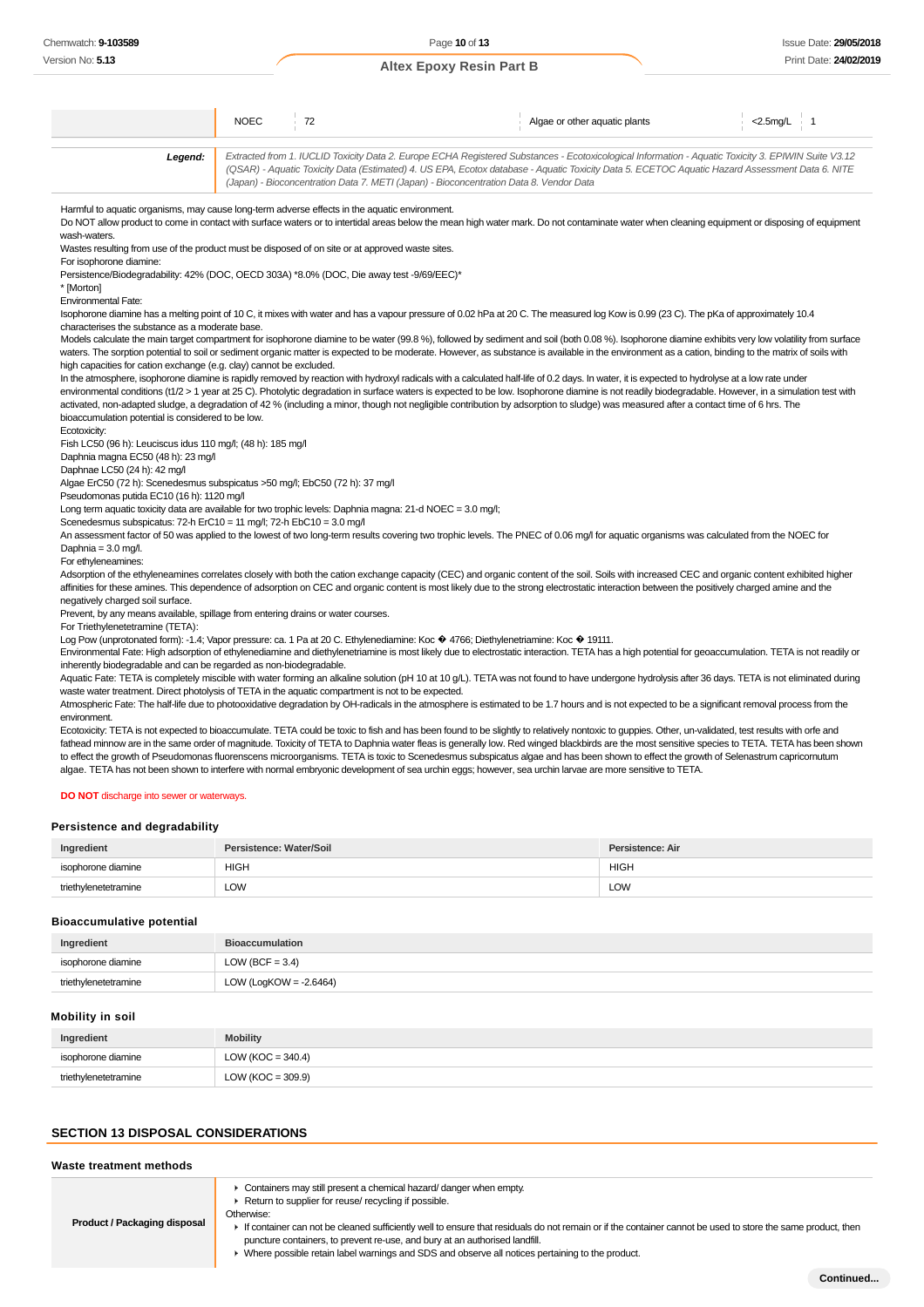NOEC 72 Algae or other aquatic plants <2.5mg/L 1 **Legend:** Extracted from 1. IUCLID Toxicity Data 2. Europe ECHA Registered Substances - Ecotoxicological Information - Aquatic Toxicity 3. EPIWIN Suite V3.12 (QSAR) - Aquatic Toxicity Data (Estimated) 4. US EPA, Ecotox database - Aquatic Toxicity Data 5. ECETOC Aquatic Hazard Assessment Data 6. NITE (Japan) - Bioconcentration Data 7. METI (Japan) - Bioconcentration Data 8. Vendor Data Harmful to aquatic organisms, may cause long-term adverse effects in the aquatic environment. Do NOT allow product to come in contact with surface waters or to intertidal areas below the mean high water mark. Do not contaminate water when cleaning equipment or disposing of equipment wash-waters Wastes resulting from use of the product must be disposed of on site or at approved waste sites. For isophorone diamine: Persistence/Biodegradability: 42% (DOC, OECD 303A) \*8.0% (DOC, Die away test -9/69/EEC)\* \* [Morton] Environmental Fate: Isophorone diamine has a melting point of 10 C, it mixes with water and has a vapour pressure of 0.02 hPa at 20 C. The measured log Kow is 0.99 (23 C). The pKa of approximately 10.4 characterises the substance as a moderate base. Models calculate the main target compartment for isophorone diamine to be water (99.8 %), followed by sediment and soil (both 0.08 %). Isophorone diamine exhibits very low volatility from surface waters. The sorption potential to soil or sediment organic matter is expected to be moderate. However, as substance is available in the environment as a cation, binding to the matrix of soils with high capacities for cation exchange (e.g. clay) cannot be excluded. In the atmosphere, isophorone diamine is rapidly removed by reaction with hydroxyl radicals with a calculated half-life of 0.2 days. In water, it is expected to hydrolyse at a low rate under environmental conditions (t1/2 > 1 year at 25 C). Photolytic degradation in surface waters is expected to be low. Isophorone diamine is not readily biodegradable. However, in a simulation test with activated, non-adapted sludge, a degradation of 42 % (including a minor, though not negligible contribution by adsorption to sludge) was measured after a contact time of 6 hrs. The bioaccumulation potential is considered to be low. Ecotoxicity: Fish LC50 (96 h): Leuciscus idus 110 mg/l; (48 h): 185 mg/l Daphnia magna EC50 (48 h): 23 mg/l Daphnae LC50 (24 h): 42 mg/l Algae ErC50 (72 h): Scenedesmus subspicatus >50 mg/l; EbC50 (72 h): 37 mg/l Pseudomonas putida EC10 (16 h): 1120 mg/l Long term aquatic toxicity data are available for two trophic levels: Daphnia magna: 21-d NOEC = 3.0 mg/l; Scenedesmus subspicatus: 72-h ErC10 = 11 mg/l; 72-h EbC10 = 3.0 mg/l An assessment factor of 50 was applied to the lowest of two long-term results covering two trophic levels. The PNEC of 0.06 mg/l for aquatic organisms was calculated from the NOEC for Daphnia = 3.0 mg/l. For ethyleneamines: Adsorption of the ethyleneamines correlates closely with both the cation exchange capacity (CEC) and organic content of the soil. Soils with increased CEC and organic content exhibited higher affinities for these amines. This dependence of adsorption on CEC and organic content is most likely due to the strong electrostatic interaction between the positively charged amine and the negatively charged soil surface. Prevent, by any means available, spillage from entering drains or water courses. For Triethylenetetramine (TETA): Log Pow (unprotonated form): -1.4; Vapor pressure: ca. 1 Pa at 20 C. Ethylenediamine: Koc  $\hat{\Phi}$  4766; Diethylenetriamine: Koc  $\hat{\Phi}$  19111. Environmental Fate: High adsorption of ethylenediamine and diethylenetriamine is most likely due to electrostatic interaction. TETA has a high potential for geoaccumulation. TETA is not readily or inherently biodegradable and can be regarded as non-biodegradable. Aquatic Fate: TETA is completely miscible with water forming an alkaline solution (pH 10 at 10 g/L). TETA was not found to have undergone hydrolysis after 36 days. TETA is not eliminated during waste water treatment. Direct photolysis of TETA in the aquatic compartment is not to be expected. Atmospheric Fate: The half-life due to photooxidative degradation by OH-radicals in the atmosphere is estimated to be 1.7 hours and is not expected to be a significant removal process from the environment. Ecotoxicity: TETA is not expected to bioaccumulate. TETA could be toxic to fish and has been found to be slightly to relatively nontoxic to guppies. Other, un-validated, test results with orfe and fathead minnow are in the same order of magnitude. Toxicity of TETA to Daphnia water fleas is generally low. Red winged blackbirds are the most sensitive species to TETA. TETA has been shown to effect the growth of Pseudomonas fluorenscens microorganisms. TETA is toxic to Scenedesmus subspicatus algae and has been shown to effect the growth of Selenastrum capricornutum algae. TETA has not been shown to interfere with normal embryonic development of sea urchin eggs; however, sea urchin larvae are more sensitive to TETA.

**DO NOT** discharge into sewer or waterways.

#### **Persistence and degradability**

| Ingredient           | Persistence: Water/Soil | Persistence: Air |
|----------------------|-------------------------|------------------|
| isophorone diamine   | <b>HIGH</b>             | <b>HIGH</b>      |
| triethylenetetramine | LOW                     | <b>LOW</b>       |

#### **Bioaccumulative potential**

| Ingredient           | <b>Bioaccumulation</b>    |
|----------------------|---------------------------|
| isophorone diamine   | LOW (BCF = $3.4$ )        |
| triethylenetetramine | LOW (LogKOW = $-2.6464$ ) |

#### **Mobility in soil**

| Ingredient           | <b>Mobility</b>       |
|----------------------|-----------------------|
| isophorone diamine   | LOW (KOC = $340.4$ )  |
| triethylenetetramine | LOW ( $KOC = 309.9$ ) |

#### **SECTION 13 DISPOSAL CONSIDERATIONS**

| Waste treatment methods             |                                                                                                                                                                                                                                                                                                                                                                                                                                                                                               |
|-------------------------------------|-----------------------------------------------------------------------------------------------------------------------------------------------------------------------------------------------------------------------------------------------------------------------------------------------------------------------------------------------------------------------------------------------------------------------------------------------------------------------------------------------|
| <b>Product / Packaging disposal</b> | • Containers may still present a chemical hazard/ danger when empty.<br>Return to supplier for reuse/ recycling if possible.<br>Otherwise:<br>If container can not be cleaned sufficiently well to ensure that residuals do not remain or if the container cannot be used to store the same product, then<br>puncture containers, to prevent re-use, and bury at an authorised landfill.<br>► Where possible retain label warnings and SDS and observe all notices pertaining to the product. |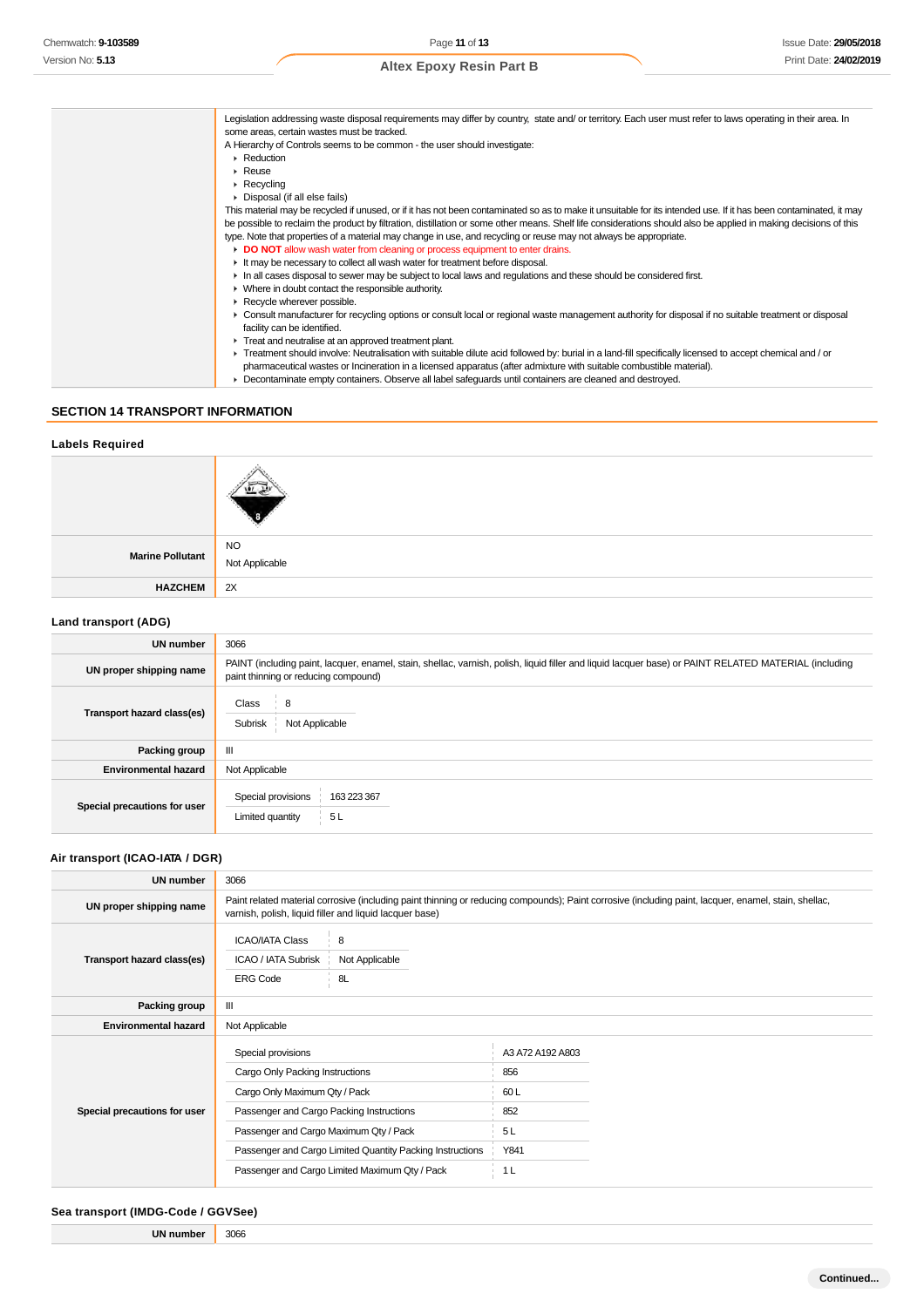| Legislation addressing waste disposal requirements may differ by country, state and/ or territory. Each user must refer to laws operating in their area. In<br>some areas, certain wastes must be tracked. |
|------------------------------------------------------------------------------------------------------------------------------------------------------------------------------------------------------------|
| A Hierarchy of Controls seems to be common - the user should investigate:                                                                                                                                  |
| $\blacktriangleright$ Reduction                                                                                                                                                                            |
| $\triangleright$ Reuse                                                                                                                                                                                     |
|                                                                                                                                                                                                            |
| $\triangleright$ Recycling                                                                                                                                                                                 |
| • Disposal (if all else fails)                                                                                                                                                                             |
| This material may be recycled if unused, or if it has not been contaminated so as to make it unsuitable for its intended use. If it has been contaminated, it may                                          |
| be possible to reclaim the product by filtration, distillation or some other means. Shelf life considerations should also be applied in making decisions of this                                           |
| type. Note that properties of a material may change in use, and recycling or reuse may not always be appropriate.                                                                                          |
| DO NOT allow wash water from cleaning or process equipment to enter drains.                                                                                                                                |
| It may be necessary to collect all wash water for treatment before disposal.                                                                                                                               |
| In all cases disposal to sewer may be subject to local laws and regulations and these should be considered first.                                                                                          |
| • Where in doubt contact the responsible authority.                                                                                                                                                        |
| Recycle wherever possible.                                                                                                                                                                                 |
| ► Consult manufacturer for recycling options or consult local or regional waste management authority for disposal if no suitable treatment or disposal                                                     |
| facility can be identified.                                                                                                                                                                                |
| Treat and neutralise at an approved treatment plant.                                                                                                                                                       |
| F Treatment should involve: Neutralisation with suitable dilute acid followed by: burial in a land-fill specifically licensed to accept chemical and / or                                                  |
| pharmaceutical wastes or Incineration in a licensed apparatus (after admixture with suitable combustible material).                                                                                        |
| ▶ Decontaminate empty containers. Observe all label safeguards until containers are cleaned and destroyed.                                                                                                 |
|                                                                                                                                                                                                            |

# **SECTION 14 TRANSPORT INFORMATION**

#### **Labels Required**

| Marine Pollutant | <b>NO</b><br>Not Applicable |
|------------------|-----------------------------|
| <b>HAZCHEM</b>   | 2X                          |

# **Land transport (ADG)**

| UN number                    | 3066                                                                                                                                                                                          |  |  |
|------------------------------|-----------------------------------------------------------------------------------------------------------------------------------------------------------------------------------------------|--|--|
| UN proper shipping name      | PAINT (including paint, lacquer, enamel, stain, shellac, varnish, polish, liquid filler and liquid lacquer base) or PAINT RELATED MATERIAL (including<br>paint thinning or reducing compound) |  |  |
| Transport hazard class(es)   | Class<br>8<br>Not Applicable<br>Subrisk                                                                                                                                                       |  |  |
| Packing group                | III                                                                                                                                                                                           |  |  |
| <b>Environmental hazard</b>  | Not Applicable                                                                                                                                                                                |  |  |
| Special precautions for user | Special provisions<br>163 223 367<br>5L<br>Limited quantity                                                                                                                                   |  |  |

### **Air transport (ICAO-IATA / DGR)**

| <b>UN number</b>             | 3066                                                                                                                                                                                                                                                                                        |                           |                                                                       |  |
|------------------------------|---------------------------------------------------------------------------------------------------------------------------------------------------------------------------------------------------------------------------------------------------------------------------------------------|---------------------------|-----------------------------------------------------------------------|--|
| UN proper shipping name      | Paint related material corrosive (including paint thinning or reducing compounds); Paint corrosive (including paint, lacquer, enamel, stain, shellac,<br>varnish, polish, liquid filler and liquid lacquer base)                                                                            |                           |                                                                       |  |
| Transport hazard class(es)   | <b>ICAO/IATA Class</b><br>ICAO / IATA Subrisk<br><b>ERG Code</b>                                                                                                                                                                                                                            | 8<br>Not Applicable<br>8L |                                                                       |  |
| Packing group                | Ш                                                                                                                                                                                                                                                                                           |                           |                                                                       |  |
| <b>Environmental hazard</b>  | Not Applicable                                                                                                                                                                                                                                                                              |                           |                                                                       |  |
| Special precautions for user | Special provisions<br>Cargo Only Packing Instructions<br>Cargo Only Maximum Qty / Pack<br>Passenger and Cargo Packing Instructions<br>Passenger and Cargo Maximum Qty / Pack<br>Passenger and Cargo Limited Quantity Packing Instructions<br>Passenger and Cargo Limited Maximum Qty / Pack |                           | A3 A72 A192 A803<br>856<br>60L<br>852<br>5L<br>Y841<br>1 <sub>L</sub> |  |

#### **Sea transport (IMDG-Code / GGVSee)**

| UN numbe | 3066 |  |
|----------|------|--|
|          |      |  |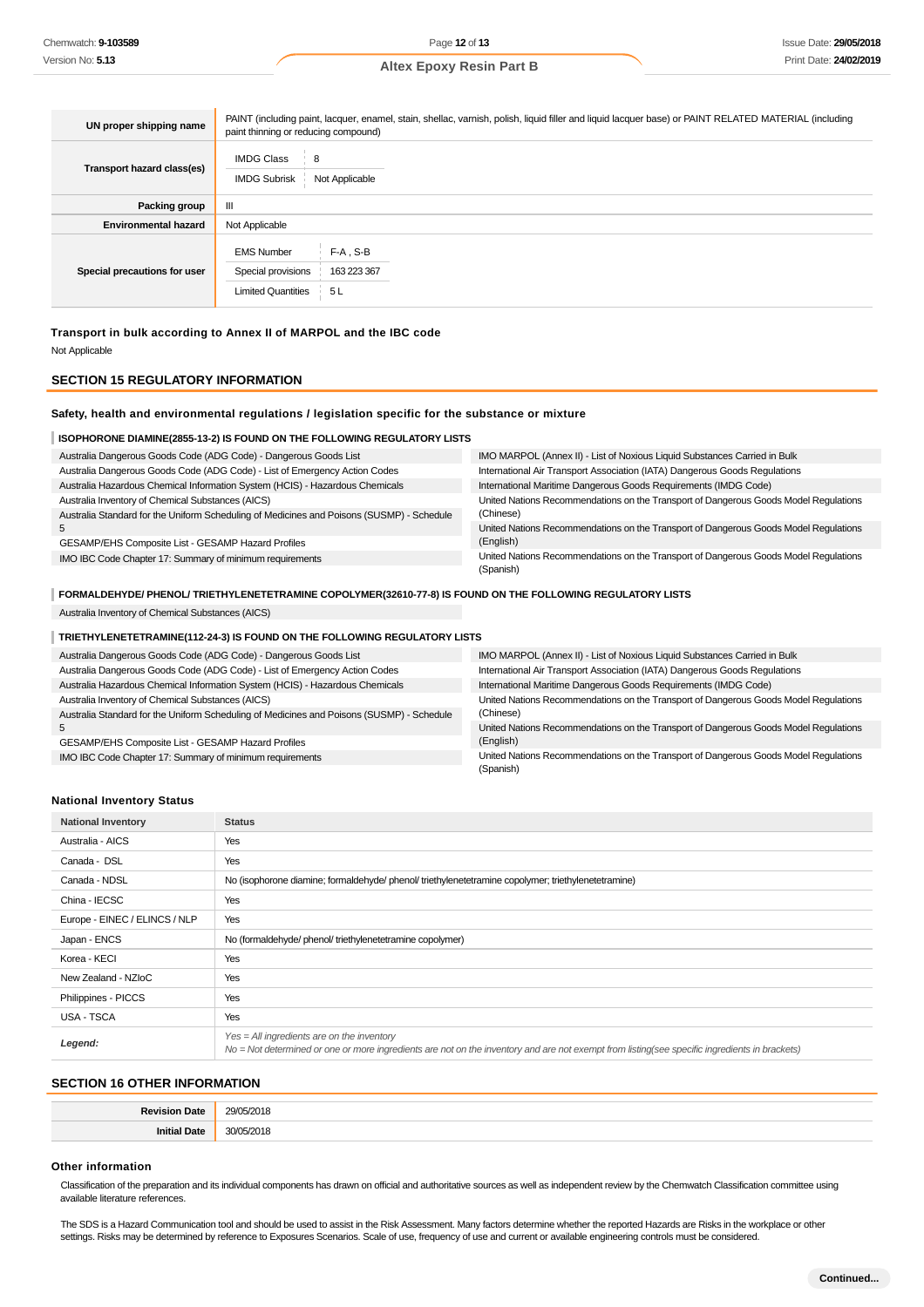| UN proper shipping name      | PAINT (including paint, lacquer, enamel, stain, shellac, varnish, polish, liquid filler and liquid lacquer base) or PAINT RELATED MATERIAL (including<br>paint thinning or reducing compound) |  |  |
|------------------------------|-----------------------------------------------------------------------------------------------------------------------------------------------------------------------------------------------|--|--|
| Transport hazard class(es)   | <b>IMDG Class</b><br>8<br><b>IMDG Subrisk</b><br>Not Applicable                                                                                                                               |  |  |
| Packing group                | Ш                                                                                                                                                                                             |  |  |
| <b>Environmental hazard</b>  | Not Applicable                                                                                                                                                                                |  |  |
| Special precautions for user | <b>EMS Number</b><br>$F-A$ , S-B<br>Special provisions<br>163 223 367<br><b>Limited Quantities</b><br>5L                                                                                      |  |  |

**Transport in bulk according to Annex II of MARPOL and the IBC code** Not Applicable

### **SECTION 15 REGULATORY INFORMATION**

#### **Safety, health and environmental regulations / legislation specific for the substance or mixture**

| ISOPHORONE DIAMINE(2855-13-2) IS FOUND ON THE FOLLOWING REGULATORY LISTS                  |                                                                                                   |  |  |  |
|-------------------------------------------------------------------------------------------|---------------------------------------------------------------------------------------------------|--|--|--|
| Australia Dangerous Goods Code (ADG Code) - Dangerous Goods List                          | IMO MARPOL (Annex II) - List of Noxious Liquid Substances Carried in Bulk                         |  |  |  |
| Australia Dangerous Goods Code (ADG Code) - List of Emergency Action Codes                | International Air Transport Association (IATA) Dangerous Goods Regulations                        |  |  |  |
| Australia Hazardous Chemical Information System (HCIS) - Hazardous Chemicals              | International Maritime Dangerous Goods Requirements (IMDG Code)                                   |  |  |  |
| Australia Inventory of Chemical Substances (AICS)                                         | United Nations Recommendations on the Transport of Dangerous Goods Model Regulations              |  |  |  |
| Australia Standard for the Uniform Scheduling of Medicines and Poisons (SUSMP) - Schedule | (Chinese)                                                                                         |  |  |  |
|                                                                                           | United Nations Recommendations on the Transport of Dangerous Goods Model Regulations              |  |  |  |
| GESAMP/EHS Composite List - GESAMP Hazard Profiles                                        | (English)                                                                                         |  |  |  |
| IMO IBC Code Chapter 17: Summary of minimum requirements                                  | United Nations Recommendations on the Transport of Dangerous Goods Model Regulations<br>(Spanish) |  |  |  |
|                                                                                           |                                                                                                   |  |  |  |

**FORMALDEHYDE/ PHENOL/ TRIETHYLENETETRAMINE COPOLYMER(32610-77-8) IS FOUND ON THE FOLLOWING REGULATORY LISTS**

Australia Inventory of Chemical Substances (AICS)

#### **TRIETHYLENETETRAMINE(112-24-3) IS FOUND ON THE FOLLOWING REGULATORY LISTS**

| Australia Dangerous Goods Code (ADG Code) - Dangerous Goods List                          | IMO MARPOL (Annex II) - List of Noxious Liquid Substances Carried in Bulk            |
|-------------------------------------------------------------------------------------------|--------------------------------------------------------------------------------------|
| Australia Dangerous Goods Code (ADG Code) - List of Emergency Action Codes                | International Air Transport Association (IATA) Dangerous Goods Regulations           |
| Australia Hazardous Chemical Information System (HCIS) - Hazardous Chemicals              | International Maritime Dangerous Goods Requirements (IMDG Code)                      |
| Australia Inventory of Chemical Substances (AICS)                                         | United Nations Recommendations on the Transport of Dangerous Goods Model Regulations |
| Australia Standard for the Uniform Scheduling of Medicines and Poisons (SUSMP) - Schedule | (Chinese)                                                                            |
| b                                                                                         | United Nations Recommendations on the Transport of Dangerous Goods Model Regulations |
| GESAMP/EHS Composite List - GESAMP Hazard Profiles                                        | (English)                                                                            |
| IMO IBC Code Chapter 17: Summary of minimum requirements                                  | United Nations Recommendations on the Transport of Dangerous Goods Model Regulations |
|                                                                                           | (Spanish)                                                                            |

# **National Inventory Status**

| <b>National Inventory</b>     | <b>Status</b>                                                                                                                                                                                 |
|-------------------------------|-----------------------------------------------------------------------------------------------------------------------------------------------------------------------------------------------|
| Australia - AICS              | Yes                                                                                                                                                                                           |
| Canada - DSL                  | Yes                                                                                                                                                                                           |
| Canada - NDSL                 | No (isophorone diamine; formaldehyde/ phenol/ triethylenetetramine copolymer; triethylenetetramine)                                                                                           |
| China - IECSC                 | Yes                                                                                                                                                                                           |
| Europe - EINEC / ELINCS / NLP | Yes                                                                                                                                                                                           |
| Japan - ENCS                  | No (formaldehyde/ phenol/ triethylenetetramine copolymer)                                                                                                                                     |
| Korea - KECI                  | Yes                                                                                                                                                                                           |
| New Zealand - NZIoC           | Yes                                                                                                                                                                                           |
| Philippines - PICCS           | Yes                                                                                                                                                                                           |
| USA - TSCA                    | Yes                                                                                                                                                                                           |
| Legend:                       | $Yes = All ingredients are on the inventory$<br>No = Not determined or one or more ingredients are not on the inventory and are not exempt from listing(see specific ingredients in brackets) |

# **SECTION 16 OTHER INFORMATION**

| --<br>1216 |  |
|------------|--|
|            |  |

#### **Other information**

Classification of the preparation and its individual components has drawn on official and authoritative sources as well as independent review by the Chemwatch Classification committee using available literature references.

The SDS is a Hazard Communication tool and should be used to assist in the Risk Assessment. Many factors determine whether the reported Hazards are Risks in the workplace or other settings. Risks may be determined by reference to Exposures Scenarios. Scale of use, frequency of use and current or available engineering controls must be considered.